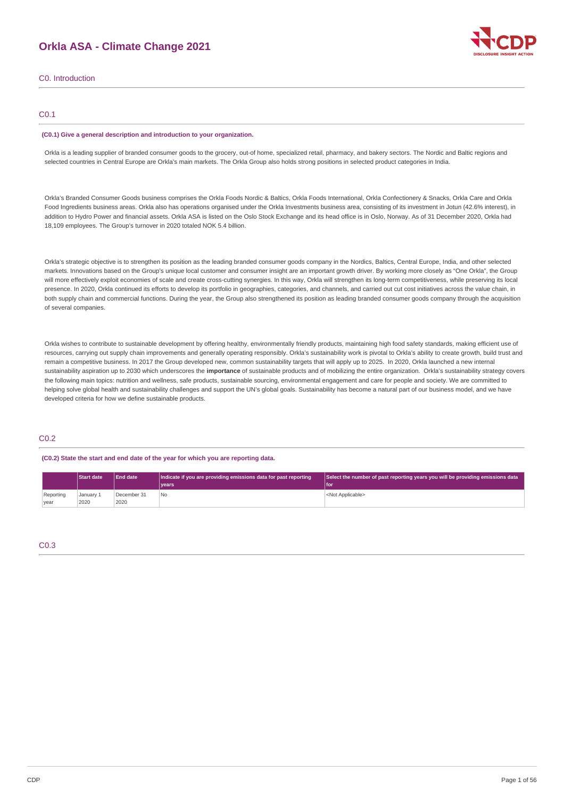## **Orkla ASA - Climate Change 2021**



C0. Introduction

## C0.1

#### **(C0.1) Give a general description and introduction to your organization.**

Orkla is a leading supplier of branded consumer goods to the grocery, out-of home, specialized retail, pharmacy, and bakery sectors. The Nordic and Baltic regions and selected countries in Central Europe are Orkla's main markets. The Orkla Group also holds strong positions in selected product categories in India.

Orkla's Branded Consumer Goods business comprises the Orkla Foods Nordic & Baltics, Orkla Foods International, Orkla Confectionery & Snacks, Orkla Care and Orkla Food Ingredients business areas. Orkla also has operations organised under the Orkla Investments business area, consisting of its investment in Jotun (42.6% interest), in addition to Hydro Power and financial assets. Orkla ASA is listed on the Oslo Stock Exchange and its head office is in Oslo, Norway. As of 31 December 2020, Orkla had 18,109 employees. The Group's turnover in 2020 totaled NOK 5.4 billion.

Orkla's strategic objective is to strengthen its position as the leading branded consumer goods company in the Nordics, Baltics, Central Europe, India, and other selected markets. Innovations based on the Group's unique local customer and consumer insight are an important growth driver. By working more closely as "One Orkla", the Group will more effectively exploit economies of scale and create cross-cutting synergies. In this way, Orkla will strengthen its long-term competitiveness, while preserving its local presence. In 2020, Orkla continued its efforts to develop its portfolio in geographies, categories, and channels, and carried out cut cost initiatives across the value chain, in both supply chain and commercial functions. During the year, the Group also strengthened its position as leading branded consumer goods company through the acquisition of several companies.

Orkla wishes to contribute to sustainable development by offering healthy, environmentally friendly products, maintaining high food safety standards, making efficient use of resources, carrying out supply chain improvements and generally operating responsibly. Orkla's sustainability work is pivotal to Orkla's ability to create growth, build trust and remain a competitive business. In 2017 the Group developed new, common sustainability targets that will apply up to 2025. In 2020, Orkla launched a new internal sustainability aspiration up to 2030 which underscores the **importance** of sustainable products and of mobilizing the entire organization. Orkla's sustainability strategy covers the following main topics: nutrition and wellness, safe products, sustainable sourcing, environmental engagement and care for people and society. We are committed to helping solve global health and sustainability challenges and support the UN's global goals. Sustainability has become a natural part of our business model, and we have developed criteria for how we define sustainable products.

## C0.2

### **(C0.2) State the start and end date of the year for which you are reporting data.**

|           | <b>Start date</b> | <b>End date</b> | Indicate if you are providing emissions data for past reporting | Select the number of past reporting years you will be providing emissions data |  |  |
|-----------|-------------------|-----------------|-----------------------------------------------------------------|--------------------------------------------------------------------------------|--|--|
|           |                   |                 | <b>vears</b>                                                    | l for                                                                          |  |  |
| Reporting | January 1         | December 31     | No                                                              | <not applicable=""></not>                                                      |  |  |
| vear      | 2020              | 2020            |                                                                 |                                                                                |  |  |

## C0.3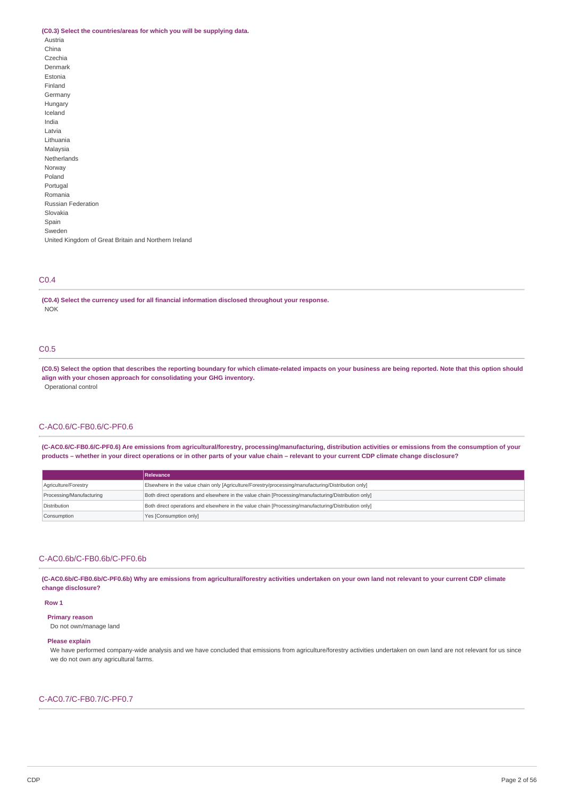#### **(C0.3) Select the countries/areas for which you will be supplying data.**

| Austria                                              |
|------------------------------------------------------|
| China                                                |
| Czechia                                              |
| Denmark                                              |
| Estonia                                              |
| Finland                                              |
| Germany                                              |
| Hungary                                              |
| Iceland                                              |
| India                                                |
| Latvia                                               |
| Lithuania                                            |
| Malaysia                                             |
| Netherlands                                          |
| Norway                                               |
| Poland                                               |
| Portugal                                             |
| Romania                                              |
| <b>Russian Federation</b>                            |
| Slovakia                                             |
| Spain                                                |
| Sweden                                               |
| United Kingdom of Great Britain and Northern Ireland |

## C0.4

**(C0.4) Select the currency used for all financial information disclosed throughout your response.** NOK

## C0.5

(C0.5) Select the option that describes the reporting boundary for which climate-related impacts on your business are being reported. Note that this option should **align with your chosen approach for consolidating your GHG inventory.** Operational control

### C-AC0.6/C-FB0.6/C-PF0.6

(C-AC0.6/C-FB0.6/C-PF0.6) Are emissions from agricultural/forestry, processing/manufacturing, distribution activities or emissions from the consumption of your products - whether in your direct operations or in other parts of your value chain - relevant to your current CDP climate change disclosure?

|                          | Relevance                                                                                            |
|--------------------------|------------------------------------------------------------------------------------------------------|
| Agriculture/Forestry     | Elsewhere in the value chain only [Agriculture/Forestry/processing/manufacturing/Distribution only]  |
| Processing/Manufacturing | Both direct operations and elsewhere in the value chain [Processing/manufacturing/Distribution only] |
| Distribution             | Both direct operations and elsewhere in the value chain [Processing/manufacturing/Distribution only] |
| Consumption              | Yes [Consumption only]                                                                               |

### C-AC0.6b/C-FB0.6b/C-PF0.6b

(C-AC0.6b/C-FB0.6b/C-PF0.6b) Why are emissions from agricultural/forestry activities undertaken on your own land not relevant to your current CDP climate **change disclosure?**

#### **Row 1**

**Primary reason**

Do not own/manage land

## **Please explain**

We have performed company-wide analysis and we have concluded that emissions from agriculture/forestry activities undertaken on own land are not relevant for us since we do not own any agricultural farms.

## C-AC0.7/C-FB0.7/C-PF0.7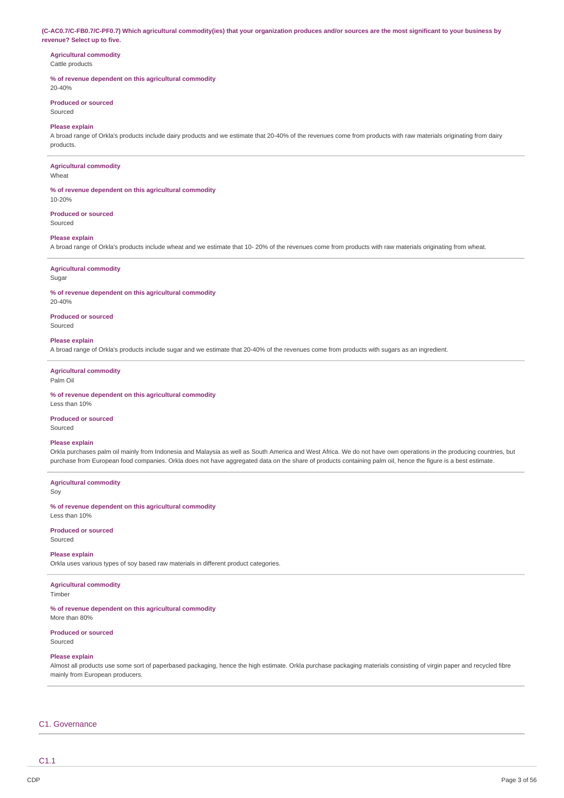(C-AC0.7/C-FB0.7/C-PF0.7) Which agricultural commodity(ies) that your organization produces and/or sources are the most significant to your business by **revenue? Select up to five.**

### **Agricultural commodity** Cattle products

## **% of revenue dependent on this agricultural commodity**

20-40%

#### **Produced or sourced** Sourced

#### **Please explain**

A broad range of Orkla's products include dairy products and we estimate that 20-40% of the revenues come from products with raw materials originating from dairy products.

#### **Agricultural commodity**

Wheat

#### **% of revenue dependent on this agricultural commodity** 10-20%

**Produced or sourced**

Sourced

### **Please explain**

A broad range of Orkla's products include wheat and we estimate that 10- 20% of the revenues come from products with raw materials originating from wheat.

## **Agricultural commodity**

Sugar

**% of revenue dependent on this agricultural commodity** 20-40%

**Produced or sourced** Sourced

#### **Please explain**

A broad range of Orkla's products include sugar and we estimate that 20-40% of the revenues come from products with sugars as an ingredient.

#### **Agricultural commodity** Palm Oil

**% of revenue dependent on this agricultural commodity**

Less than 10%

### **Produced or sourced**

Sourced

### **Please explain**

Orkla purchases palm oil mainly from Indonesia and Malaysia as well as South America and West Africa. We do not have own operations in the producing countries, but purchase from European food companies. Orkla does not have aggregated data on the share of products containing palm oil, hence the figure is a best estimate.

#### **Agricultural commodity**

Soy

**% of revenue dependent on this agricultural commodity** Less than 10%

**Produced or sourced** Sourced

### **Please explain**

Orkla uses various types of soy based raw materials in different product categories.

## **Agricultural commodity**

Timber

## **% of revenue dependent on this agricultural commodity**

More than 80%

#### **Produced or sourced** Sourced

### **Please explain**

Almost all products use some sort of paperbased packaging, hence the high estimate. Orkla purchase packaging materials consisting of virgin paper and recycled fibre mainly from European producers.

## C1. Governance

C1.1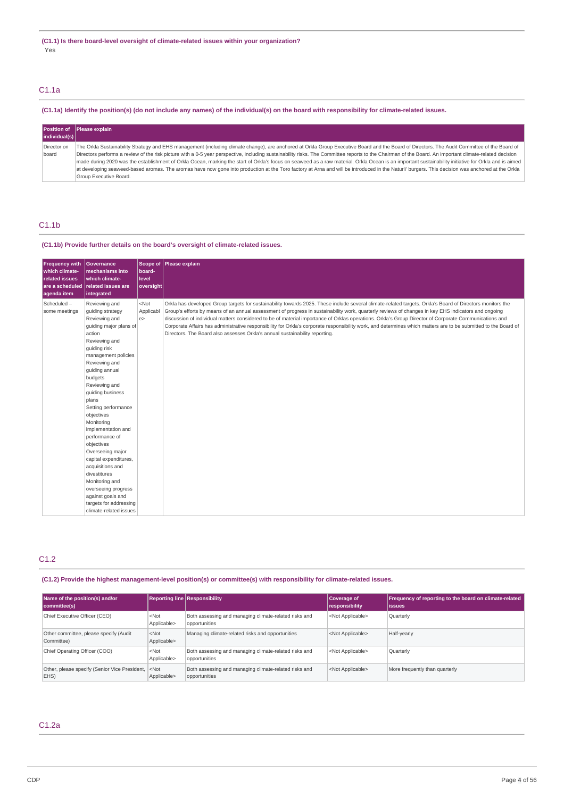## C1.1a

## (C1.1a) Identify the position(s) (do not include any names) of the individual(s) on the board with responsibility for climate-related issues.

|                      | <b>Position of Please explain</b>                                                                                                                                                                                                                                                                                                                                                                                                                                                                                                                                                                                                                                                                                                                                                                                                            |
|----------------------|----------------------------------------------------------------------------------------------------------------------------------------------------------------------------------------------------------------------------------------------------------------------------------------------------------------------------------------------------------------------------------------------------------------------------------------------------------------------------------------------------------------------------------------------------------------------------------------------------------------------------------------------------------------------------------------------------------------------------------------------------------------------------------------------------------------------------------------------|
| individual(s)        |                                                                                                                                                                                                                                                                                                                                                                                                                                                                                                                                                                                                                                                                                                                                                                                                                                              |
| Director on<br>board | The Orkla Sustainability Strategy and EHS management (including climate change), are anchored at Orkla Group Executive Board and the Board of Directors. The Audit Committee of the Board of<br>Directors performs a review of the risk picture with a 0-5 year perspective, including sustainability risks. The Committee reports to the Chairman of the Board. An important climate-related decision<br>made during 2020 was the establishment of Orkla Ocean, marking the start of Orkla's focus on seaweed as a raw material. Orkla Ocean is an important sustainability initiative for Orkla and is aimed<br>at developing seaweed-based aromas. The aromas have now gone into production at the Toro factory at Arna and will be introduced in the Naturli' burgers. This decision was anchored at the Orkla<br>Group Executive Board. |

## C1.1b

## **(C1.1b) Provide further details on the board's oversight of climate-related issues.**

| <b>Frequency with</b><br>which climate-<br><b>related issues</b><br>are a scheduled<br>agenda item | <b>Governance</b><br>mechanisms into<br>which climate-<br>related issues are<br>integrated                                                                                                                                                                                                                                                                                                                                                                                                                                                             | board-<br>level<br>oversight | Scope of Please explain                                                                                                                                                                                                                                                                                                                                                                                                                                                                                                                                                                                                                                                                                                     |
|----------------------------------------------------------------------------------------------------|--------------------------------------------------------------------------------------------------------------------------------------------------------------------------------------------------------------------------------------------------------------------------------------------------------------------------------------------------------------------------------------------------------------------------------------------------------------------------------------------------------------------------------------------------------|------------------------------|-----------------------------------------------------------------------------------------------------------------------------------------------------------------------------------------------------------------------------------------------------------------------------------------------------------------------------------------------------------------------------------------------------------------------------------------------------------------------------------------------------------------------------------------------------------------------------------------------------------------------------------------------------------------------------------------------------------------------------|
| Scheduled-<br>some meetings                                                                        | Reviewing and<br>quiding strategy<br>Reviewing and<br>guiding major plans of<br>action<br>Reviewing and<br>guiding risk<br>management policies<br>Reviewing and<br>quiding annual<br>budgets<br>Reviewing and<br>quiding business<br>plans<br>Setting performance<br>objectives<br>Monitoring<br>implementation and<br>performance of<br>objectives<br>Overseeing major<br>capital expenditures,<br>acquisitions and<br>divestitures<br>Monitoring and<br>overseeing progress<br>against goals and<br>targets for addressing<br>climate-related issues | $<$ Not<br>Applicabl<br>e >  | Orkla has developed Group targets for sustainability towards 2025. These include several climate-related targets. Orkla's Board of Directors monitors the<br>Group's efforts by means of an annual assessment of progress in sustainability work, quarterly reviews of changes in key EHS indicators and ongoing<br>discussion of individual matters considered to be of material importance of Orklas operations. Orkla's Group Director of Corporate Communications and<br>Corporate Affairs has administrative responsibility for Orkla's corporate responsibility work, and determines which matters are to be submitted to the Board of<br>Directors. The Board also assesses Orkla's annual sustainability reporting. |

## C1.2

## **(C1.2) Provide the highest management-level position(s) or committee(s) with responsibility for climate-related issues.**

| Name of the position(s) and/or<br>committee(s)                      |                        | <b>Reporting line Responsibility</b>                                   | Coverage of<br>responsibility | Frequency of reporting to the board on climate-related<br> issues |
|---------------------------------------------------------------------|------------------------|------------------------------------------------------------------------|-------------------------------|-------------------------------------------------------------------|
| Chief Executive Officer (CEO)                                       | $<$ Not<br>Applicable> | Both assessing and managing climate-related risks and<br>opportunities | <not applicable=""></not>     | Quarterly                                                         |
| Other committee, please specify (Audit<br>Committee)                | $<$ Not<br>Applicable> | Managing climate-related risks and opportunities                       | <not applicable=""></not>     | Half-yearly                                                       |
| Chief Operating Officer (COO)                                       | $<$ Not<br>Applicable> | Both assessing and managing climate-related risks and<br>opportunities | <not applicable=""></not>     | Quarterly                                                         |
| Other, please specify (Senior Vice President, <not<br>EHS)</not<br> | Applicable>            | Both assessing and managing climate-related risks and<br>opportunities | <not applicable=""></not>     | More frequently than quarterly                                    |

## C1.2a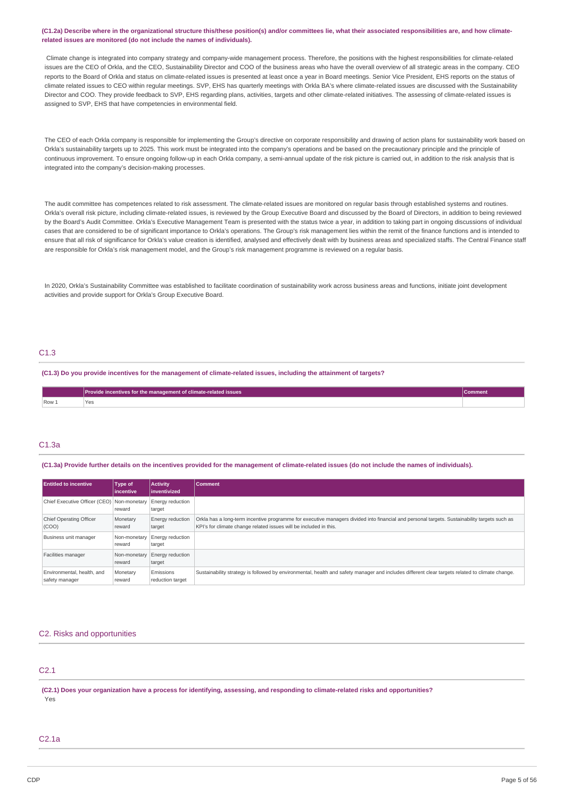### (C1.2a) Describe where in the organizational structure this/these position(s) and/or committees lie, what their associated responsibilities are, and how climate**related issues are monitored (do not include the names of individuals).**

Climate change is integrated into company strategy and company-wide management process. Therefore, the positions with the highest responsibilities for climate-related issues are the CEO of Orkla, and the CEO, Sustainability Director and COO of the business areas who have the overall overview of all strategic areas in the company. CEO reports to the Board of Orkla and status on climate-related issues is presented at least once a year in Board meetings. Senior Vice President, EHS reports on the status of climate related issues to CEO within regular meetings. SVP, EHS has quarterly meetings with Orkla BA's where climate-related issues are discussed with the Sustainability Director and COO. They provide feedback to SVP, EHS regarding plans, activities, targets and other climate-related initiatives. The assessing of climate-related issues is assigned to SVP, EHS that have competencies in environmental field.

The CEO of each Orkla company is responsible for implementing the Group's directive on corporate responsibility and drawing of action plans for sustainability work based on Orkla's sustainability targets up to 2025. This work must be integrated into the company's operations and be based on the precautionary principle and the principle of continuous improvement. To ensure ongoing follow-up in each Orkla company, a semi-annual update of the risk picture is carried out, in addition to the risk analysis that is integrated into the company's decision-making processes.

The audit committee has competences related to risk assessment. The climate-related issues are monitored on regular basis through established systems and routines. Orkla's overall risk picture, including climate-related issues, is reviewed by the Group Executive Board and discussed by the Board of Directors, in addition to being reviewed by the Board's Audit Committee. Orkla's Executive Management Team is presented with the status twice a year, in addition to taking part in ongoing discussions of individual cases that are considered to be of significant importance to Orkla's operations. The Group's risk management lies within the remit of the finance functions and is intended to ensure that all risk of significance for Orkla's value creation is identified, analysed and effectively dealt with by business areas and specialized staffs. The Central Finance staff are responsible for Orkla's risk management model, and the Group's risk management programme is reviewed on a regular basis.

In 2020, Orkla's Sustainability Committee was established to facilitate coordination of sustainability work across business areas and functions, initiate joint development activities and provide support for Orkla's Group Executive Board.

## C1.3

(C1.3) Do you provide incentives for the management of climate-related issues, including the attainment of targets?

|       | Provide incentives for the management of climate-related issues \ |  |
|-------|-------------------------------------------------------------------|--|
| Row 1 | Yes                                                               |  |

## C1.3a

(C1.3a) Provide further details on the incentives provided for the management of climate-related issues (do not include the names of individuals).

| <b>Entitled to incentive</b>                 | <b>Type of</b><br>lincentive | <b>Activity</b><br>l inventivized | <b>Comment</b>                                                                                                                                                                                                    |
|----------------------------------------------|------------------------------|-----------------------------------|-------------------------------------------------------------------------------------------------------------------------------------------------------------------------------------------------------------------|
| Chief Executive Officer (CEO) Non-monetary   | reward                       | Energy reduction<br>target        |                                                                                                                                                                                                                   |
| Chief Operating Officer<br>(COO)             | Monetary<br>reward           | Energy reduction<br>target        | Orkla has a long-term incentive programme for executive managers divided into financial and personal targets. Sustainability targets such as<br>KPI's for climate change related issues will be included in this. |
| Business unit manager                        | Non-monetary<br>reward       | Energy reduction<br>target        |                                                                                                                                                                                                                   |
| Facilities manager                           | Non-monetary<br>reward       | <b>Energy reduction</b><br>target |                                                                                                                                                                                                                   |
| Environmental, health, and<br>safety manager | Monetary<br>reward           | Emissions<br>reduction target     | Sustainability strategy is followed by environmental, health and safety manager and includes different clear targets related to climate change.                                                                   |

## C2. Risks and opportunities

## C2.1

(C2.1) Does your organization have a process for identifying, assessing, and responding to climate-related risks and opportunities? Yes

## C2.1a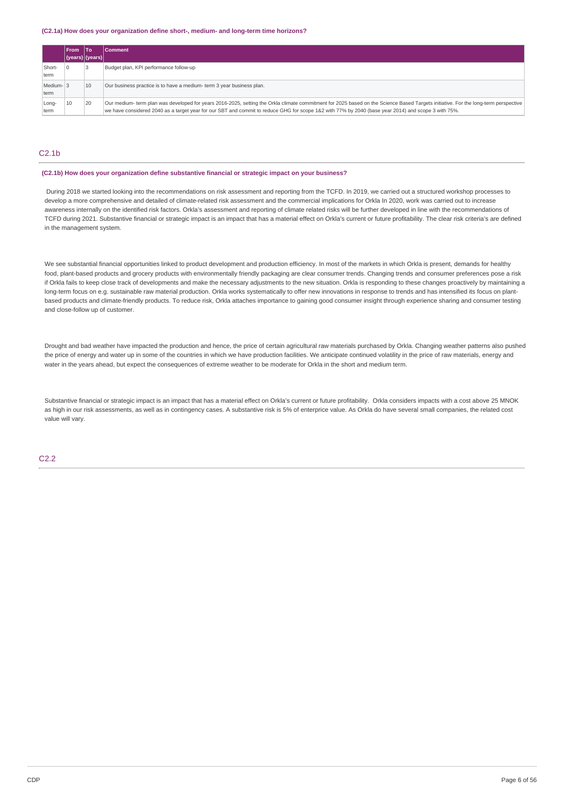#### **(C2.1a) How does your organization define short-, medium- and long-term time horizons?**

|                   | l From                      | 1To | <b>Comment</b>                                                                                                                                                                                                                                                                                                                             |
|-------------------|-----------------------------|-----|--------------------------------------------------------------------------------------------------------------------------------------------------------------------------------------------------------------------------------------------------------------------------------------------------------------------------------------------|
|                   | $ $ (years) $ $ (years) $ $ |     |                                                                                                                                                                                                                                                                                                                                            |
| Short-<br>term    |                             |     | Budget plan, KPI performance follow-up                                                                                                                                                                                                                                                                                                     |
| Medium-13<br>term |                             | 10  | Our business practice is to have a medium- term 3 year business plan.                                                                                                                                                                                                                                                                      |
| Long-<br>term     | 10                          | 20  | Our medium- term plan was developed for years 2016-2025, setting the Orkla climate commitment for 2025 based on the Science Based Targets initiative. For the long-term perspective<br>we have considered 2040 as a target year for our SBT and commit to reduce GHG for scope 1&2 with 77% by 2040 (base year 2014) and scope 3 with 75%. |

## C2.1b

## **(C2.1b) How does your organization define substantive financial or strategic impact on your business?**

During 2018 we started looking into the recommendations on risk assessment and reporting from the TCFD. In 2019, we carried out a structured workshop processes to develop a more comprehensive and detailed of climate-related risk assessment and the commercial implications for Orkla In 2020, work was carried out to increase awareness internally on the identified risk factors. Orkla's assessment and reporting of climate related risks will be further developed in line with the recommendations of TCFD during 2021. Substantive financial or strategic impact is an impact that has a material effect on Orkla's current or future profitability. The clear risk criteria's are defined in the management system.

We see substantial financial opportunities linked to product development and production efficiency. In most of the markets in which Orkla is present, demands for healthy food, plant-based products and grocery products with environmentally friendly packaging are clear consumer trends. Changing trends and consumer preferences pose a risk if Orkla fails to keep close track of developments and make the necessary adjustments to the new situation. Orkla is responding to these changes proactively by maintaining a long-term focus on e.g. sustainable raw material production. Orkla works systematically to offer new innovations in response to trends and has intensified its focus on plantbased products and climate-friendly products. To reduce risk, Orkla attaches importance to gaining good consumer insight through experience sharing and consumer testing and close-follow up of customer.

Drought and bad weather have impacted the production and hence, the price of certain agricultural raw materials purchased by Orkla. Changing weather patterns also pushed the price of energy and water up in some of the countries in which we have production facilities. We anticipate continued volatility in the price of raw materials, energy and water in the years ahead, but expect the consequences of extreme weather to be moderate for Orkla in the short and medium term.

Substantive financial or strategic impact is an impact that has a material effect on Orkla's current or future profitability. Orkla considers impacts with a cost above 25 MNOK as high in our risk assessments, as well as in contingency cases. A substantive risk is 5% of enterprice value. As Orkla do have several small companies, the related cost value will vary.

#### C2.2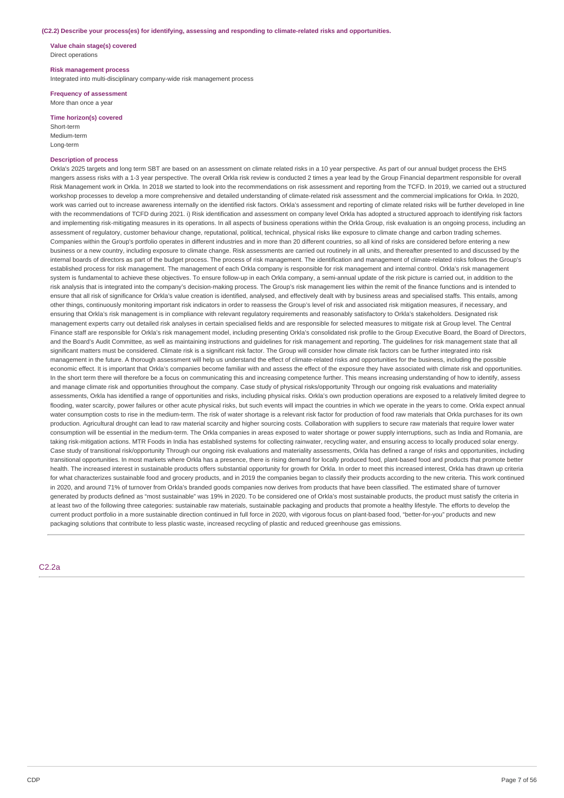#### **(C2.2) Describe your process(es) for identifying, assessing and responding to climate-related risks and opportunities.**

**Value chain stage(s) covered** Direct operations

#### **Risk management process**

Integrated into multi-disciplinary company-wide risk management process

#### **Frequency of assessment** More than once a year

**Time horizon(s) covered**

Short-term Medium-term Long-term

## **Description of process**

Orkla's 2025 targets and long term SBT are based on an assessment on climate related risks in a 10 year perspective. As part of our annual budget process the EHS mangers assess risks with a 1-3 year perspective. The overall Orkla risk review is conducted 2 times a year lead by the Group Financial department responsible for overall Risk Management work in Orkla. In 2018 we started to look into the recommendations on risk assessment and reporting from the TCFD. In 2019, we carried out a structured workshop processes to develop a more comprehensive and detailed understanding of climate-related risk assessment and the commercial implications for Orkla. In 2020, work was carried out to increase awareness internally on the identified risk factors. Orkla's assessment and reporting of climate related risks will be further developed in line with the recommendations of TCFD during 2021. i) Risk identification and assessment on company level Orkla has adopted a structured approach to identifying risk factors and implementing risk-mitigating measures in its operations. In all aspects of business operations within the Orkla Group, risk evaluation is an ongoing process, including an assessment of regulatory, customer behaviour change, reputational, political, technical, physical risks like exposure to climate change and carbon trading schemes. Companies within the Group's portfolio operates in different industries and in more than 20 different countries, so all kind of risks are considered before entering a new business or a new country, including exposure to climate change. Risk assessments are carried out routinely in all units, and thereafter presented to and discussed by the internal boards of directors as part of the budget process. The process of risk management. The identification and management of climate-related risks follows the Group's established process for risk management. The management of each Orkla company is responsible for risk management and internal control. Orkla's risk management system is fundamental to achieve these objectives. To ensure follow-up in each Orkla company, a semi-annual update of the risk picture is carried out, in addition to the risk analysis that is integrated into the company's decision-making process. The Group's risk management lies within the remit of the finance functions and is intended to ensure that all risk of significance for Orkla's value creation is identified, analysed, and effectively dealt with by business areas and specialised staffs. This entails, among other things, continuously monitoring important risk indicators in order to reassess the Group's level of risk and associated risk mitigation measures, if necessary, and ensuring that Orkla's risk management is in compliance with relevant regulatory requirements and reasonably satisfactory to Orkla's stakeholders. Designated risk management experts carry out detailed risk analyses in certain specialised fields and are responsible for selected measures to mitigate risk at Group level. The Central Finance staff are responsible for Orkla's risk management model, including presenting Orkla's consolidated risk profile to the Group Executive Board, the Board of Directors, and the Board's Audit Committee, as well as maintaining instructions and guidelines for risk management and reporting. The guidelines for risk management state that all significant matters must be considered. Climate risk is a significant risk factor. The Group will consider how climate risk factors can be further integrated into risk management in the future. A thorough assessment will help us understand the effect of climate-related risks and opportunities for the business, including the possible economic effect. It is important that Orkla's companies become familiar with and assess the effect of the exposure they have associated with climate risk and opportunities. In the short term there will therefore be a focus on communicating this and increasing competence further. This means increasing understanding of how to identify, assess and manage climate risk and opportunities throughout the company. Case study of physical risks/opportunity Through our ongoing risk evaluations and materiality assessments, Orkla has identified a range of opportunities and risks, including physical risks. Orkla's own production operations are exposed to a relatively limited degree to flooding, water scarcity, power failures or other acute physical risks, but such events will impact the countries in which we operate in the years to come. Orkla expect annual water consumption costs to rise in the medium-term. The risk of water shortage is a relevant risk factor for production of food raw materials that Orkla purchases for its own production. Agricultural drought can lead to raw material scarcity and higher sourcing costs. Collaboration with suppliers to secure raw materials that require lower water consumption will be essential in the medium-term. The Orkla companies in areas exposed to water shortage or power supply interruptions, such as India and Romania, are taking risk-mitigation actions. MTR Foods in India has established systems for collecting rainwater, recycling water, and ensuring access to locally produced solar energy. Case study of transitional risk/opportunity Through our ongoing risk evaluations and materiality assessments, Orkla has defined a range of risks and opportunities, including transitional opportunities. In most markets where Orkla has a presence, there is rising demand for locally produced food, plant-based food and products that promote better health. The increased interest in sustainable products offers substantial opportunity for growth for Orkla. In order to meet this increased interest, Orkla has drawn up criteria for what characterizes sustainable food and grocery products, and in 2019 the companies began to classify their products according to the new criteria. This work continued in 2020, and around 71% of turnover from Orkla's branded goods companies now derives from products that have been classified. The estimated share of turnover generated by products defined as "most sustainable" was 19% in 2020. To be considered one of Orkla's most sustainable products, the product must satisfy the criteria in at least two of the following three categories: sustainable raw materials, sustainable packaging and products that promote a healthy lifestyle. The efforts to develop the current product portfolio in a more sustainable direction continued in full force in 2020, with vigorous focus on plant-based food, "better-for-you" products and new packaging solutions that contribute to less plastic waste, increased recycling of plastic and reduced greenhouse gas emissions.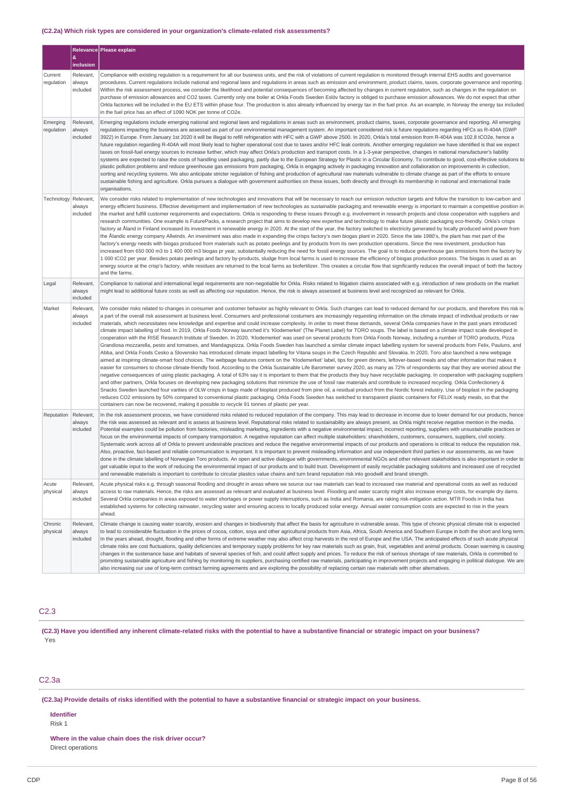## **(C2.2a) Which risk types are considered in your organization's climate-related risk assessments?**

|                        |                                 | Relevance Please explain                                                                                                                                                                                                                                                                                                                                                                                                                                                                                                                                                                                                                                                                                                                                                                                                                                                                                                                                                                                                                                                                                                                                                                                                                                                                                                                                                                                                                                                                                                                                                                                                                                                                                                                                                                                                                                                                                                                                                                                                                                                                                                                                                                                                                                                                                                                                                                                                                                                                                                                                                                  |
|------------------------|---------------------------------|-------------------------------------------------------------------------------------------------------------------------------------------------------------------------------------------------------------------------------------------------------------------------------------------------------------------------------------------------------------------------------------------------------------------------------------------------------------------------------------------------------------------------------------------------------------------------------------------------------------------------------------------------------------------------------------------------------------------------------------------------------------------------------------------------------------------------------------------------------------------------------------------------------------------------------------------------------------------------------------------------------------------------------------------------------------------------------------------------------------------------------------------------------------------------------------------------------------------------------------------------------------------------------------------------------------------------------------------------------------------------------------------------------------------------------------------------------------------------------------------------------------------------------------------------------------------------------------------------------------------------------------------------------------------------------------------------------------------------------------------------------------------------------------------------------------------------------------------------------------------------------------------------------------------------------------------------------------------------------------------------------------------------------------------------------------------------------------------------------------------------------------------------------------------------------------------------------------------------------------------------------------------------------------------------------------------------------------------------------------------------------------------------------------------------------------------------------------------------------------------------------------------------------------------------------------------------------------------|
|                        | &<br>inclusion                  |                                                                                                                                                                                                                                                                                                                                                                                                                                                                                                                                                                                                                                                                                                                                                                                                                                                                                                                                                                                                                                                                                                                                                                                                                                                                                                                                                                                                                                                                                                                                                                                                                                                                                                                                                                                                                                                                                                                                                                                                                                                                                                                                                                                                                                                                                                                                                                                                                                                                                                                                                                                           |
| Current<br>regulation  | Relevant,<br>always<br>included | Compliance with existing regulation is a requirement for all our business units, and the risk of violations of current regulation is monitored through internal EHS audits and governance<br>procedures. Current regulations include national and regional laws and regulations in areas such as emission and environment, product claims, taxes, corporate governance and reporting.<br>Within the risk assessment process, we consider the likelihood and potential consequences of becoming affected by changes in current regulation, such as changes in the regulation on<br>purchase of emission allowances and CO2 taxes. Currently only one boiler at Orkla Foods Sweden Eslöv factory is obliged to purchase emission allowances. We do not expect that other<br>Orkla factories will be included in the EU ETS within phase four. The production is also already influenced by energy tax in the fuel price. As an example, in Norway the energy tax included<br>in the fuel price has an effect of 1090 NOK per tonne of CO2e.                                                                                                                                                                                                                                                                                                                                                                                                                                                                                                                                                                                                                                                                                                                                                                                                                                                                                                                                                                                                                                                                                                                                                                                                                                                                                                                                                                                                                                                                                                                                                 |
| Emerging<br>regulation | Relevant,<br>always<br>included | Emerging regulations include emerging national and regional laws and regulations in areas such as environment, product claims, taxes, corporate governance and reporting. All emerging<br>regulations impacting the business are assessed as part of our environmental management system. An important considered risk is future regulations regarding HFCs as R-404A (GWP<br>3922) in Europe. From January 1st 2020 it will be illegal to refill refrigeration with HFC with a GWP above 2500. In 2020, Orkla's total emission from R-404A was 102.8 tCO2e, hence a<br>future regulation regarding R-404A will most likely lead to higher operational cost due to taxes and/or HFC leak controls. Another emerging regulation we have identified is that we expect<br>taxes on fossil-fuel energy sources to increase further, which may affect Orkla's production and transport costs. In a 1-3-year perspective, changes in national manufacturer's liability<br>systems are expected to raise the costs of handling used packaging, partly due to the European Strategy for Plastic in a Circular Economy. To contribute to good, cost-effective solutions to<br>plastic pollution problems and reduce greenhouse gas emissions from packaging, Orkla is engaging actively in packaging innovation and collaboration on improvements in collection,<br>sorting and recycling systems. We also anticipate stricter regulation of fishing and production of agricultural raw materials vulnerable to climate change as part of the efforts to ensure<br>sustainable fishing and agriculture. Orkla pursues a dialogue with government authorities on these issues, both directly and through its membership in national and international trade<br>organisations.                                                                                                                                                                                                                                                                                                                                                                                                                                                                                                                                                                                                                                                                                                                                                                                                                       |
| Technology             | Relevant,<br>always<br>included | We consider risks related to implementation of new technologies and innovations that will be necessary to reach our emission reduction targets and follow the transition to low-carbon and<br>energy efficient business. Effective development and implementation of new technologies as sustainable packaging and renewable energy is important to maintain a competitive position in<br>the market and fulfill customer requirements and expectations. Orkla is responding to these issues through e.g. involvement in research projects and close cooperation with suppliers and<br>research communities. One example is FuturePacks, a research project that aims to develop new expertise and technology to make future plastic packaging eco-friendly. Orkla's crisps<br>factory at Åland in Finland increased its investment in renewable energy in 2020. At the start of the year, the factory switched to electricity generated by locally produced wind power from<br>the Ålandic energy company Allwinds. An investment was also made in expanding the crisps factory's own biogas plant in 2020. Since the late 1980's, the plant has met part of the<br>factory's energy needs with biogas produced from materials such as potato peelings and by products from its own production operations. Since the new investment, production has<br>increased from 650 000 m3 to 1 400 000 m3 biogas pr year, substantially reducing the need for fossil energy sources. The goal is to reduce greenhouse gas emissions from the factory by<br>1 000 tCO2 per year. Besides potato peelings and factory by-products, sludge from local farms is used to increase the efficiency of biogas production process. The biogas is used as an<br>energy source at the crisp's factory, while residues are returned to the local farms as biofertilizer. This creates a circular flow that significantly reduces the overall impact of both the factory<br>and the farms.                                                                                                                                                                                                                                                                                                                                                                                                                                                                                                                                                                                                                     |
| Legal                  | Relevant,<br>always<br>included | Compliance to national and international legal requirements are non-negotiable for Orkla. Risks related to litigation claims associated with e.g. introduction of new products on the market<br>might lead to additional future costs as well as affecting our reputation. Hence, the risk is always assessed at business level and recognized as relevant for Orkla.                                                                                                                                                                                                                                                                                                                                                                                                                                                                                                                                                                                                                                                                                                                                                                                                                                                                                                                                                                                                                                                                                                                                                                                                                                                                                                                                                                                                                                                                                                                                                                                                                                                                                                                                                                                                                                                                                                                                                                                                                                                                                                                                                                                                                     |
| Market                 | Relevant,<br>always<br>included | We consider risks related to changes in consumer and customer behavior as highly relevant to Orkla. Such changes can lead to reduced demand for our products, and therefore this risk is<br>a part of the overall risk assessment at business level. Consumers and professional costumers are increasingly requesting information on the climate impact of individual products or raw<br>materials, which necessitates new knowledge and expertise and could increase complexity. In order to meet these demands, several Orkla companies have in the past years introduced<br>climate impact labelling of food. In 2019, Orkla Foods Norway launched it's 'Klodemerket' (The Planet Label) for TORO soups. The label is based on a climate impact scale developed in<br>cooperation with the RISE Research Institute of Sweden. In 2020, 'Klodemerket' was used on several products from Orkla Foods Norway, including a number of TORO products, Pizza<br>Grandiosa mozzarella, pesto and tomatoes, and Mandagspizza. Orkla Foods Sweden has launched a similar climate impact labelling system for several products from Felix, Pauluns, and<br>Abba, and Orkla Foods Cesko a Slovensko has introduced climate impact labelling for Vitana soups in the Czech Republic and Slovakia. In 2020, Toro also launched a new webpage<br>aimed at inspiring climate-smart food choices. The webpage features content on the 'Klodemerket' label, tips for green dinners, leftover-based meals and other information that makes it<br>easier for consumers to choose climate-friendly food. According to the Orkla Sustainable Life Barometer survey 2020, as many as 72% of respondents say that they are worried about the<br>negative consequences of using plastic packaging. A total of 63% say it is important to them that the products they buy have recyclable packaging. In cooperation with packaging suppliers<br>and other partners, Orkla focuses on developing new packaging solutions that minimize the use of fossil raw materials and contribute to increased recycling. Orkla Confectionery &<br>Snacks Sweden launched four varities of OLW crisps in bags made of bioplast produced from pine oil, a residual product from the Nordic forest industry. Use of bioplast in the packaging<br>reduces CO2 emissions by 50% compared to conventional plastic packaging. Orkla Foods Sweden has switched to transparent plastic containers for FELIX ready meals, so that the<br>containers can now be recovered, making it possible to recycle 91 tonnes of plastic per year. |
| Reputation             | Relevant,<br>always<br>included | In the risk assessment process, we have considered risks related to reduced reputation of the company. This may lead to decrease in income due to lower demand for our products, hence<br>the risk was assessed as relevant and is assess at business level. Reputational risks related to sustainability are always present, as Orkla might receive negative mention in the media.<br>Potential examples could be pollution from factories, misleading marketing, ingredients with a negative environmental impact, incorrect reporting, suppliers with unsustainable practices or<br>focus on the environmental impacts of company transportation. A negative reputation can affect multiple stakeholders: shareholders, customers, consumers, suppliers, civil society.<br>Systematic work across all of Orkla to prevent undesirable practices and reduce the negative environmental impacts of our products and operations is critical to reduce the reputation risk.<br>Also, proactive, fact-based and reliable communication is important. It is important to prevent misleading information and use independent third parties in our assessments, as we have<br>done in the climate labelling of Norwegian Toro products. An open and active dialogue with governments, environmental NGOs and other relevant stakeholders is also important in order to<br>get valuable input to the work of reducing the environmental impact of our products and to build trust. Development of easily recyclable packaging solutions and increased use of recycled<br>and renewable materials is important to contribute to circular plastics value chains and turn brand reputation risk into goodwill and brand strength.                                                                                                                                                                                                                                                                                                                                                                                                                                                                                                                                                                                                                                                                                                                                                                                                                                                                  |
| Acute<br>physical      | Relevant,<br>always<br>included | Acute physical risks e.g. through seasonal flooding and drought in areas where we source our raw materials can lead to increased raw material and operational costs as well as reduced<br>access to raw materials. Hence, the risks are assessed as relevant and evaluated at business level. Flooding and water scarcity might also increase energy costs, for example dry dams.<br>Several Orkla companies in areas exposed to water shortages or power supply interruptions, such as India and Romania, are raking risk-mitigation action. MTR Foods in India has<br>established systems for collecting rainwater, recycling water and ensuring access to locally produced solar energy. Annual water consumption costs are expected to rise in the years<br>ahead.                                                                                                                                                                                                                                                                                                                                                                                                                                                                                                                                                                                                                                                                                                                                                                                                                                                                                                                                                                                                                                                                                                                                                                                                                                                                                                                                                                                                                                                                                                                                                                                                                                                                                                                                                                                                                    |
| Chronic<br>physical    | Relevant,<br>always<br>included | Climate change is causing water scarcity, erosion and changes in biodiversity that affect the basis for agriculture in vulnerable areas. This type of chronic physical climate risk is expected<br>to lead to considerable fluctuation in the prices of cocoa, cotton, soya and other agricultural products from Asia, Africa, South America and Southern Europe in both the short and long term.<br>In the years ahead, drought, flooding and other forms of extreme weather may also affect crop harvests in the rest of Europe and the USA. The anticipated effects of such acute physical<br>climate risks are cost fluctuations, quality deficiencies and temporary supply problems for key raw materials such as grain, fruit, vegetables and animal products. Ocean warming is causing<br>changes in the sustenance base and habitats of several species of fish, and could affect supply and prices. To reduce the risk of serious shortage of raw materials, Orkla is committed to<br>promoting sustainable agriculture and fishing by monitoring its suppliers, purchasing certified raw materials, participating in improvement projects and engaging in political dialogue. We are<br>also increasing our use of long-term contract farming agreements and are exploring the possibility of replacing certain raw materials with other alternatives.                                                                                                                                                                                                                                                                                                                                                                                                                                                                                                                                                                                                                                                                                                                                                                                                                                                                                                                                                                                                                                                                                                                                                                                                                          |

## C2.3

(C2.3) Have you identified any inherent climate-related risks with the potential to have a substantive financial or strategic impact on your business? Yes

## C2.3a

(C2.3a) Provide details of risks identified with the potential to have a substantive financial or strategic impact on your business.

## **Identifier**

Risk 1

**Where in the value chain does the risk driver occur?** Direct operations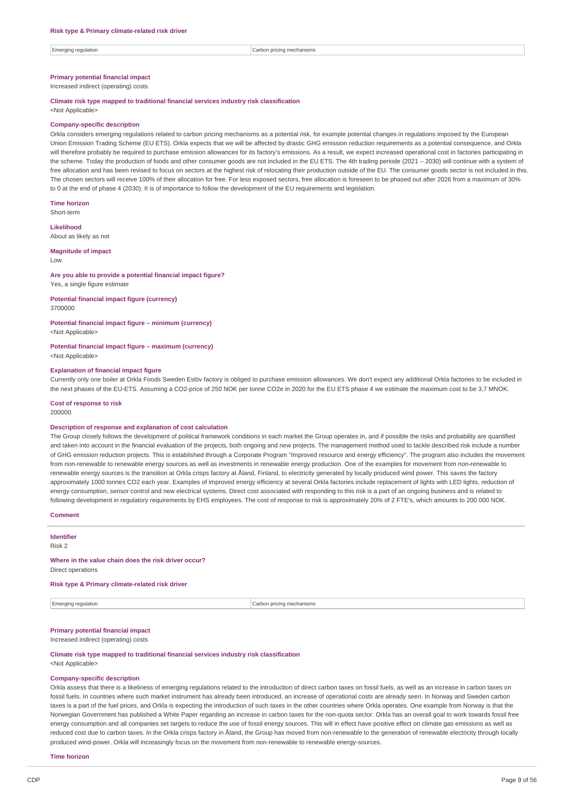Emerging regulation **Carbon pricing mechanisms** carbon pricing mechanisms

## **Primary potential financial impact**

Increased indirect (operating) costs

## **Climate risk type mapped to traditional financial services industry risk classification**

<Not Applicable>

#### **Company-specific description**

Orkla considers emerging regulations related to carbon pricing mechanisms as a potential risk, for example potential changes in regulations imposed by the European Union Emission Trading Scheme (EU ETS). Orkla expects that we will be affected by drastic GHG emission reduction requirements as a potential consequence, and Orkla will therefore probably be required to purchase emission allowances for its factory's emissions. As a result, we expect increased operational cost in factories participating in the scheme. Today the production of foods and other consumer goods are not included in the EU ETS. The 4th trading periode (2021 – 2030) will continue with a system of free allocation and has been revised to focus on sectors at the highest risk of relocating their production outside of the EU. The consumer goods sector is not included in this. The chosen sectors will receive 100% of their allocation for free. For less exposed sectors, free allocation is foreseen to be phased out after 2026 from a maximum of 30% to 0 at the end of phase 4 (2030). It is of importance to follow the development of the EU requirements and legislation.

**Time horizon** Short-term

## **Likelihood**

About as likely as not

**Magnitude of impact**

## Low

### **Are you able to provide a potential financial impact figure?** Yes, a single figure estimate

**Potential financial impact figure (currency)**

3700000

### **Potential financial impact figure – minimum (currency)** <Not Applicable>

**Potential financial impact figure – maximum (currency)** <Not Applicable>

#### **Explanation of financial impact figure**

Currently only one boiler at Orkla Foods Sweden Eslöv factory is obliged to purchase emission allowances. We don't expect any additional Orkla factories to be included in the next phases of the EU-ETS. Assuming a CO2-price of 250 NOK per tonne CO2e in 2020 for the EU ETS phase 4 we estimate the maximum cost to be 3,7 MNOK.

**Cost of response to risk** 200000

#### **Description of response and explanation of cost calculation**

The Group closely follows the development of political framework conditions in each market the Group operates in, and if possible the risks and probability are quantified and taken into account in the financial evaluation of the projects, both ongoing and new projects. The management method used to tackle described risk include a number of GHG emission reduction projects. This is established through a Corporate Program "Improved resource and energy efficiency". The program also includes the movement from non-renewable to renewable energy sources as well as investments in renewable energy production. One of the examples for movement from non-renewable to renewable energy sources is the transition at Orkla crisps factory at Åland, Finland, to electricity generated by locally produced wind power. This saves the factory approximately 1000 tonnes CO2 each year. Examples of improved energy efficiency at several Orkla factories include replacement of lights with LED lights, reduction of energy consumption, sensor control and new electrical systems. Direct cost associated with responding to this risk is a part of an ongoing business and is related to following development in regulatory requirements by EHS employees. The cost of response to risk is approximately 20% of 2 FTE's, which amounts to 200 000 NOK.

#### **Comment**

**Identifier** Risk 2

#### **Where in the value chain does the risk driver occur?**

Direct operations

## **Risk type & Primary climate-related risk driver**

Emerging regulation **Carbon pricing mechanisms** Carbon pricing mechanisms

## **Primary potential financial impact**

Increased indirect (operating) costs

#### **Climate risk type mapped to traditional financial services industry risk classification**

<Not Applicable>

## **Company-specific description**

Orkla assess that there is a likeliness of emerging regulations related to the introduction of direct carbon taxes on fossil fuels, as well as an increase in carbon taxes on fossil fuels. In countries where such market instrument has already been introduced, an increase of operational costs are already seen. In Norway and Sweden carbon taxes is a part of the fuel prices, and Orkla is expecting the introduction of such taxes in the other countries where Orkla operates. One example from Norway is that the Norwegian Government has published a White Paper regarding an increase in carbon taxes for the non-quota sector. Orkla has an overall goal to work towards fossil free energy consumption and all companies set targets to reduce the use of fossil energy sources. This will in effect have positive effect on climate gas emissions as well as reduced cost due to carbon taxes. In the Orkla crisps factory in Åland, the Group has moved from non-renewable to the generation of renewable electricity through locally produced wind-power. Orkla will increasingly focus on the movement from non-renewable to renewable energy-sources.

**Time horizon**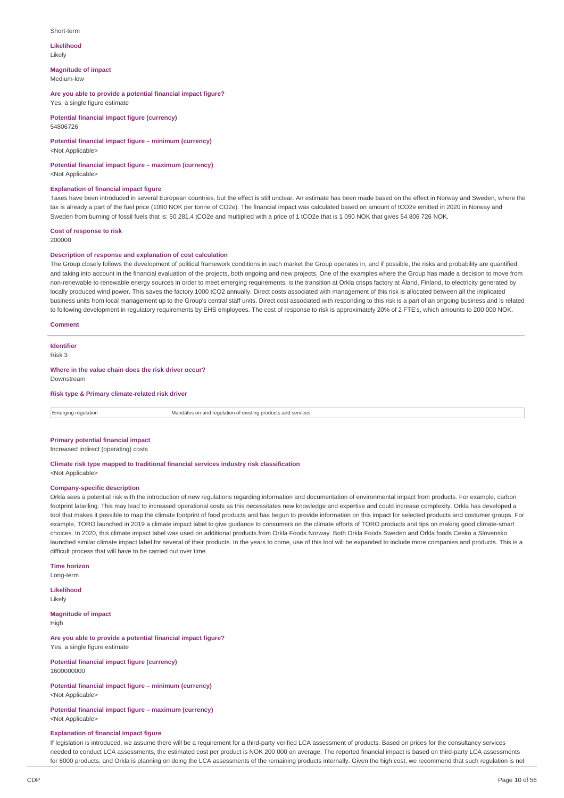#### Short-term

**Likelihood** Likely

## **Magnitude of impact**

Medium-low

### **Are you able to provide a potential financial impact figure?** Yes, a single figure estimate

**Potential financial impact figure (currency)** 54806726

### **Potential financial impact figure – minimum (currency)** <Not Applicable>

**Potential financial impact figure – maximum (currency)**

<Not Applicable>

#### **Explanation of financial impact figure**

Taxes have been introduced in several European countries, but the effect is still unclear. An estimate has been made based on the effect in Norway and Sweden, where the tax is already a part of the fuel price (1090 NOK per tonne of CO2e). The financial impact was calculated based on amount of tCO2e emitted in 2020 in Norway and Sweden from burning of fossil fuels that is: 50 281.4 tCO2e and multiplied with a price of 1 tCO2e that is 1 090 NOK that gives 54 806 726 NOK.

#### **Cost of response to risk** 200000

### **Description of response and explanation of cost calculation**

The Group closely follows the development of political framework conditions in each market the Group operates in, and if possible, the risks and probability are quantified and taking into account in the financial evaluation of the projects, both ongoing and new projects. One of the examples where the Group has made a decision to move from non-renewable to renewable energy sources in order to meet emerging requirements, is the transition at Orkla crisps factory at Åland, Finland, to electricity generated by locally produced wind power. This saves the factory 1000 tCO2 annually. Direct costs associated with management of this risk is allocated between all the implicated business units from local management up to the Group's central staff units. Direct cost associated with responding to this risk is a part of an ongoing business and is related to following development in regulatory requirements by EHS employees. The cost of response to risk is approximately 20% of 2 FTE's, which amounts to 200 000 NOK.

#### **Comment**

## **Identifier**

Risk 3

#### **Where in the value chain does the risk driver occur?** Downstream

**Risk type & Primary climate-related risk driver**

Emerging regulation Mandates on and regulation of existing products and services

## **Primary potential financial impact**

Increased indirect (operating) costs

## **Climate risk type mapped to traditional financial services industry risk classification**

<Not Applicable>

## **Company-specific description**

Orkla sees a potential risk with the introduction of new regulations regarding information and documentation of environmental impact from products. For example, carbon footprint labelling. This may lead to increased operational costs as this necessitates new knowledge and expertise and could increase complexity. Orkla has developed a tool that makes it possible to map the climate footprint of food products and has begun to provide information on this impact for selected products and costumer groups. For example, TORO launched in 2019 a climate impact label to give guidance to consumers on the climate efforts of TORO products and tips on making good climate-smart choices. In 2020, this climate impact label was used on additional products from Orkla Foods Norway. Both Orkla Foods Sweden and Orkla foods Cesko a Slovensko launched similar climate impact label for several of their products. In the years to come, use of this tool will be expanded to include more companies and products. This is a difficult process that will have to be carried out over time.

**Time horizon** Long-term

**Likelihood** Likely

**Magnitude of impact** High

#### **Are you able to provide a potential financial impact figure?** Yes, a single figure estimate

**Potential financial impact figure (currency)** 1600000000

### **Potential financial impact figure – minimum (currency)** <Not Applicable>

**Potential financial impact figure – maximum (currency)** <Not Applicable>

### **Explanation of financial impact figure**

If legislation is introduced, we assume there will be a requirement for a third-party verified LCA assessment of products. Based on prices for the consultancy services needed to conduct LCA assessments, the estimated cost per product is NOK 200 000 on average. The reported financial impact is based on third-party LCA assessments for 8000 products, and Orkla is planning on doing the LCA assessments of the remaining products internally. Given the high cost, we recommend that such regulation is not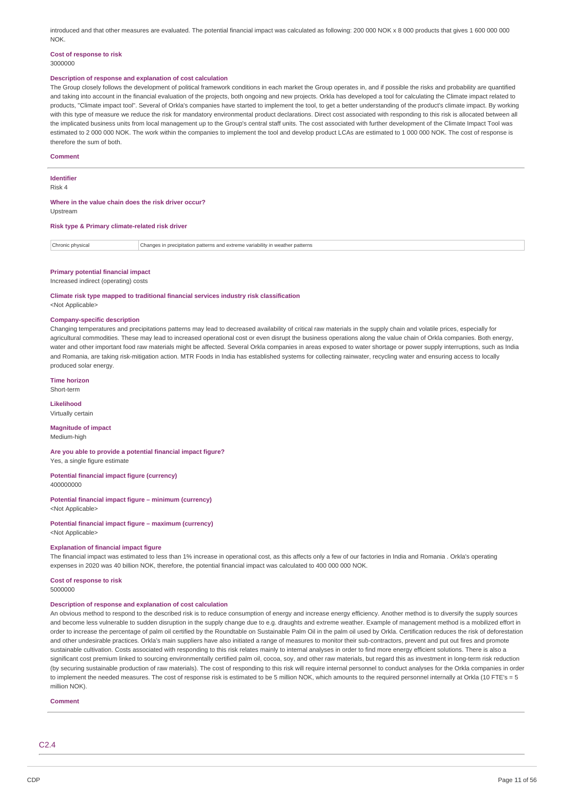introduced and that other measures are evaluated. The potential financial impact was calculated as following: 200 000 NOK x 8 000 products that gives 1 600 000 000 000 **NOK** 

#### **Cost of response to risk** 3000000

#### **Description of response and explanation of cost calculation**

The Group closely follows the development of political framework conditions in each market the Group operates in, and if possible the risks and probability are quantified and taking into account in the financial evaluation of the projects, both ongoing and new projects. Orkla has developed a tool for calculating the Climate impact related to products, "Climate impact tool". Several of Orkla's companies have started to implement the tool, to get a better understanding of the product's climate impact. By working with this type of measure we reduce the risk for mandatory environmental product declarations. Direct cost associated with responding to this risk is allocated between all the implicated business units from local management up to the Group's central staff units. The cost associated with further development of the Climate Impact Tool was estimated to 2000 000 NOK. The work within the companies to implement the tool and develop product LCAs are estimated to 1000 000 NOK. The cost of response is therefore the sum of both.

#### **Comment**

#### **Identifier**

Risk 4

#### **Where in the value chain does the risk driver occur?** Upstream

#### **Risk type & Primary climate-related risk driver**

Chronic physical Changes in precipitation patterns and extreme variability in weather patterns

#### **Primary potential financial impact**

Increased indirect (operating) costs

## **Climate risk type mapped to traditional financial services industry risk classification**

<Not Applicable>

#### **Company-specific description**

Changing temperatures and precipitations patterns may lead to decreased availability of critical raw materials in the supply chain and volatile prices, especially for agricultural commodities. These may lead to increased operational cost or even disrupt the business operations along the value chain of Orkla companies. Both energy, water and other important food raw materials might be affected. Several Orkla companies in areas exposed to water shortage or power supply interruptions, such as India and Romania, are taking risk-mitigation action. MTR Foods in India has established systems for collecting rainwater, recycling water and ensuring access to locally produced solar energy.

### **Time horizon**

Short-term

**Likelihood** Virtually certain

## **Magnitude of impact**

Medium-high

#### **Are you able to provide a potential financial impact figure?** Yes, a single figure estimate

**Potential financial impact figure (currency)** 400000000

**Potential financial impact figure – minimum (currency)** <Not Applicable>

**Potential financial impact figure – maximum (currency)**

<Not Applicable>

#### **Explanation of financial impact figure**

The financial impact was estimated to less than 1% increase in operational cost, as this affects only a few of our factories in India and Romania . Orkla's operating expenses in 2020 was 40 billion NOK, therefore, the potential financial impact was calculated to 400 000 000 NOK.

#### **Cost of response to risk** 5000000

#### **Description of response and explanation of cost calculation**

An obvious method to respond to the described risk is to reduce consumption of energy and increase energy efficiency. Another method is to diversify the supply sources and become less vulnerable to sudden disruption in the supply change due to e.g. draughts and extreme weather. Example of management method is a mobilized effort in order to increase the percentage of palm oil certified by the Roundtable on Sustainable Palm Oil in the palm oil used by Orkla. Certification reduces the risk of deforestation and other undesirable practices. Orkla's main suppliers have also initiated a range of measures to monitor their sub-contractors, prevent and put out fires and promote sustainable cultivation. Costs associated with responding to this risk relates mainly to internal analyses in order to find more energy efficient solutions. There is also a significant cost premium linked to sourcing environmentally certified palm oil, cocoa, soy, and other raw materials, but regard this as investment in long-term risk reduction (by securing sustainable production of raw materials). The cost of responding to this risk will require internal personnel to conduct analyses for the Orkla companies in order to implement the needed measures. The cost of response risk is estimated to be 5 million NOK, which amounts to the required personnel internally at Orkla (10 FTE's = 5 million NOK).

#### **Comment**

C2.4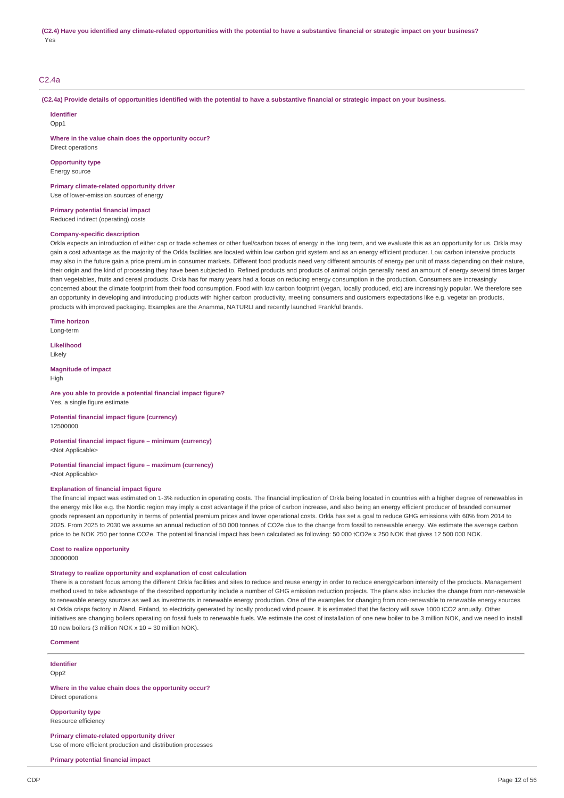## C2.4a

(C2.4a) Provide details of opportunities identified with the potential to have a substantive financial or strategic impact on your business.

**Identifier**  $Onn1$ 

**Where in the value chain does the opportunity occur?**

Direct operations **Opportunity type**

Energy source

**Primary climate-related opportunity driver** Use of lower-emission sources of energy

**Primary potential financial impact**

Reduced indirect (operating) costs

### **Company-specific description**

Orkla expects an introduction of either cap or trade schemes or other fuel/carbon taxes of energy in the long term, and we evaluate this as an opportunity for us. Orkla may gain a cost advantage as the majority of the Orkla facilities are located within low carbon grid system and as an energy efficient producer. Low carbon intensive products may also in the future gain a price premium in consumer markets. Different food products need very different amounts of energy per unit of mass depending on their nature, their origin and the kind of processing they have been subjected to. Refined products and products of animal origin generally need an amount of energy several times larger than vegetables, fruits and cereal products. Orkla has for many years had a focus on reducing energy consumption in the production. Consumers are increasingly concerned about the climate footprint from their food consumption. Food with low carbon footprint (vegan, locally produced, etc) are increasingly popular. We therefore see an opportunity in developing and introducing products with higher carbon productivity, meeting consumers and customers expectations like e.g. vegetarian products, products with improved packaging. Examples are the Anamma, NATURLI and recently launched Frankful brands.

**Time horizon**

Long-term

**Likelihood** Likely

**Magnitude of impact** High

## **Are you able to provide a potential financial impact figure?**

Yes, a single figure estimate

#### **Potential financial impact figure (currency)** 12500000

#### **Potential financial impact figure – minimum (currency)** <Not Applicable>

### **Potential financial impact figure – maximum (currency)** <Not Applicable>

#### **Explanation of financial impact figure**

The financial impact was estimated on 1-3% reduction in operating costs. The financial implication of Orkla being located in countries with a higher degree of renewables in the energy mix like e.g. the Nordic region may imply a cost advantage if the price of carbon increase, and also being an energy efficient producer of branded consumer goods represent an opportunity in terms of potential premium prices and lower operational costs. Orkla has set a goal to reduce GHG emissions with 60% from 2014 to 2025. From 2025 to 2030 we assume an annual reduction of 50 000 tonnes of CO2e due to the change from fossil to renewable energy. We estimate the average carbon price to be NOK 250 per tonne CO2e. The potential financial impact has been calculated as following: 50 000 tCO2e x 250 NOK that gives 12 500 000 NOK.

#### **Cost to realize opportunity**

30000000

#### **Strategy to realize opportunity and explanation of cost calculation**

There is a constant focus among the different Orkla facilities and sites to reduce and reuse energy in order to reduce energy/carbon intensity of the products. Management method used to take advantage of the described opportunity include a number of GHG emission reduction projects. The plans also includes the change from non-renewable to renewable energy sources as well as investments in renewable energy production. One of the examples for changing from non-renewable to renewable energy sources at Orkla crisps factory in Åland, Finland, to electricity generated by locally produced wind power. It is estimated that the factory will save 1000 tCO2 annually. Other initiatives are changing boilers operating on fossil fuels to renewable fuels. We estimate the cost of installation of one new boiler to be 3 million NOK, and we need to install 10 new boilers (3 million NOK x 10 = 30 million NOK).

**Comment**

**Identifier**

Opp2

**Where in the value chain does the opportunity occur?** Direct operations

**Opportunity type** Resource efficiency

**Primary climate-related opportunity driver** Use of more efficient production and distribution processes

**Primary potential financial impact**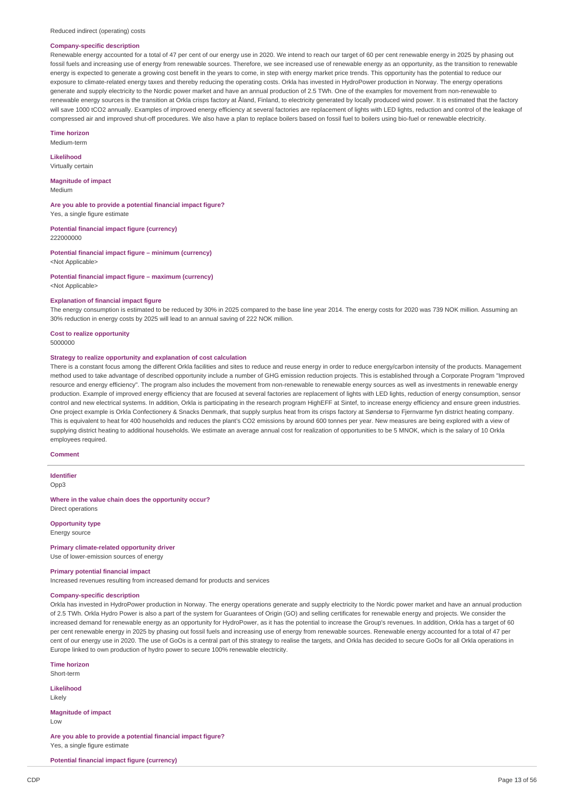#### **Company-specific description**

Renewable energy accounted for a total of 47 per cent of our energy use in 2020. We intend to reach our target of 60 per cent renewable energy in 2025 by phasing out fossil fuels and increasing use of energy from renewable sources. Therefore, we see increased use of renewable energy as an opportunity, as the transition to renewable energy is expected to generate a growing cost benefit in the years to come, in step with energy market price trends. This opportunity has the potential to reduce our exposure to climate-related energy taxes and thereby reducing the operating costs. Orkla has invested in HydroPower production in Norway. The energy operations generate and supply electricity to the Nordic power market and have an annual production of 2.5 TWh. One of the examples for movement from non-renewable to renewable energy sources is the transition at Orkla crisps factory at Åland, Finland, to electricity generated by locally produced wind power. It is estimated that the factory will save 1000 tCO2 annually. Examples of improved energy efficiency at several factories are replacement of lights with LED lights, reduction and control of the leakage of compressed air and improved shut-off procedures. We also have a plan to replace boilers based on fossil fuel to boilers using bio-fuel or renewable electricity.

**Time horizon** Medium-term

**Likelihood** Virtually certain

**Magnitude of impact**

Medium

**Are you able to provide a potential financial impact figure?** Yes, a single figure estimate

**Potential financial impact figure (currency)** 222000000

**Potential financial impact figure – minimum (currency)** <Not Applicable>

**Potential financial impact figure – maximum (currency)** <Not Applicable>

#### **Explanation of financial impact figure**

The energy consumption is estimated to be reduced by 30% in 2025 compared to the base line year 2014. The energy costs for 2020 was 739 NOK million. Assuming an 30% reduction in energy costs by 2025 will lead to an annual saving of 222 NOK million.

#### **Cost to realize opportunity** 5000000

### **Strategy to realize opportunity and explanation of cost calculation**

There is a constant focus among the different Orkla facilities and sites to reduce and reuse energy in order to reduce energy/carbon intensity of the products. Management method used to take advantage of described opportunity include a number of GHG emission reduction projects. This is established through a Corporate Program "Improved resource and energy efficiency". The program also includes the movement from non-renewable to renewable energy sources as well as investments in renewable energy production. Example of improved energy efficiency that are focused at several factories are replacement of lights with LED lights, reduction of energy consumption, sensor control and new electrical systems. In addition, Orkla is participating in the research program HighEFF at Sintef, to increase energy efficiency and ensure green industries. One project example is Orkla Confectionery & Snacks Denmark, that supply surplus heat from its crisps factory at Søndersø to Fjernvarme fyn district heating company. This is equivalent to heat for 400 households and reduces the plant's CO2 emissions by around 600 tonnes per year. New measures are being explored with a view of supplying district heating to additional households. We estimate an average annual cost for realization of opportunities to be 5 MNOK, which is the salary of 10 Orkla employees required.

#### **Comment**

## **Identifier**

Opp3

**Where in the value chain does the opportunity occur?** Direct operations

#### **Opportunity type**

Energy source

**Primary climate-related opportunity driver** Use of lower-emission sources of energy

## **Primary potential financial impact**

Increased revenues resulting from increased demand for products and services

## **Company-specific description**

Orkla has invested in HydroPower production in Norway. The energy operations generate and supply electricity to the Nordic power market and have an annual production of 2.5 TWh. Orkla Hydro Power is also a part of the system for Guarantees of Origin (GO) and selling certificates for renewable energy and projects. We consider the increased demand for renewable energy as an opportunity for HydroPower, as it has the potential to increase the Group's revenues. In addition, Orkla has a target of 60 per cent renewable energy in 2025 by phasing out fossil fuels and increasing use of energy from renewable sources. Renewable energy accounted for a total of 47 per cent of our energy use in 2020. The use of GoOs is a central part of this strategy to realise the targets, and Orkla has decided to secure GoOs for all Orkla operations in Europe linked to own production of hydro power to secure 100% renewable electricity.

**Time horizon** Short-term

**Likelihood**

Likely

**Magnitude of impact**

Low

**Are you able to provide a potential financial impact figure?** Yes, a single figure estimate

**Potential financial impact figure (currency)**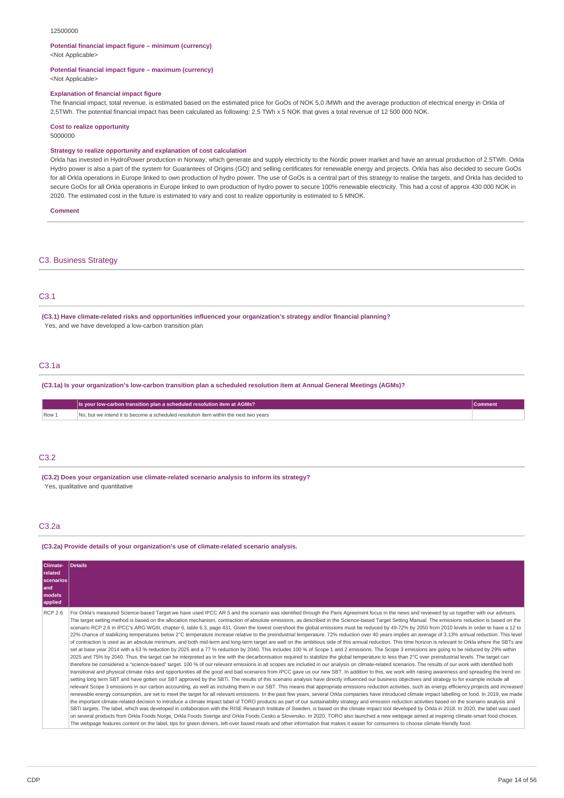#### 12500000

#### **Potential financial impact figure – minimum (currency)**

<Not Applicable>

#### **Potential financial impact figure – maximum (currency)**

<Not Applicable>

#### **Explanation of financial impact figure**

The financial impact, total revenue, is estimated based on the estimated price for GoOs of NOK 5,0 /MWh and the average production of electrical energy in Orkla of 2,5TWh. The potential financial impact has been calculated as following: 2,5 TWh x 5 NOK that gives a total revenue of 12 500 000 NOK.

#### **Cost to realize opportunity**

5000000

#### **Strategy to realize opportunity and explanation of cost calculation**

Orkla has invested in HydroPower production in Norway, which generate and supply electricity to the Nordic power market and have an annual production of 2.5TWh. Orkla Hydro power is also a part of the system for Guarantees of Origins (GO) and selling certificates for renewable energy and projects. Orkla has also decided to secure GoOs for all Orkla operations in Europe linked to own production of hydro power. The use of GoOs is a central part of this strategy to realise the targets, and Orkla has decided to secure GoOs for all Orkla operations in Europe linked to own production of hydro power to secure 100% renewable electricity. This had a cost of approx 430 000 NOK in 2020. The estimated cost in the future is estimated to vary and cost to realize opportunity is estimated to 5 MNOK.

**Comment**

### C3. Business Strategy

## C3.1

**(C3.1) Have climate-related risks and opportunities influenced your organization's strategy and/or financial planning?** Yes, and we have developed a low-carbon transition plan

## C3.1a

(C3.1a) Is your organization's low-carbon transition plan a scheduled resolution item at Annual General Meetings (AGMs)?

|                | Is your low-carbon transition plan a scheduled resolution item at AGMs?              | <b>Comment</b> |
|----------------|--------------------------------------------------------------------------------------|----------------|
| $\sqrt{$ Row 1 | No, but we intend it to become a scheduled resolution item within the next two years |                |

### C3.2

**(C3.2) Does your organization use climate-related scenario analysis to inform its strategy?** Yes, qualitative and quantitative

## C3.2a

#### **(C3.2a) Provide details of your organization's use of climate-related scenario analysis.**

| Climate-<br>related<br>scenarios<br>and<br>models<br>applied | Details                                                                                                                                                                                                                                                                                                                                                                                                                                                                                                                                                                                                                                                                                                                                                                                                                                                                                                                                                                                                                                                                                                                                                                                                                                                                                                                                                                                                                                                                                                                                                                                                                                                                                                                                                                                                                                                                                                                                                                                                                                                                                                                                                                                                                                                                                                                                                                                                                                                                                                                                                                                                                                                                                                                                                                                                                                                                                                                                                                                                                                                                                                                                                                                                                                                                                          |
|--------------------------------------------------------------|--------------------------------------------------------------------------------------------------------------------------------------------------------------------------------------------------------------------------------------------------------------------------------------------------------------------------------------------------------------------------------------------------------------------------------------------------------------------------------------------------------------------------------------------------------------------------------------------------------------------------------------------------------------------------------------------------------------------------------------------------------------------------------------------------------------------------------------------------------------------------------------------------------------------------------------------------------------------------------------------------------------------------------------------------------------------------------------------------------------------------------------------------------------------------------------------------------------------------------------------------------------------------------------------------------------------------------------------------------------------------------------------------------------------------------------------------------------------------------------------------------------------------------------------------------------------------------------------------------------------------------------------------------------------------------------------------------------------------------------------------------------------------------------------------------------------------------------------------------------------------------------------------------------------------------------------------------------------------------------------------------------------------------------------------------------------------------------------------------------------------------------------------------------------------------------------------------------------------------------------------------------------------------------------------------------------------------------------------------------------------------------------------------------------------------------------------------------------------------------------------------------------------------------------------------------------------------------------------------------------------------------------------------------------------------------------------------------------------------------------------------------------------------------------------------------------------------------------------------------------------------------------------------------------------------------------------------------------------------------------------------------------------------------------------------------------------------------------------------------------------------------------------------------------------------------------------------------------------------------------------------------------------------------------------|
| <b>RCP 2.6</b>                                               | For Orkla's measured Science-based Target we have used IPCC AR 5 and the scenario was identified through the Paris Agreement focus in the news and reviewed by us together with our advisors.<br>The target setting method is based on the allocation mechanism, contraction of absolute emissions, as described in the Science-based Target Setting Manual. The emissions reduction is based on the<br>scenario RCP 2.6 in IPCC's ARG WGIII, chapter 6, table 6.3, page 431. Given the lowest overshoot the global emissions must be reduced by 49-72% by 2050 from 2010 levels in order to have a 12 to<br>22% chance of stabilizing temperatures below 2°C temperature increase relative to the preindustrial temperature. 72% reduction over 40 years implies an average of 3.13% annual reduction. This level<br>of contraction is used as an absolute minimum, and both mid-term and long-term target are well on the ambitious side of this annual reduction. This time horizon is relevant to Orkla where the SBTs are<br>set at base year 2014 with a 63 % reduction by 2025 and a 77 % reduction by 2040. This includes 100 % of Scope 1 and 2 emissions. The Scope 3 emissions are going to be reduced by 29% within<br>2025 and 75% by 2040. Thus, the target can be interpreted as in line with the decarbonisation required to stabilize the global temperature to less than 2℃ over preindustrial levels. The target can<br>therefore be considered a "science-based" target. 100 % of our relevant emissions in all scopes are included in our analysis on climate-related scenarios. The results of our work with identified both<br>transitional and physical climate risks and opportunities all the good and bad scenarios from IPCC gave us our new SBT. In addition to this, we work with raising awareness and spreading the trend on<br>setting long term SBT and have gotten our SBT approved by the SBTi. The results of this scenario analysis have directly influenced our business objectives and strategy to for example include all<br>relevant Scope 3 emissions in our carbon accounting, as well as including them in our SBT. This means that appropriate emissions reduction activities, such as energy efficiency projects and increased<br>renewable energy consumption, are set to meet the target for all relevant emissions. In the past few years, several Orkla companies have introduced climate impact labelling on food. In 2019, we made<br>the important climate-related decision to introduce a climate impact label of TORO products as part of our sustainability strategy and emission reduction activities based on the scenario analysis and<br>SBTi targets. The label, which was developed in collaboration with the RISE Research Institute of Sweden, is based on the climate impact tool developed by Orkla in 2018. In 2020, the label was used<br>on several products from Orkla Foods Norge, Orkla Foods Sverige and Orkla Foods Cesko a Slovensko. In 2020, TORO also launched a new webpage aimed at inspiring climate-smart food choices.<br>The webpage features content on the label, tips for green dinners, left-over based meals and other information that makes it easier for consumers to choose climate-friendly food. |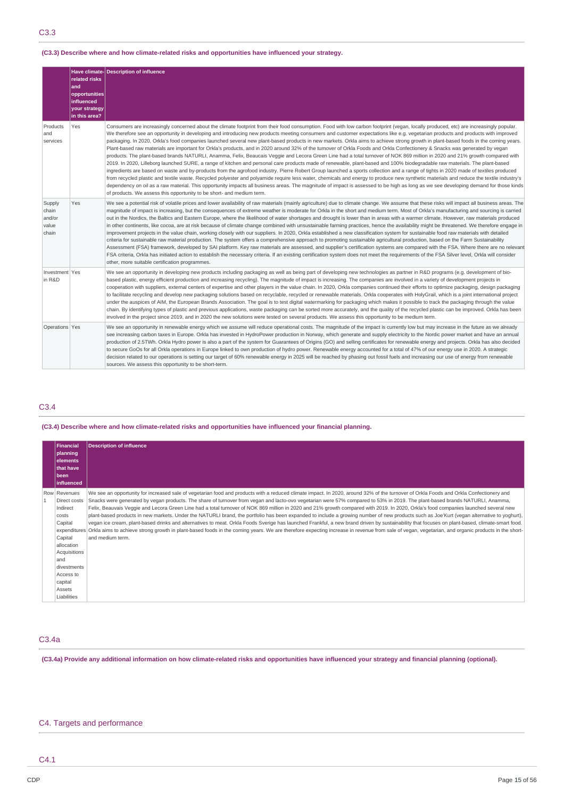## C3.3

## **(C3.3) Describe where and how climate-related risks and opportunities have influenced your strategy.**

|                                             | related risks<br>and<br>opportunities<br>influenced<br>your strategy<br>in this area? | Have climate- Description of influence                                                                                                                                                                                                                                                                                                                                                                                                                                                                                                                                                                                                                                                                                                                                                                                                                                                                                                                                                                                                                                                                                                                                                                                                                                                                                                                                                                                                                                                                                                                                                                                                                                                                                                                        |
|---------------------------------------------|---------------------------------------------------------------------------------------|---------------------------------------------------------------------------------------------------------------------------------------------------------------------------------------------------------------------------------------------------------------------------------------------------------------------------------------------------------------------------------------------------------------------------------------------------------------------------------------------------------------------------------------------------------------------------------------------------------------------------------------------------------------------------------------------------------------------------------------------------------------------------------------------------------------------------------------------------------------------------------------------------------------------------------------------------------------------------------------------------------------------------------------------------------------------------------------------------------------------------------------------------------------------------------------------------------------------------------------------------------------------------------------------------------------------------------------------------------------------------------------------------------------------------------------------------------------------------------------------------------------------------------------------------------------------------------------------------------------------------------------------------------------------------------------------------------------------------------------------------------------|
| Products<br>and<br>services                 | Yes                                                                                   | Consumers are increasingly concerned about the climate footprint from their food consumption. Food with low carbon footprint (vegan, locally produced, etc) are increasingly popular.<br>We therefore see an opportunity in developing and introducing new products meeting consumers and customer expectations like e.g. vegetarian products and products with improved<br>packaging. In 2020, Orkla's food companies launched several new plant-based products in new markets. Orkla aims to achieve strong growth in plant-based foods in the coming years.<br>Plant-based raw materials are important for Orkla's products, and in 2020 around 32% of the turnover of Orkla Foods and Orkla Confectionery & Snacks was generated by vegan<br>products. The plant-based brands NATURLI, Anamma, Felix, Beaucais Veggie and Lecora Green Line had a total turnover of NOK 869 million in 2020 and 21% growth compared with<br>2019. In 2020, Lilleborg launched SURE, a range of kitchen and personal care products made of renewable, plant-based and 100% biodegradable raw materials. The plant-based<br>ingredients are based on waste and by-products from the agrofood industry. Pierre Robert Group launched a sports collection and a range of tights in 2020 made of textiles produced<br>from recycled plastic and textile waste. Recycled polyester and polyamide require less water, chemicals and energy to produce new synthetic materials and reduce the textile industry's<br>dependency on oil as a raw material. This opportunity impacts all business areas. The magnitude of impact is assessed to be high as long as we see developing demand for those kinds<br>of products. We assess this opportunity to be short- and medium term. |
| Supply<br>chain<br>and/or<br>value<br>chain | Yes                                                                                   | We see a potential risk of volatile prices and lower availability of raw materials (mainly agriculture) due to climate change. We assume that these risks will impact all business areas. The<br>magnitude of impact is increasing, but the consequences of extreme weather is moderate for Orkla in the short and medium term. Most of Orkla's manufacturing and sourcing is carried<br>out in the Nordics, the Baltics and Eastern Europe, where the likelihood of water shortages and drought is lower than in areas with a warmer climate. However, raw materials produced<br>in other continents, like cocoa, are at risk because of climate change combined with unsustainable farming practices, hence the availability might be threatened. We therefore engage in<br>improvement projects in the value chain, working closely with our suppliers. In 2020, Orkla established a new classification system for sustainable food raw materials with detailed<br>criteria for sustainable raw material production. The system offers a comprehensive approach to promoting sustainable agricultural production, based on the Farm Sustainability<br>Assessment (FSA) framework, developed by SAI platform. Key raw materials are assessed, and supplier's certification systems are compared with the FSA. Where there are no relevant<br>FSA criteria, Orkla has initiated action to establish the necessary criteria. If an existing certification system does not meet the requirements of the FSA Silver level, Orkla will consider<br>other, more suitable certification programmes.                                                                                                                                                                |
| Investment   Yes<br>in R&D                  |                                                                                       | We see an opportunity in developing new products including packaging as well as being part of developing new technologies as partner in R&D programs (e.g. development of bio-<br>based plastic, energy efficient production and increasing recycling). The magnitude of impact is increasing. The companies are involved in a variety of development projects in<br>cooperation with suppliers, external centers of expertise and other players in the value chain. In 2020, Orkla companies continued their efforts to optimize packaqing, design packaqing<br>to facilitate recycling and develop new packaging solutions based on recyclable, recycled or renewable materials. Orkla cooperates with HolyGrail, which is a joint international project<br>under the auspices of AIM, the European Brands Association. The goal is to test digital watermarking for packaging which makes it possible to track the packaging through the value<br>chain. By identifying types of plastic and previous applications, waste packaging can be sorted more accurately, and the quality of the recycled plastic can be improved. Orkla has been<br>involved in the project since 2019, and in 2020 the new solutions were tested on several products. We assess this opportunity to be medium term.                                                                                                                                                                                                                                                                                                                                                                                                                                                             |
| Operations Yes                              |                                                                                       | We see an opportunity in renewable energy which we assume will reduce operational costs. The magnitude of the impact is currently low but may increase in the future as we already<br>see increasing carbon taxes in Europe. Orkla has invested in HydroPower production in Norway, which generate and supply electricity to the Nordic power market and have an annual<br>production of 2.5TWh. Orkla Hydro power is also a part of the system for Guarantees of Origins (GO) and selling certificates for renewable energy and projects. Orkla has also decided<br>to secure GoOs for all Orkla operations in Europe linked to own production of hydro power. Renewable energy accounted for a total of 47% of our energy use in 2020. A strategic<br>decision related to our operations is setting our target of 60% renewable energy in 2025 will be reached by phasing out fossil fuels and increasing our use of energy from renewable<br>sources. We assess this opportunity to be short-term.                                                                                                                                                                                                                                                                                                                                                                                                                                                                                                                                                                                                                                                                                                                                                         |

## C3.4

## **(C3.4) Describe where and how climate-related risks and opportunities have influenced your financial planning.**

| <b>Financial</b><br>planning<br><b>elements</b><br><b>that have</b>                                                                                                          | Description of influence                                                                                                                                                                                                                                                                                                                                                                                                                                                                                                                                                                                                                                                                                                                                                                                                                                                                                                                                                                                                                                                                                                                                                                           |
|------------------------------------------------------------------------------------------------------------------------------------------------------------------------------|----------------------------------------------------------------------------------------------------------------------------------------------------------------------------------------------------------------------------------------------------------------------------------------------------------------------------------------------------------------------------------------------------------------------------------------------------------------------------------------------------------------------------------------------------------------------------------------------------------------------------------------------------------------------------------------------------------------------------------------------------------------------------------------------------------------------------------------------------------------------------------------------------------------------------------------------------------------------------------------------------------------------------------------------------------------------------------------------------------------------------------------------------------------------------------------------------|
| been<br><b>influenced</b>                                                                                                                                                    |                                                                                                                                                                                                                                                                                                                                                                                                                                                                                                                                                                                                                                                                                                                                                                                                                                                                                                                                                                                                                                                                                                                                                                                                    |
| Row Revenues<br>Direct costs<br>Indirect<br>costs<br>Capital<br>Capital<br>allocation<br>Acquisitions<br>and<br>divestments<br>Access to<br>capital<br>Assets<br>Liabilities | We see an opportunity for increased sale of vegetarian food and products with a reduced climate impact. In 2020, around 32% of the turnover of Orkla Foods and Orkla Confectionery and<br>Snacks were generated by vegan products. The share of turnover from vegan and lacto-ovo vegetarian were 57% compared to 53% in 2019. The plant-based brands NATURLI, Anamma,<br>Felix, Beauvais Veggie and Lecora Green Line had a total turnover of NOK 869 million in 2020 and 21% growth compared with 2019. In 2020, Orkla's food companies launched several new<br>plant-based products in new markets. Under the NATURLI brand, the portfolio has been expanded to include a growing number of new products such as Joe'Kurt (vegan alternative to yoghurt),<br>vegan ice cream, plant-based drinks and alternatives to meat. Orkla Foods Sverige has launched Frankful, a new brand driven by sustainability that focuses on plant-based, climate-smart food.<br>expenditures Orkla aims to achieve strong growth in plant-based foods in the coming years. We are therefore expecting increase in revenue from sale of vegan, vegetarian, and organic products in the short-<br>and medium term. |

## C3.4a

(C3.4a) Provide any additional information on how climate-related risks and opportunities have influenced your strategy and financial planning (optional).

## C4. Targets and performance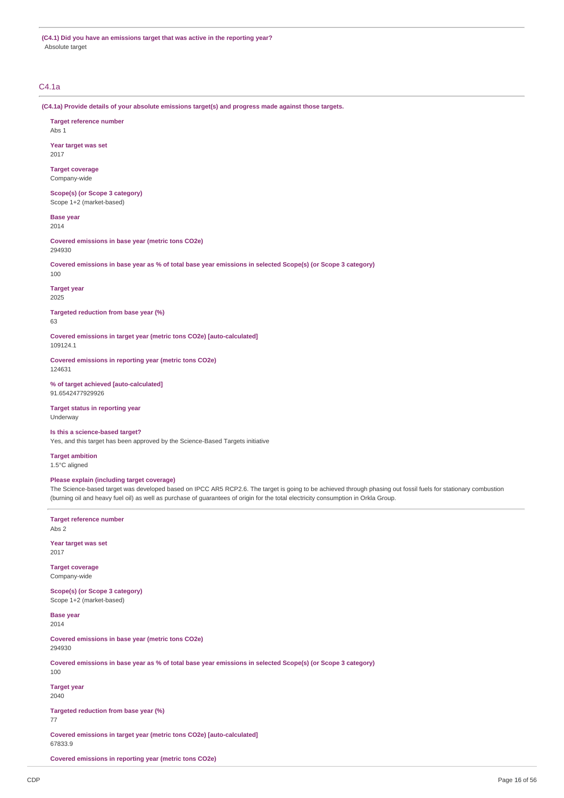**(C4.1) Did you have an emissions target that was active in the reporting year?** Absolute target

## C4.1a

**(C4.1a) Provide details of your absolute emissions target(s) and progress made against those targets.**

**Target reference number** Abs 1

**Year target was set** 2017

**Target coverage** Company-wide

**Scope(s) (or Scope 3 category)** Scope 1+2 (market-based)

**Base year** 2014

**Covered emissions in base year (metric tons CO2e)** 294930

Covered emissions in base year as % of total base year emissions in selected Scope(s) (or Scope 3 category) 100

**Target year** 2025

**Targeted reduction from base year (%)**

63

**Covered emissions in target year (metric tons CO2e) [auto-calculated]** 109124.1

**Covered emissions in reporting year (metric tons CO2e)** 124631

**% of target achieved [auto-calculated]** 91.6542477929926

**Target status in reporting year** Underway

## **Is this a science-based target?**

Yes, and this target has been approved by the Science-Based Targets initiative

**Target ambition**

1.5°C aligned

## **Please explain (including target coverage)**

The Science-based target was developed based on IPCC AR5 RCP2.6. The target is going to be achieved through phasing out fossil fuels for stationary combustion (burning oil and heavy fuel oil) as well as purchase of guarantees of origin for the total electricity consumption in Orkla Group.

**Target reference number** Abs 2

**Year target was set** 2017

**Target coverage** Company-wide

**Scope(s) (or Scope 3 category)** Scope 1+2 (market-based)

**Base year** 2014

**Covered emissions in base year (metric tons CO2e)** 294930

Covered emissions in base year as % of total base year emissions in selected Scope(s) (or Scope 3 category) 100

**Target year** 2040

**Targeted reduction from base year (%)**

77

**Covered emissions in target year (metric tons CO2e) [auto-calculated]** 67833.9

**Covered emissions in reporting year (metric tons CO2e)**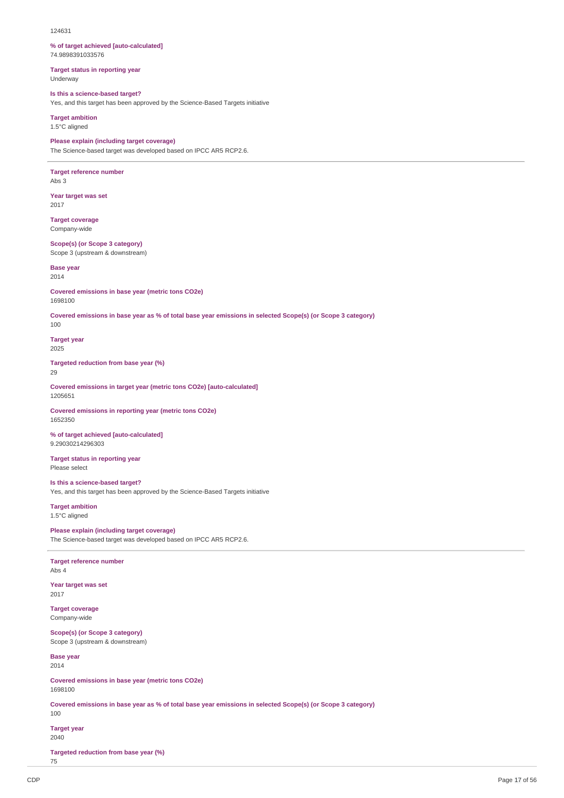#### 124631

#### **% of target achieved [auto-calculated]** 74.9898391033576

**Target status in reporting year** Underway

**Is this a science-based target?**

Yes, and this target has been approved by the Science-Based Targets initiative

**Target ambition** 1.5°C aligned

## **Please explain (including target coverage)**

The Science-based target was developed based on IPCC AR5 RCP2.6.

**Target reference number** Abs 3

**Year target was set** 2017

**Target coverage** Company-wide

**Scope(s) (or Scope 3 category)** Scope 3 (upstream & downstream)

**Base year** 2014

**Covered emissions in base year (metric tons CO2e)** 1698100

Covered emissions in base year as % of total base year emissions in selected Scope(s) (or Scope 3 category)

100

**Target year** 2025

**Targeted reduction from base year (%)**

29

**Covered emissions in target year (metric tons CO2e) [auto-calculated]** 1205651

**Covered emissions in reporting year (metric tons CO2e)** 1652350

**% of target achieved [auto-calculated]** 9.29030214296303

**Target status in reporting year** Please select

**Is this a science-based target?** Yes, and this target has been approved by the Science-Based Targets initiative

**Target ambition** 1.5°C aligned

**Please explain (including target coverage)** The Science-based target was developed based on IPCC AR5 RCP2.6.

**Target reference number** Abs 4

**Year target was set** 2017

**Target coverage** Company-wide

**Scope(s) (or Scope 3 category)** Scope 3 (upstream & downstream)

**Base year** 2014

**Covered emissions in base year (metric tons CO2e)** 1698100

Covered emissions in base year as % of total base year emissions in selected Scope(s) (or Scope 3 category) 100

**Target year** 2040

**Targeted reduction from base year (%)**

75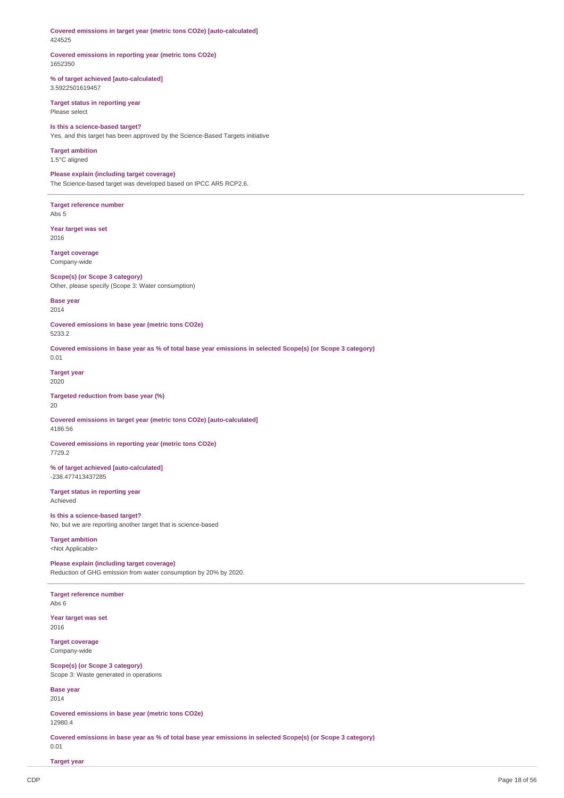**Covered emissions in target year (metric tons CO2e) [auto-calculated]** 424525

## **Covered emissions in reporting year (metric tons CO2e)** 1652350

**% of target achieved [auto-calculated]** 3.5922501619457

**Target status in reporting year** Please select

**Is this a science-based target?** Yes, and this target has been approved by the Science-Based Targets initiative

**Target ambition** 1.5°C aligned

**Please explain (including target coverage)** The Science-based target was developed based on IPCC AR5 RCP2.6.

**Target reference number** Abs 5

**Year target was set** 2016

**Target coverage** Company-wide

**Scope(s) (or Scope 3 category)** Other, please specify (Scope 3: Water consumption)

**Base year** 2014

**Covered emissions in base year (metric tons CO2e)** 5233.2

Covered emissions in base year as % of total base year emissions in selected Scope(s) (or Scope 3 category) 0.01

**Target year** 2020

**Targeted reduction from base year (%)** 20

**Covered emissions in target year (metric tons CO2e) [auto-calculated]** 4186.56

**Covered emissions in reporting year (metric tons CO2e)** 7729.2

**% of target achieved [auto-calculated]** -238.477413437285

**Target status in reporting year** Achieved

**Is this a science-based target?** No, but we are reporting another target that is science-based

**Target ambition** <Not Applicable>

**Please explain (including target coverage)** Reduction of GHG emission from water consumption by 20% by 2020.

**Target reference number**

Abs 6

**Year target was set** 2016

**Target coverage** Company-wide

**Scope(s) (or Scope 3 category)** Scope 3: Waste generated in operations

**Base year**

2014

0.01

**Covered emissions in base year (metric tons CO2e)** 12980.4

Covered emissions in base year as % of total base year emissions in selected Scope(s) (or Scope 3 category)

**Target year**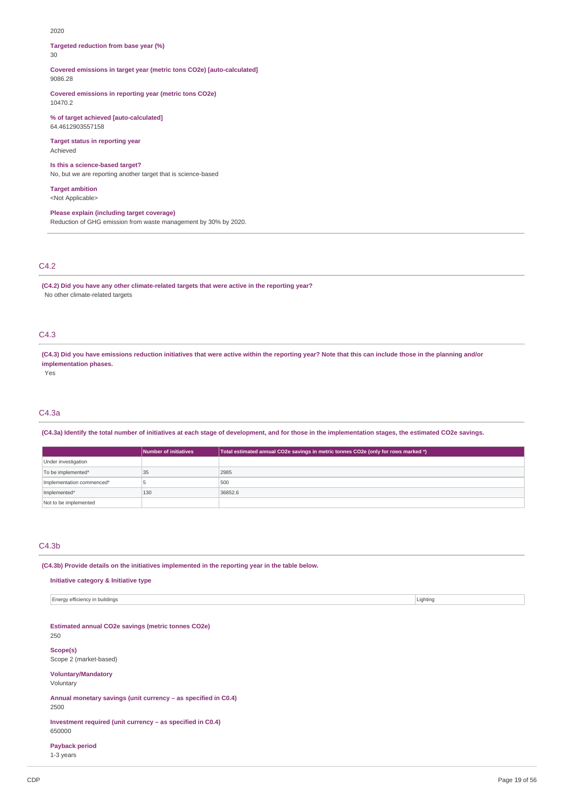#### 2020

**Targeted reduction from base year (%)** 30

**Covered emissions in target year (metric tons CO2e) [auto-calculated]** 9086.28

**Covered emissions in reporting year (metric tons CO2e)** 10470.2

**% of target achieved [auto-calculated]** 64.4612903557158

**Target status in reporting year** Achieved

#### **Is this a science-based target?**

No, but we are reporting another target that is science-based

**Target ambition**

<Not Applicable>

**Please explain (including target coverage)**

Reduction of GHG emission from waste management by 30% by 2020.

## C4.2

**(C4.2) Did you have any other climate-related targets that were active in the reporting year?** No other climate-related targets

## C4.3

(C4.3) Did you have emissions reduction initiatives that were active within the reporting year? Note that this can include those in the planning and/or **implementation phases.**

Yes

## C4.3a

(C4.3a) Identify the total number of initiatives at each stage of development, and for those in the implementation stages, the estimated CO2e savings.

|                           | Number of initiatives | Total estimated annual CO2e savings in metric tonnes CO2e (only for rows marked *) |
|---------------------------|-----------------------|------------------------------------------------------------------------------------|
| Under investigation       |                       |                                                                                    |
| To be implemented*        | 35                    | 2985                                                                               |
| Implementation commenced* |                       | 500                                                                                |
| Implemented*              | 130                   | 36852.6                                                                            |
| Not to be implemented     |                       |                                                                                    |

## C4.3b

**(C4.3b) Provide details on the initiatives implemented in the reporting year in the table below.**

### **Initiative category & Initiative type**

Energy efficiency in buildings Lighting

**Estimated annual CO2e savings (metric tonnes CO2e)** 250

**Scope(s)** Scope 2 (market-based)

## **Voluntary/Mandatory**

Voluntary

**Annual monetary savings (unit currency – as specified in C0.4)**

2500

**Investment required (unit currency – as specified in C0.4)** 650000

### **Payback period**

1-3 years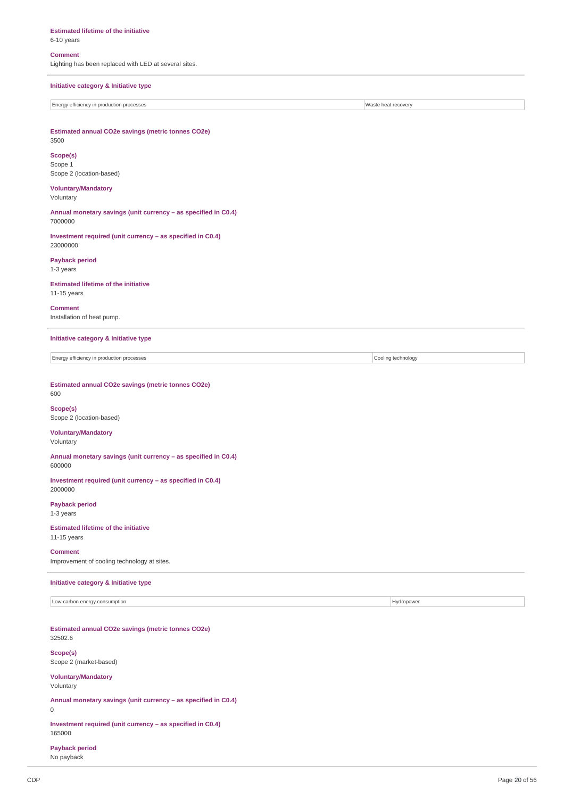#### **Estimated lifetime of the initiative**

## 6-10 years

### **Comment**

Lighting has been replaced with LED at several sites.

## **Initiative category & Initiative type**

Energy efficiency in production processes Waste heat recovery

**Estimated annual CO2e savings (metric tonnes CO2e)** 3500

## **Scope(s)**

Scope 1 Scope 2 (location-based)

#### **Voluntary/Mandatory** Voluntary

**Annual monetary savings (unit currency – as specified in C0.4)** 7000000

**Investment required (unit currency – as specified in C0.4)** 23000000

**Payback period** 1-3 years

### **Estimated lifetime of the initiative** 11-15 years

**Comment** Installation of heat pump.

## **Initiative category & Initiative type**

Energy efficiency in production processes Cooling technology

#### **Estimated annual CO2e savings (metric tonnes CO2e)** 600

**Scope(s)** Scope 2 (location-based)

## **Voluntary/Mandatory**

Voluntary

#### **Annual monetary savings (unit currency – as specified in C0.4)** 600000

**Investment required (unit currency – as specified in C0.4)** 2000000

### **Payback period** 1-3 years

**Estimated lifetime of the initiative** 11-15 years

# **Comment**

Improvement of cooling technology at sites.

## **Initiative category & Initiative type**

Low-carbon energy consumption **Example 2018** Hydropower **Hydropower Hydropower** 

## **Estimated annual CO2e savings (metric tonnes CO2e)** 32502.6

**Scope(s)** Scope 2 (market-based)

## **Voluntary/Mandatory**

Voluntary

**Annual monetary savings (unit currency – as specified in C0.4)**

## 0

**Investment required (unit currency – as specified in C0.4)** 165000

## **Payback period**

No payback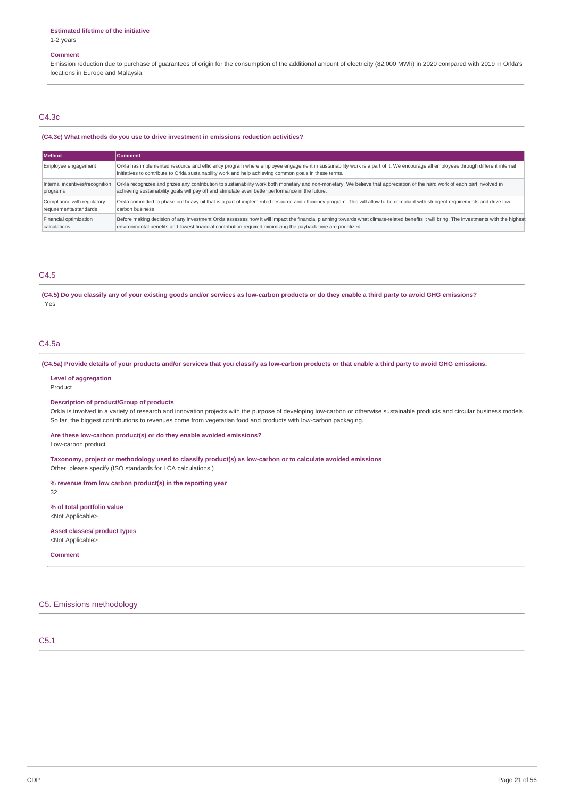1-2 years

### **Comment**

Emission reduction due to purchase of guarantees of origin for the consumption of the additional amount of electricity (82,000 MWh) in 2020 compared with 2019 in Orkla's locations in Europe and Malaysia.

#### C4.3c

#### **(C4.3c) What methods do you use to drive investment in emissions reduction activities?**

| <b>Method</b>                   | Comment                                                                                                                                                                                                                                                                                 |
|---------------------------------|-----------------------------------------------------------------------------------------------------------------------------------------------------------------------------------------------------------------------------------------------------------------------------------------|
| Employee engagement             | Orkla has implemented resource and efficiency program where employee engagement in sustainability work is a part of it. We encourage all employees through different internal<br>initiatives to contribute to Orkla sustainability work and help achieving common goals in these terms. |
| Internal incentives/recognition | Orkla recognizes and prizes any contribution to sustainability work both monetary and non-monetary. We believe that appreciation of the hard work of each part involved in                                                                                                              |
| programs                        | achieving sustainability goals will pay off and stimulate even better performance in the future.                                                                                                                                                                                        |
| Compliance with regulatory      | Orkla committed to phase out heavy oil that is a part of implemented resource and efficiency program. This will allow to be compliant with stringent requirements and drive low                                                                                                         |
| requirements/standards          | carbon business.                                                                                                                                                                                                                                                                        |
| Financial optimization          | Before making decision of any investment Orkla assesses how it will impact the financial planning towards what climate-related benefits it will bring. The investments with the highest                                                                                                 |
| calculations                    | environmental benefits and lowest financial contribution required minimizing the payback time are prioritized.                                                                                                                                                                          |

## C4.5

(C4.5) Do you classify any of your existing goods and/or services as low-carbon products or do they enable a third party to avoid GHG emissions? Yes

## C4.5a

(C4.5a) Provide details of your products and/or services that you classify as low-carbon products or that enable a third party to avoid GHG emissions.

#### **Level of aggregation**

Product

## **Description of product/Group of products**

Orkla is involved in a variety of research and innovation projects with the purpose of developing low-carbon or otherwise sustainable products and circular business models. So far, the biggest contributions to revenues come from vegetarian food and products with low-carbon packaging.

#### **Are these low-carbon product(s) or do they enable avoided emissions?**

Low-carbon product

**Taxonomy, project or methodology used to classify product(s) as low-carbon or to calculate avoided emissions** Other, please specify (ISO standards for LCA calculations )

**% revenue from low carbon product(s) in the reporting year**

32

**% of total portfolio value** <Not Applicable>

**Asset classes/ product types** <Not Applicable>

**Comment**

## C5. Emissions methodology

C5.1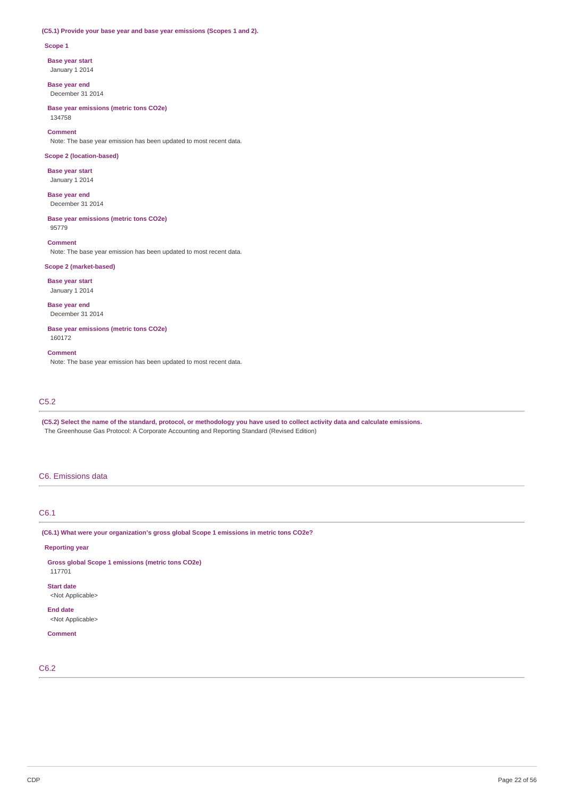## **(C5.1) Provide your base year and base year emissions (Scopes 1 and 2).**

#### **Scope 1**

**Base year start**

January 1 2014

**Base year end** December 31 2014

**Base year emissions (metric tons CO2e)** 134758

**Comment** Note: The base year emission has been updated to most recent data.

## **Scope 2 (location-based)**

**Base year start** January 1 2014

**Base year end** December 31 2014

**Base year emissions (metric tons CO2e)** 95779

**Comment** Note: The base year emission has been updated to most recent data.

## **Scope 2 (market-based)**

**Base year start** January 1 2014

**Base year end** December 31 2014

**Base year emissions (metric tons CO2e)** 160172

#### **Comment**

Note: The base year emission has been updated to most recent data.

## C5.2

(C5.2) Select the name of the standard, protocol, or methodology you have used to collect activity data and calculate emissions. The Greenhouse Gas Protocol: A Corporate Accounting and Reporting Standard (Revised Edition)

### C6. Emissions data

## C6.1

**(C6.1) What were your organization's gross global Scope 1 emissions in metric tons CO2e?**

#### **Reporting year**

**Gross global Scope 1 emissions (metric tons CO2e)**

## 117701 **Start date**

<Not Applicable>

## **End date**

<Not Applicable>

## **Comment**

C6.2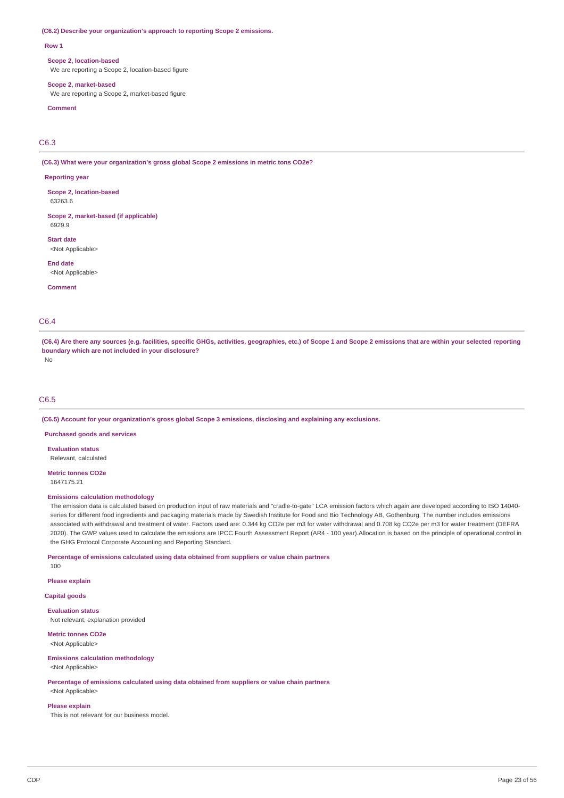#### **(C6.2) Describe your organization's approach to reporting Scope 2 emissions.**

#### **Row 1**

#### **Scope 2, location-based**

We are reporting a Scope 2, location-based figure

#### **Scope 2, market-based**

We are reporting a Scope 2, market-based figure

## **Comment**

C6.3

**(C6.3) What were your organization's gross global Scope 2 emissions in metric tons CO2e?**

#### **Reporting year**

**Scope 2, location-based** 63263.6

**Scope 2, market-based (if applicable)** 6929.9

**Start date**

<Not Annlicahle>

**End date** <Not Applicable>

**Comment**

## C6.4

(C6.4) Are there any sources (e.g. facilities, specific GHGs, activities, geographies, etc.) of Scope 1 and Scope 2 emissions that are within your selected reporting **boundary which are not included in your disclosure?** No

## C6.5

**(C6.5) Account for your organization's gross global Scope 3 emissions, disclosing and explaining any exclusions.**

**Purchased goods and services**

**Evaluation status**

Relevant, calculated

**Metric tonnes CO2e** 1647175.21

## **Emissions calculation methodology**

The emission data is calculated based on production input of raw materials and "cradle-to-gate" LCA emission factors which again are developed according to ISO 14040 series for different food ingredients and packaging materials made by Swedish Institute for Food and Bio Technology AB, Gothenburg. The number includes emissions associated with withdrawal and treatment of water. Factors used are: 0.344 kg CO2e per m3 for water withdrawal and 0.708 kg CO2e per m3 for water treatment (DEFRA 2020). The GWP values used to calculate the emissions are IPCC Fourth Assessment Report (AR4 - 100 year).Allocation is based on the principle of operational control in the GHG Protocol Corporate Accounting and Reporting Standard.

**Percentage of emissions calculated using data obtained from suppliers or value chain partners**

100

**Please explain**

**Capital goods**

**Evaluation status** Not relevant, explanation provided

**Metric tonnes CO2e** <Not Applicable>

### **Emissions calculation methodology**

<Not Applicable>

**Percentage of emissions calculated using data obtained from suppliers or value chain partners**

<Not Applicable>

#### **Please explain**

This is not relevant for our business model.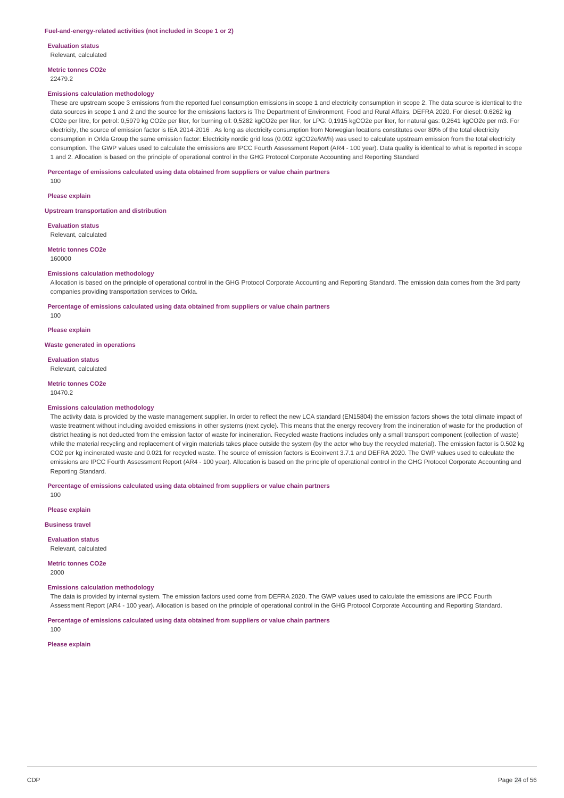#### **Fuel-and-energy-related activities (not included in Scope 1 or 2)**

**Evaluation status** Relevant, calculated

**Metric tonnes CO2e**

22479.2

#### **Emissions calculation methodology**

These are upstream scope 3 emissions from the reported fuel consumption emissions in scope 1 and electricity consumption in scope 2. The data source is identical to the data sources in scope 1 and 2 and the source for the emissions factors is The Department of Environment, Food and Rural Affairs, DEFRA 2020. For diesel: 0.6262 kg CO2e per litre, for petrol: 0,5979 kg CO2e per liter, for burning oil: 0,5282 kgCO2e per liter, for LPG: 0,1915 kgCO2e per liter, for natural gas: 0,2641 kgCO2e per m3. For electricity, the source of emission factor is IEA 2014-2016 . As long as electricity consumption from Norwegian locations constitutes over 80% of the total electricity consumption in Orkla Group the same emission factor: Electricity nordic grid loss (0.002 kgCO2e/kWh) was used to calculate upstream emission from the total electricity consumption. The GWP values used to calculate the emissions are IPCC Fourth Assessment Report (AR4 - 100 year). Data quality is identical to what is reported in scope 1 and 2. Allocation is based on the principle of operational control in the GHG Protocol Corporate Accounting and Reporting Standard

**Percentage of emissions calculated using data obtained from suppliers or value chain partners**

**Please explain**

100

#### **Upstream transportation and distribution**

**Evaluation status** Relevant, calculated

**Metric tonnes CO2e** 160000

#### **Emissions calculation methodology**

Allocation is based on the principle of operational control in the GHG Protocol Corporate Accounting and Reporting Standard. The emission data comes from the 3rd party companies providing transportation services to Orkla.

**Percentage of emissions calculated using data obtained from suppliers or value chain partners**

100

**Please explain**

#### **Waste generated in operations**

**Evaluation status**

Relevant, calculated

#### **Metric tonnes CO2e** 10470.2

## **Emissions calculation methodology**

The activity data is provided by the waste management supplier. In order to reflect the new LCA standard (EN15804) the emission factors shows the total climate impact of waste treatment without including avoided emissions in other systems (next cycle). This means that the energy recovery from the incineration of waste for the production of district heating is not deducted from the emission factor of waste for incineration. Recycled waste fractions includes only a small transport component (collection of waste) while the material recycling and replacement of virgin materials takes place outside the system (by the actor who buy the recycled material). The emission factor is 0.502 kg CO2 per kg incinerated waste and 0.021 for recycled waste. The source of emission factors is Ecoinvent 3.7.1 and DEFRA 2020. The GWP values used to calculate the emissions are IPCC Fourth Assessment Report (AR4 - 100 year). Allocation is based on the principle of operational control in the GHG Protocol Corporate Accounting and Reporting Standard.

**Percentage of emissions calculated using data obtained from suppliers or value chain partners**

100

**Please explain**

### **Business travel**

**Evaluation status**

Relevant, calculated

**Metric tonnes CO2e** 2000

### **Emissions calculation methodology**

The data is provided by internal system. The emission factors used come from DEFRA 2020. The GWP values used to calculate the emissions are IPCC Fourth Assessment Report (AR4 - 100 year). Allocation is based on the principle of operational control in the GHG Protocol Corporate Accounting and Reporting Standard.

**Percentage of emissions calculated using data obtained from suppliers or value chain partners**

100

## **Please explain**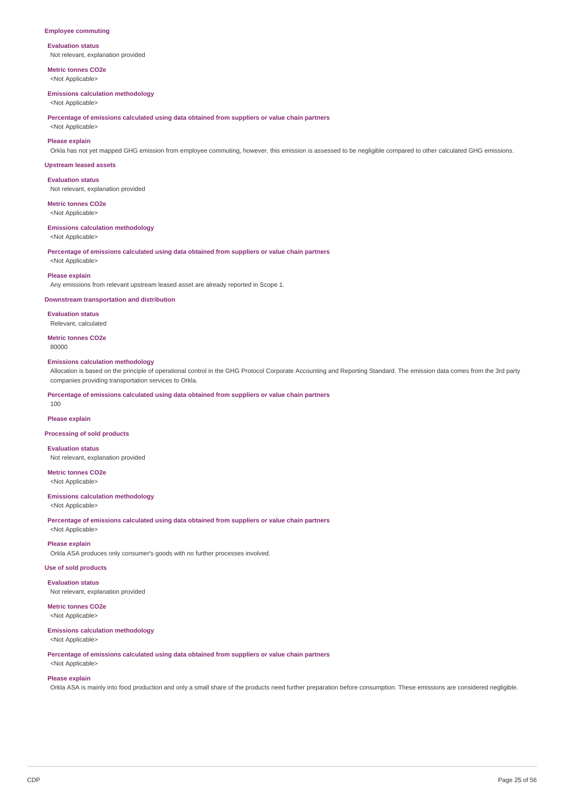#### **Employee commuting**

## **Evaluation status**

Not relevant, explanation provided

**Metric tonnes CO2e** <Not Applicable>

#### **Emissions calculation methodology**

<Not Applicable>

**Percentage of emissions calculated using data obtained from suppliers or value chain partners**

## <Not Applicable> **Please explain**

Orkla has not yet mapped GHG emission from employee commuting, however, this emission is assessed to be negligible compared to other calculated GHG emissions.

#### **Upstream leased assets**

**Evaluation status** Not relevant, explanation provided

#### **Metric tonnes CO2e**

<Not Applicable>

#### **Emissions calculation methodology**

<Not Applicable>

**Percentage of emissions calculated using data obtained from suppliers or value chain partners**

## <Not Applicable> **Please explain**

Any emissions from relevant upstream leased asset are already reported in Scope 1.

#### **Downstream transportation and distribution**

**Evaluation status** Relevant, calculated

**Metric tonnes CO2e**

80000

#### **Emissions calculation methodology**

Allocation is based on the principle of operational control in the GHG Protocol Corporate Accounting and Reporting Standard. The emission data comes from the 3rd party companies providing transportation services to Orkla.

**Percentage of emissions calculated using data obtained from suppliers or value chain partners**

**Please explain**

100

#### **Processing of sold products**

**Evaluation status**

Not relevant, explanation provided

**Metric tonnes CO2e** <Not Applicable>

### **Emissions calculation methodology**

<Not Applicable>

**Percentage of emissions calculated using data obtained from suppliers or value chain partners**

## <Not Applicable> **Please explain**

Orkla ASA produces only consumer's goods with no further processes involved.

## **Use of sold products**

**Evaluation status**

Not relevant, explanation provided

## **Metric tonnes CO2e** <Not Applicable>

#### **Emissions calculation methodology** <Not Applicable>

**Percentage of emissions calculated using data obtained from suppliers or value chain partners**

## <Not Applicable> **Please explain**

Orkla ASA is mainly into food production and only a small share of the products need further preparation before consumption. These emissions are considered negligible.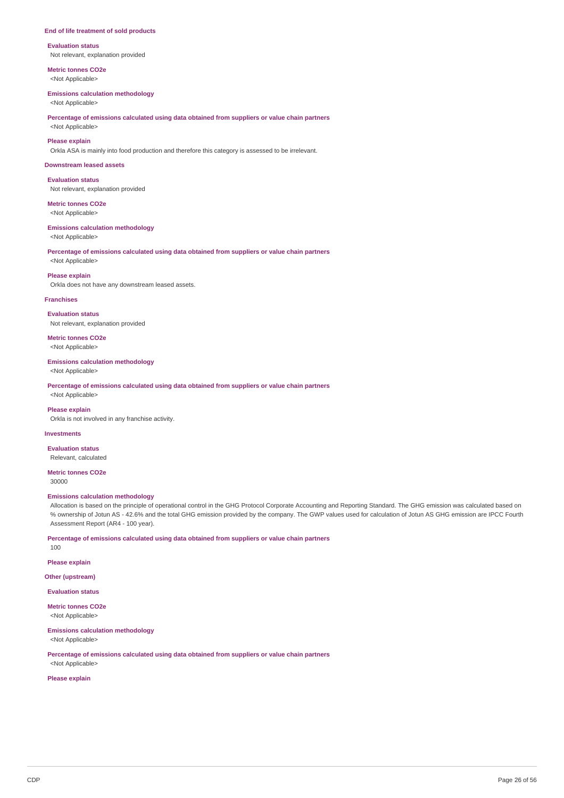#### **End of life treatment of sold products**

**Evaluation status** Not relevant, explanation provided

**Metric tonnes CO2e** <Not Applicable>

# **Emissions calculation methodology**

<Not Applicable>

## **Percentage of emissions calculated using data obtained from suppliers or value chain partners** <Not Applicable>

**Please explain**

Orkla ASA is mainly into food production and therefore this category is assessed to be irrelevant.

#### **Downstream leased assets**

**Evaluation status** Not relevant, explanation provided

## **Metric tonnes CO2e**

<Not Applicable>

#### **Emissions calculation methodology**

<Not Applicable>

#### **Percentage of emissions calculated using data obtained from suppliers or value chain partners** <Not Applicable>

**Please explain**

Orkla does not have any downstream leased assets.

#### **Franchises**

**Evaluation status** Not relevant, explanation provided

**Metric tonnes CO2e** <Not Applicable>

#### **Emissions calculation methodology**

<Not Applicable>

<Not Applicable>

**Percentage of emissions calculated using data obtained from suppliers or value chain partners**

**Please explain**

Orkla is not involved in any franchise activity.

## **Investments**

**Evaluation status** Relevant, calculated

**Metric tonnes CO2e**

30000

100

#### **Emissions calculation methodology**

Allocation is based on the principle of operational control in the GHG Protocol Corporate Accounting and Reporting Standard. The GHG emission was calculated based on % ownership of Jotun AS - 42.6% and the total GHG emission provided by the company. The GWP values used for calculation of Jotun AS GHG emission are IPCC Fourth Assessment Report (AR4 - 100 year).

**Percentage of emissions calculated using data obtained from suppliers or value chain partners**

**Please explain**

**Other (upstream)**

**Evaluation status**

**Metric tonnes CO2e** <Not Applicable>

**Emissions calculation methodology**

<Not Applicable>

**Percentage of emissions calculated using data obtained from suppliers or value chain partners**

<Not Applicable> **Please explain**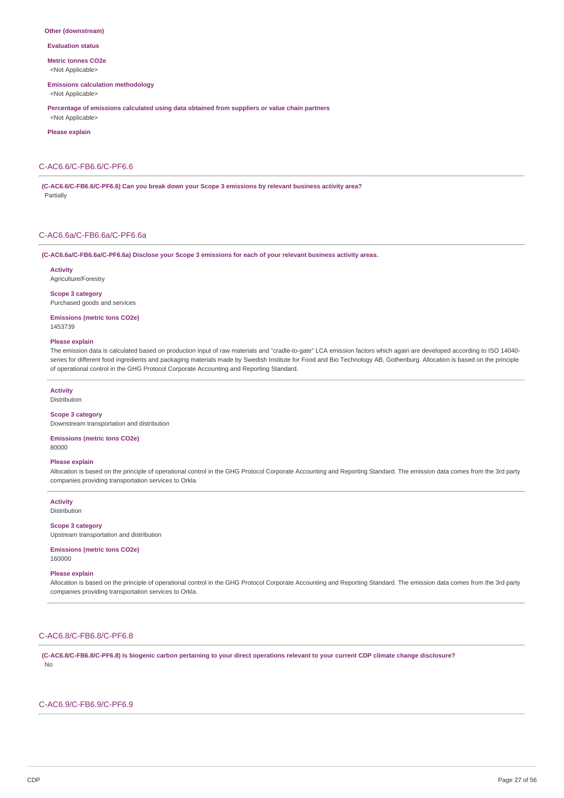#### **Other (downstream)**

**Evaluation status**

**Metric tonnes CO2e** <Not Applicable>

#### **Emissions calculation methodology**

<Not Applicable>

**Percentage of emissions calculated using data obtained from suppliers or value chain partners** <Not Applicable>

**Please explain**

### C-AC6.6/C-FB6.6/C-PF6.6

**(C-AC6.6/C-FB6.6/C-PF6.6) Can you break down your Scope 3 emissions by relevant business activity area?** Partially

## C-AC6.6a/C-FB6.6a/C-PF6.6a

#### **(C-AC6.6a/C-FB6.6a/C-PF6.6a) Disclose your Scope 3 emissions for each of your relevant business activity areas.**

**Activity**

Agriculture/Forestry

**Scope 3 category** Purchased goods and services

**Emissions (metric tons CO2e)** 1453739

#### **Please explain**

The emission data is calculated based on production input of raw materials and "cradle-to-gate" LCA emission factors which again are developed according to ISO 14040 series for different food ingredients and packaging materials made by Swedish Institute for Food and Bio Technology AB, Gothenburg. Allocation is based on the principle of operational control in the GHG Protocol Corporate Accounting and Reporting Standard.

#### **Activity**

Distribution

## **Scope 3 category**

Downstream transportation and distribution

## **Emissions (metric tons CO2e)**

80000

## **Please explain**

Allocation is based on the principle of operational control in the GHG Protocol Corporate Accounting and Reporting Standard. The emission data comes from the 3rd party companies providing transportation services to Orkla.

**Activity** Distribution

#### **Scope 3 category**

Upstream transportation and distribution

#### **Emissions (metric tons CO2e)**

160000

#### **Please explain**

Allocation is based on the principle of operational control in the GHG Protocol Corporate Accounting and Reporting Standard. The emission data comes from the 3rd party companies providing transportation services to Orkla.

## C-AC6.8/C-FB6.8/C-PF6.8

(C-AC6.8/C-FB6.8/C-PF6.8) Is biogenic carbon pertaining to your direct operations relevant to your current CDP climate change disclosure? No

### C-AC6.9/C-FB6.9/C-PF6.9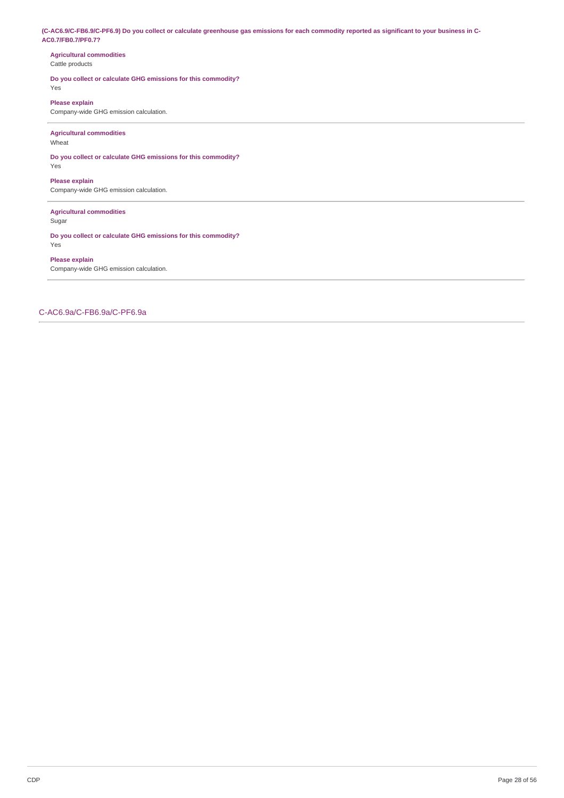(C-AC6.9/C-FB6.9/C-PF6.9) Do you collect or calculate greenhouse gas emissions for each commodity reported as significant to your business in C-**AC0.7/FB0.7/PF0.7?**

### **Agricultural commodities** Cattle products

## **Do you collect or calculate GHG emissions for this commodity?** Yes

**Please explain**

Company-wide GHG emission calculation.

## **Agricultural commodities**

Wheat

**Do you collect or calculate GHG emissions for this commodity?** Yes

**Please explain** Company-wide GHG emission calculation.

## **Agricultural commodities**

Sugar

**Do you collect or calculate GHG emissions for this commodity?** Yes

## **Please explain**

Company-wide GHG emission calculation.

C-AC6.9a/C-FB6.9a/C-PF6.9a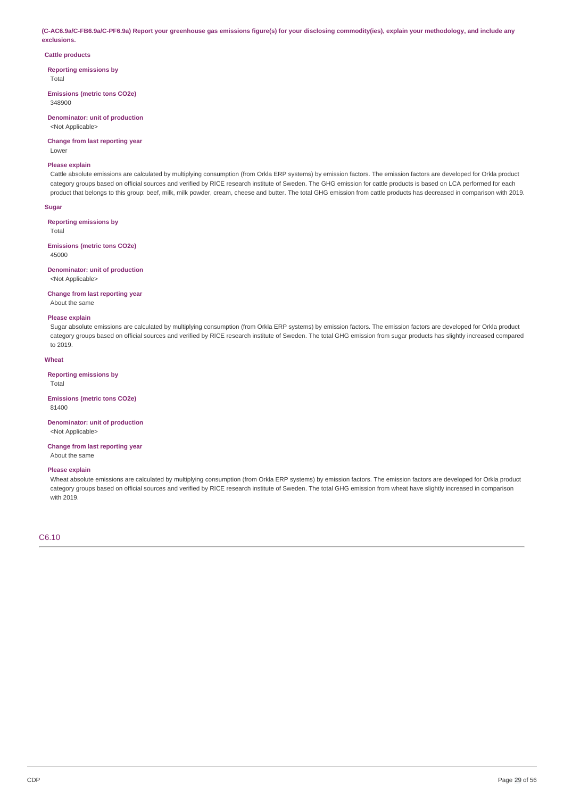(C-AC6.9a/C-FB6.9a/C-PF6.9a) Report your greenhouse gas emissions figure(s) for your disclosing commodity(ies), explain your methodology, and include any **exclusions.**

#### **Cattle products**

**Reporting emissions by**

Total

**Emissions (metric tons CO2e)** 348900

# **Denominator: unit of production**

<Not Applicable>

#### **Change from last reporting year** Lower

## **Please explain**

Cattle absolute emissions are calculated by multiplying consumption (from Orkla ERP systems) by emission factors. The emission factors are developed for Orkla product category groups based on official sources and verified by RICE research institute of Sweden. The GHG emission for cattle products is based on LCA performed for each product that belongs to this group: beef, milk, milk powder, cream, cheese and butter. The total GHG emission from cattle products has decreased in comparison with 2019.

### **Sugar**

## **Reporting emissions by**

Total

#### **Emissions (metric tons CO2e)** 45000

**Denominator: unit of production** <Not Applicable>

### **Change from last reporting year**

About the same

#### **Please explain**

Sugar absolute emissions are calculated by multiplying consumption (from Orkla ERP systems) by emission factors. The emission factors are developed for Orkla product category groups based on official sources and verified by RICE research institute of Sweden. The total GHG emission from sugar products has slightly increased compared to 2019.

### **Wheat**

#### **Reporting emissions by**

Total

#### **Emissions (metric tons CO2e)** 81400

**Denominator: unit of production** <Not Applicable>

#### **Change from last reporting year** About the same

### **Please explain**

Wheat absolute emissions are calculated by multiplying consumption (from Orkla ERP systems) by emission factors. The emission factors are developed for Orkla product category groups based on official sources and verified by RICE research institute of Sweden. The total GHG emission from wheat have slightly increased in comparison with 2019.

## C6.10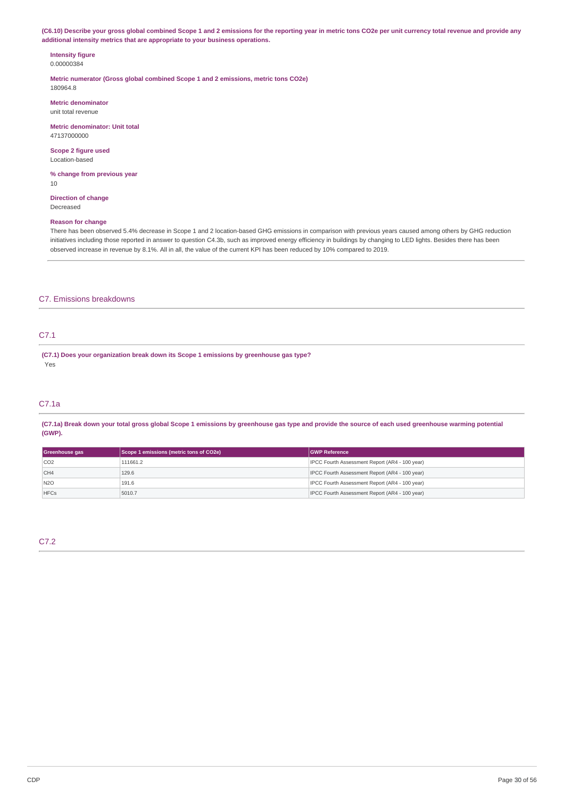(C6.10) Describe your gross global combined Scope 1 and 2 emissions for the reporting year in metric tons CO2e per unit currency total revenue and provide any **additional intensity metrics that are appropriate to your business operations.**

#### **Intensity figure** 0.00000384

**Metric numerator (Gross global combined Scope 1 and 2 emissions, metric tons CO2e)**

180964.8

**Metric denominator** unit total revenue

**Metric denominator: Unit total** 47137000000

**Scope 2 figure used** Location-based

**% change from previous year** 10

**Direction of change** Decreased

## **Reason for change**

There has been observed 5.4% decrease in Scope 1 and 2 location-based GHG emissions in comparison with previous years caused among others by GHG reduction initiatives including those reported in answer to question C4.3b, such as improved energy efficiency in buildings by changing to LED lights. Besides there has been observed increase in revenue by 8.1%. All in all, the value of the current KPI has been reduced by 10% compared to 2019.

## C7. Emissions breakdowns

## C7.1

**(C7.1) Does your organization break down its Scope 1 emissions by greenhouse gas type?** Yes

## C7.1a

(C7.1a) Break down your total gross global Scope 1 emissions by greenhouse gas type and provide the source of each used greenhouse warming potential **(GWP).**

| Greenhouse gas | Scope 1 emissions (metric tons of CO2e) | <b>IGWP Reference</b>                          |  |
|----------------|-----------------------------------------|------------------------------------------------|--|
| CO2            | 111661.2                                | IPCC Fourth Assessment Report (AR4 - 100 year) |  |
| CH4            | 129.6                                   | IPCC Fourth Assessment Report (AR4 - 100 year) |  |
| N2O            | 191.6                                   | IPCC Fourth Assessment Report (AR4 - 100 year) |  |
| <b>HFCs</b>    | 5010.7                                  | IPCC Fourth Assessment Report (AR4 - 100 year) |  |

C7.2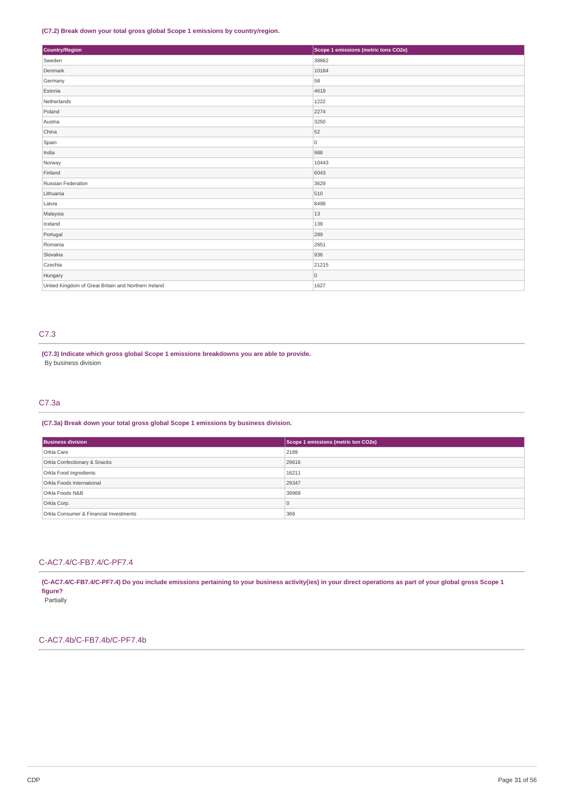## **(C7.2) Break down your total gross global Scope 1 emissions by country/region.**

| Country/Region                                       | Scope 1 emissions (metric tons CO2e) |
|------------------------------------------------------|--------------------------------------|
| Sweden                                               | 38862                                |
| Denmark                                              | 10184                                |
| Germany                                              | 58                                   |
| Estonia                                              | 4619                                 |
| Netherlands                                          | 1222                                 |
| Poland                                               | 2274                                 |
| Austria                                              | 3250                                 |
| China                                                | 52                                   |
| Spain                                                | 0                                    |
| India                                                | 988                                  |
| Norway                                               | 10443                                |
| Finland                                              | 6043                                 |
| Russian Federation                                   | 3629                                 |
| Lithuania                                            | 510                                  |
| Latvia                                               | 8498                                 |
| Malaysia                                             | 13                                   |
| Iceland                                              | 139                                  |
| Portugal                                             | 289                                  |
| Romania                                              | 2851                                 |
| Slovakia                                             | 936                                  |
| Czechia                                              | 21215                                |
| Hungary                                              | $\circ$                              |
| United Kingdom of Great Britain and Northern Ireland | 1627                                 |

## C7.3

**(C7.3) Indicate which gross global Scope 1 emissions breakdowns you are able to provide.** By business division

## C7.3a

## **(C7.3a) Break down your total gross global Scope 1 emissions by business division.**

| <b>Business division</b>               | Scope 1 emissions (metric ton CO2e) |  |  |
|----------------------------------------|-------------------------------------|--|--|
| Orkla Care                             | 2189                                |  |  |
| Orkla Confectionary & Snacks           | 29616                               |  |  |
| Orkla Food Ingredients                 | 16211                               |  |  |
| Orkla Foods International              | 29347                               |  |  |
| Orkla Foods N&B                        | 39969                               |  |  |
| Orkla Corp.                            | $\overline{0}$                      |  |  |
| Orkla Consumer & Financial Investments | 369                                 |  |  |

## C-AC7.4/C-FB7.4/C-PF7.4

(C-AC7.4/C-FB7.4/C-PF7.4) Do you include emissions pertaining to your business activity(ies) in your direct operations as part of your global gross Scope 1 **figure?**

Partially

## C-AC7.4b/C-FB7.4b/C-PF7.4b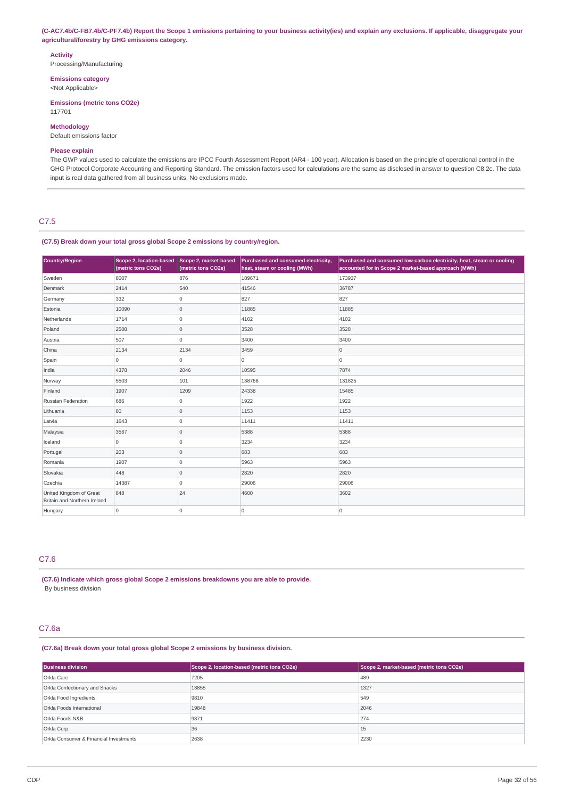(C-AC7.4b/C-FB7.4b/C-PF7.4b) Report the Scope 1 emissions pertaining to your business activity(ies) and explain any exclusions. If applicable, disaggregate your **agricultural/forestry by GHG emissions category.**

#### **Activity**

Processing/Manufacturing

**Emissions category**

<Not Applicable>

**Emissions (metric tons CO2e)** 117701

## **Methodology**

Default emissions factor

## **Please explain**

The GWP values used to calculate the emissions are IPCC Fourth Assessment Report (AR4 - 100 year). Allocation is based on the principle of operational control in the GHG Protocol Corporate Accounting and Reporting Standard. The emission factors used for calculations are the same as disclosed in answer to question C8.2c. The data input is real data gathered from all business units. No exclusions made.

## C7.5

#### **(C7.5) Break down your total gross global Scope 2 emissions by country/region.**

| Country/Region                                          | Scope 2, location-based<br>(metric tons CO2e) | Scope 2, market-based<br>Purchased and consumed electricity,<br>heat, steam or cooling (MWh)<br>(metric tons CO2e) |                | Purchased and consumed low-carbon electricity, heat, steam or cooling<br>accounted for in Scope 2 market-based approach (MWh) |  |
|---------------------------------------------------------|-----------------------------------------------|--------------------------------------------------------------------------------------------------------------------|----------------|-------------------------------------------------------------------------------------------------------------------------------|--|
| Sweden                                                  | 8007                                          | 876                                                                                                                | 189671         | 173937                                                                                                                        |  |
| Denmark                                                 | 2414                                          | 540                                                                                                                | 41546          | 36787                                                                                                                         |  |
| Germany                                                 | 332                                           | 0                                                                                                                  | 827            | 827                                                                                                                           |  |
| Estonia                                                 | 10090                                         | 0                                                                                                                  | 11885          | 11885                                                                                                                         |  |
| Netherlands                                             | 1714                                          | 0                                                                                                                  | 4102           | 4102                                                                                                                          |  |
| Poland                                                  | 2508                                          | 0                                                                                                                  | 3528           | 3528                                                                                                                          |  |
| Austria                                                 | 507                                           | 0                                                                                                                  | 3400           | 3400                                                                                                                          |  |
| China                                                   | 2134                                          | 2134                                                                                                               | 3459           | $\circ$                                                                                                                       |  |
| Spain                                                   | $\overline{0}$                                | 0                                                                                                                  | $\overline{0}$ | $\overline{0}$                                                                                                                |  |
| India                                                   | 4378                                          | 2046                                                                                                               | 10595          | 7874                                                                                                                          |  |
| Norway                                                  | 5503                                          | 101                                                                                                                | 138768         | 131825                                                                                                                        |  |
| Finland                                                 | 1907                                          | 1209                                                                                                               | 24338          | 15485                                                                                                                         |  |
| Russian Federation                                      | 686                                           | 0                                                                                                                  | 1922           | 1922                                                                                                                          |  |
| Lithuania                                               | 80                                            | $\mathbf 0$                                                                                                        | 1153           | 1153                                                                                                                          |  |
| Latvia                                                  | 1643                                          | 0                                                                                                                  | 11411          | 11411                                                                                                                         |  |
| Malaysia                                                | 3567                                          | $\mathbf 0$                                                                                                        | 5388           | 5388                                                                                                                          |  |
| Iceland                                                 | $\mathbf 0$                                   | 0                                                                                                                  | 3234           | 3234                                                                                                                          |  |
| Portugal                                                | 203                                           | 0                                                                                                                  | 683            | 683                                                                                                                           |  |
| Romania                                                 | 1907                                          | 0                                                                                                                  | 5963           | 5963                                                                                                                          |  |
| Slovakia                                                | 448                                           | $\mathbf 0$                                                                                                        | 2820           | 2820                                                                                                                          |  |
| Czechia                                                 | 14387                                         | 0                                                                                                                  | 29006          | 29006                                                                                                                         |  |
| United Kingdom of Great<br>Britain and Northern Ireland | 848                                           | 24                                                                                                                 | 4600           | 3602                                                                                                                          |  |
| Hungary                                                 | $\overline{0}$                                | 0                                                                                                                  | 0              | $\overline{0}$                                                                                                                |  |

## C7.6

**(C7.6) Indicate which gross global Scope 2 emissions breakdowns you are able to provide.** By business division

## C7.6a

## **(C7.6a) Break down your total gross global Scope 2 emissions by business division.**

| <b>Business division</b>               | Scope 2, location-based (metric tons CO2e) | Scope 2, market-based (metric tons CO2e) |  |
|----------------------------------------|--------------------------------------------|------------------------------------------|--|
| Orkla Care                             | 7205                                       | 489                                      |  |
| Orkla Confectionary and Snacks         | 13855                                      | 1327                                     |  |
| Orkla Food Ingredients                 | 9810                                       | 549                                      |  |
| Orkla Foods International              | 19848                                      | 2046                                     |  |
| Orkla Foods N&B                        | 9871                                       | 274                                      |  |
| Orkla Corp.                            | 36                                         | 15                                       |  |
| Orkla Consumer & Financial Investments | 2638                                       | 2230                                     |  |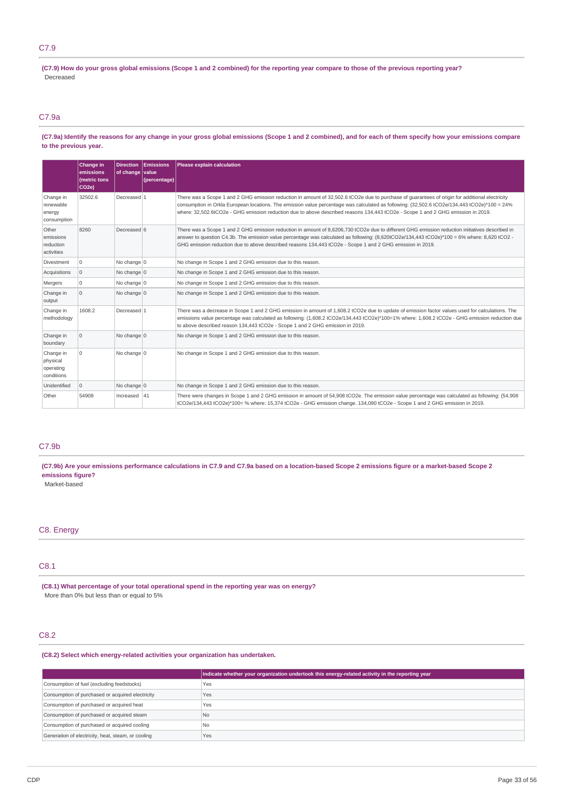## C7.9

(C7.9) How do your gross global emissions (Scope 1 and 2 combined) for the reporting year compare to those of the previous reporting year? Decreased

## C7.9a

(C7.9a) Identify the reasons for any change in your gross global emissions (Scope 1 and 2 combined), and for each of them specify how your emissions compare **to the previous year.**

|                                                  | Change in<br>emissions<br>(metric tons<br>CO <sub>2e</sub> ) | <b>Direction</b><br>of change value | Emissions<br>(percentage) | Please explain calculation                                                                                                                                                                                                                                                                                                                                                                                                          |
|--------------------------------------------------|--------------------------------------------------------------|-------------------------------------|---------------------------|-------------------------------------------------------------------------------------------------------------------------------------------------------------------------------------------------------------------------------------------------------------------------------------------------------------------------------------------------------------------------------------------------------------------------------------|
| Change in<br>renewable<br>energy<br>consumption  | 32502.6                                                      | Decreased 1                         |                           | There was a Scope 1 and 2 GHG emission reduction in amount of 32,502.6 tCO2e due to purchase of quarantees of origin for additional electricity<br>consumption in Orkla European locations. The emission value percentage was calculated as following: (32,502.6 tCO2e/134,443 tCO2e)*100 = 24%<br>where: 32,502.6tCO2e - GHG emission reduction due to above described reasons 134,443 tCO2e - Scope 1 and 2 GHG emission in 2019. |
| Other<br>emissions<br>reduction<br>activities    | 8260                                                         | Decreased 6                         |                           | There was a Scope 1 and 2 GHG emission reduction in amount of 8,6206,730 tCO2e due to different GHG emission reduction initiatives described in<br>answer to question C4.3b. The emission value percentage was calculated as following: (8,620tCO2e/134,443 tCO2e)*100 = 6% where: 8,620 tCO2 -<br>GHG emission reduction due to above described reasons 134,443 tCO2e - Scope 1 and 2 GHG emission in 2019.                        |
| Divestment                                       | $\Omega$                                                     | No change $ 0$                      |                           | No change in Scope 1 and 2 GHG emission due to this reason.                                                                                                                                                                                                                                                                                                                                                                         |
| Acquisitions                                     | $\mathbf 0$                                                  | No change $ 0$                      |                           | No change in Scope 1 and 2 GHG emission due to this reason.                                                                                                                                                                                                                                                                                                                                                                         |
| Mergers                                          | $\mathbf 0$                                                  | No change $ 0$                      |                           | No change in Scope 1 and 2 GHG emission due to this reason.                                                                                                                                                                                                                                                                                                                                                                         |
| Change in<br>output                              | $\Omega$                                                     | No change $ 0$                      |                           | No change in Scope 1 and 2 GHG emission due to this reason.                                                                                                                                                                                                                                                                                                                                                                         |
| Change in<br>methodology                         | 1608.2                                                       | Decreased 1                         |                           | There was a decrease in Scope 1 and 2 GHG emission in amount of 1,608.2 tCO2e due to update of emission factor values used for calculations. The<br>emissions value percentage was calculated as following: (1,608.2 tCO2e/134,443 tCO2e)*100=1% where: 1,608.2 tCO2e - GHG emission reduction due<br>to above described reason 134,443 tCO2e - Scope 1 and 2 GHG emission in 2019.                                                 |
| Change in<br>boundary                            | $\mathbf 0$                                                  | No change 0                         |                           | No change in Scope 1 and 2 GHG emission due to this reason.                                                                                                                                                                                                                                                                                                                                                                         |
| Change in<br>physical<br>operating<br>conditions | $\Omega$                                                     | No change 0                         |                           | No change in Scope 1 and 2 GHG emission due to this reason.                                                                                                                                                                                                                                                                                                                                                                         |
| Unidentified                                     | $\mathbf 0$                                                  | No change $ 0$                      |                           | No change in Scope 1 and 2 GHG emission due to this reason.                                                                                                                                                                                                                                                                                                                                                                         |
| Other                                            | 54908                                                        | Increased $ 41$                     |                           | There were changes in Scope 1 and 2 GHG emission in amount of 54,908 tCO2e. The emission value percentage was calculated as following: (54,908<br>tCO2e/134,443 tCO2e)*100= % where: 15,374 tCO2e - GHG emission change. 134,090 tCO2e - Scope 1 and 2 GHG emission in 2019.                                                                                                                                                        |

## C7.9b

(C7.9b) Are your emissions performance calculations in C7.9 and C7.9a based on a location-based Scope 2 emissions figure or a market-based Scope 2 **emissions figure?**

Market-based

## C8. Energy

## C8.1

**(C8.1) What percentage of your total operational spend in the reporting year was on energy?** More than 0% but less than or equal to 5%

## C8.2

**(C8.2) Select which energy-related activities your organization has undertaken.**

|                                                    | Indicate whether your organization undertook this energy-related activity in the reporting year |
|----------------------------------------------------|-------------------------------------------------------------------------------------------------|
| Consumption of fuel (excluding feedstocks)         | Yes                                                                                             |
| Consumption of purchased or acquired electricity   | Yes                                                                                             |
| Consumption of purchased or acquired heat          | Yes                                                                                             |
| Consumption of purchased or acquired steam         | N <sub>0</sub>                                                                                  |
| Consumption of purchased or acquired cooling       | <b>No</b>                                                                                       |
| Generation of electricity, heat, steam, or cooling | Yes                                                                                             |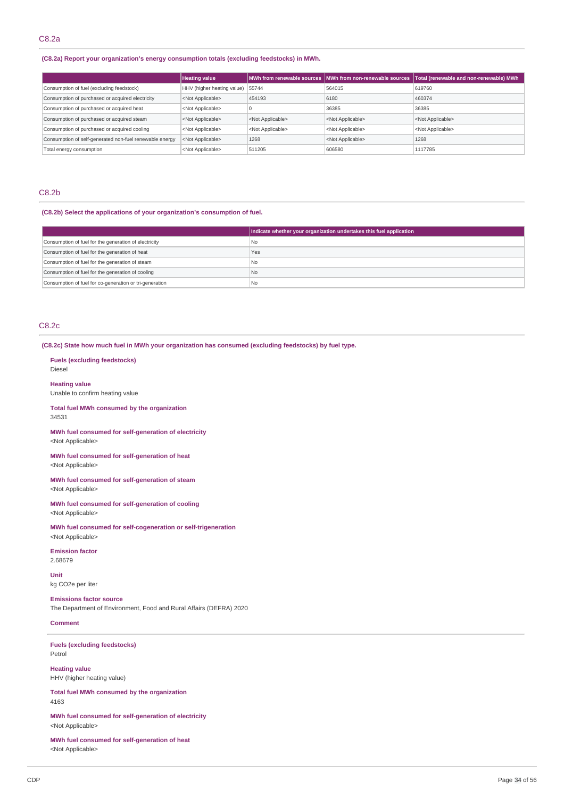## **(C8.2a) Report your organization's energy consumption totals (excluding feedstocks) in MWh.**

|                                                         | <b>Heating value</b>             |                           |                           | MWh from renewable sources MWh from non-renewable sources   Total (renewable and non-renewable) MWh |
|---------------------------------------------------------|----------------------------------|---------------------------|---------------------------|-----------------------------------------------------------------------------------------------------|
| Consumption of fuel (excluding feedstock)               | HHV (higher heating value) 55744 |                           | 564015                    | 619760                                                                                              |
| Consumption of purchased or acquired electricity        | <not applicable=""></not>        | 454193                    | 6180                      | 460374                                                                                              |
| Consumption of purchased or acquired heat               | <not applicable=""></not>        | υ.                        | 36385                     | 36385                                                                                               |
| Consumption of purchased or acquired steam              | <not applicable=""></not>        | <not applicable=""></not> | <not applicable=""></not> | <not applicable=""></not>                                                                           |
| Consumption of purchased or acquired cooling            | <not applicable=""></not>        | <not applicable=""></not> | <not applicable=""></not> | <not applicable=""></not>                                                                           |
| Consumption of self-generated non-fuel renewable energy | <not applicable=""></not>        | 1268                      | <not applicable=""></not> | 1268                                                                                                |
| Total energy consumption                                | <not applicable=""></not>        | 511205                    | 606580                    | 1117785                                                                                             |
|                                                         |                                  |                           |                           |                                                                                                     |

## C8.2b

## **(C8.2b) Select the applications of your organization's consumption of fuel.**

|                                                         | Indicate whether your organization undertakes this fuel application |
|---------------------------------------------------------|---------------------------------------------------------------------|
| Consumption of fuel for the generation of electricity   | No                                                                  |
| Consumption of fuel for the generation of heat          | Yes                                                                 |
| Consumption of fuel for the generation of steam         | I No                                                                |
| Consumption of fuel for the generation of cooling       | No                                                                  |
| Consumption of fuel for co-generation or tri-generation | l No                                                                |

## C8.2c

#### **(C8.2c) State how much fuel in MWh your organization has consumed (excluding feedstocks) by fuel type.**

**Fuels (excluding feedstocks)** Diesel

**Heating value**

Unable to confirm heating value

**Total fuel MWh consumed by the organization** 34531

**MWh fuel consumed for self-generation of electricity** <Not Applicable>

**MWh fuel consumed for self-generation of heat** <Not Applicable>

**MWh fuel consumed for self-generation of steam** <Not Applicable>

**MWh fuel consumed for self-generation of cooling** <Not Applicable>

**MWh fuel consumed for self-cogeneration or self-trigeneration** <Not Applicable>

**Emission factor** 2.68679

**Unit** kg CO2e per liter

**Emissions factor source** The Department of Environment, Food and Rural Affairs (DEFRA) 2020

### **Comment**

**Fuels (excluding feedstocks)** Petrol

**Heating value** HHV (higher heating value)

**Total fuel MWh consumed by the organization** 4163

**MWh fuel consumed for self-generation of electricity** <Not Applicable>

**MWh fuel consumed for self-generation of heat** <Not Applicable>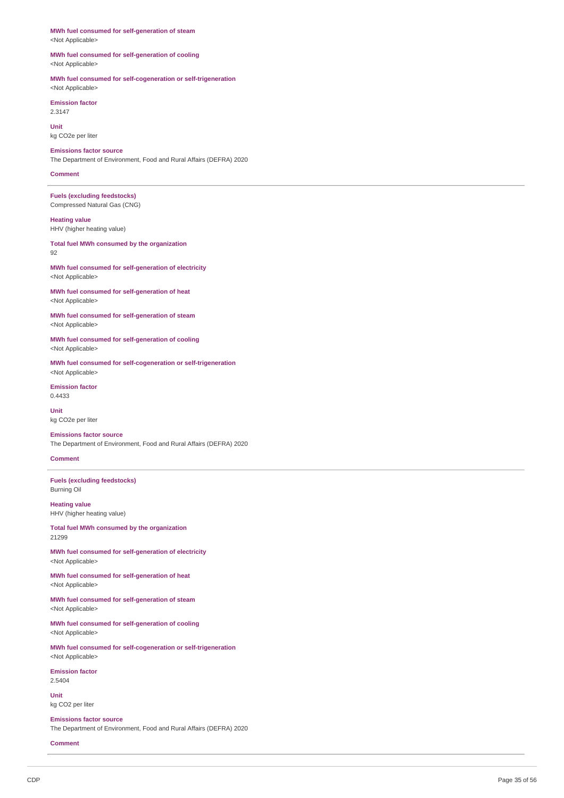**MWh fuel consumed for self-generation of steam** <Not Applicable>

**MWh fuel consumed for self-generation of cooling** <Not Applicable>

**MWh fuel consumed for self-cogeneration or self-trigeneration** <Not Applicable>

**Emission factor** 2.3147

**Unit** kg CO2e per liter

**Emissions factor source** The Department of Environment, Food and Rural Affairs (DEFRA) 2020

**Comment**

**Fuels (excluding feedstocks)** Compressed Natural Gas (CNG)

**Heating value** HHV (higher heating value)

**Total fuel MWh consumed by the organization** 92

**MWh fuel consumed for self-generation of electricity** <Not Applicable>

**MWh fuel consumed for self-generation of heat** <Not Applicable>

**MWh fuel consumed for self-generation of steam** <Not Applicable>

**MWh fuel consumed for self-generation of cooling** <Not Applicable>

**MWh fuel consumed for self-cogeneration or self-trigeneration** <Not Applicable>

**Emission factor** 0.4433

**Unit** kg CO2e per liter

**Emissions factor source** The Department of Environment, Food and Rural Affairs (DEFRA) 2020

**Comment**

**Fuels (excluding feedstocks)** Burning Oil

**Heating value** HHV (higher heating value)

**Total fuel MWh consumed by the organization** 21299

**MWh fuel consumed for self-generation of electricity** <Not Applicable>

**MWh fuel consumed for self-generation of heat** <Not Applicable>

**MWh fuel consumed for self-generation of steam** <Not Applicable>

**MWh fuel consumed for self-generation of cooling** <Not Applicable>

**MWh fuel consumed for self-cogeneration or self-trigeneration** <Not Applicable>

**Emission factor** 2.5404

**Unit** kg CO2 per liter

**Emissions factor source** The Department of Environment, Food and Rural Affairs (DEFRA) 2020

**Comment**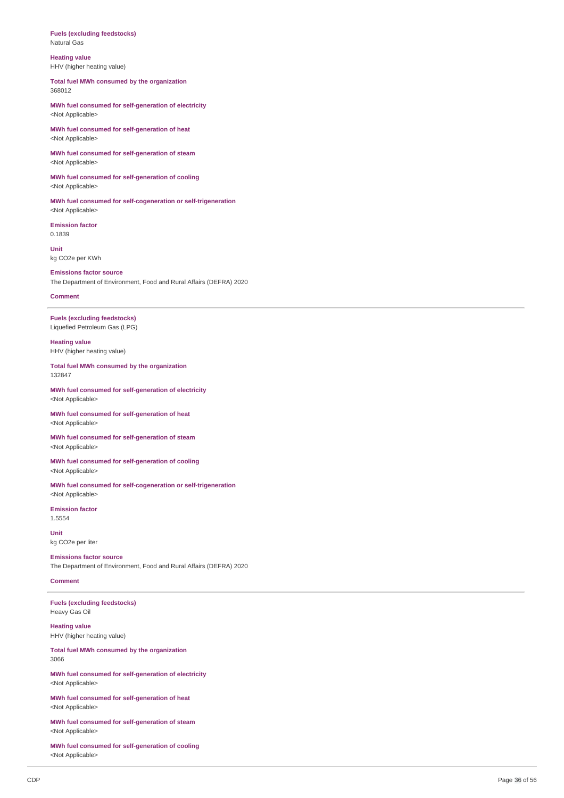#### **Fuels (excluding feedstocks)** Natural Gas

**Heating value**

HHV (higher heating value)

**Total fuel MWh consumed by the organization** 368012

**MWh fuel consumed for self-generation of electricity** <Not Applicable>

**MWh fuel consumed for self-generation of heat** <Not Applicable>

**MWh fuel consumed for self-generation of steam** <Not Applicable>

**MWh fuel consumed for self-generation of cooling** <Not Applicable>

**MWh fuel consumed for self-cogeneration or self-trigeneration** <Not Applicable>

**Emission factor** 0.1839

**Unit** kg CO2e per KWh

**Emissions factor source** The Department of Environment, Food and Rural Affairs (DEFRA) 2020

**Comment**

**Fuels (excluding feedstocks)** Liquefied Petroleum Gas (LPG)

**Heating value** HHV (higher heating value)

**Total fuel MWh consumed by the organization** 132847

**MWh fuel consumed for self-generation of electricity** <Not Applicable>

**MWh fuel consumed for self-generation of heat** <Not Applicable>

**MWh fuel consumed for self-generation of steam** <Not Applicable>

**MWh fuel consumed for self-generation of cooling** <Not Applicable>

**MWh fuel consumed for self-cogeneration or self-trigeneration** <Not Applicable>

**Emission factor** 1.5554

**Unit** kg CO2e per liter

**Emissions factor source** The Department of Environment, Food and Rural Affairs (DEFRA) 2020

#### **Comment**

**Fuels (excluding feedstocks)** Heavy Gas Oil

**Heating value** HHV (higher heating value)

**Total fuel MWh consumed by the organization** 3066

**MWh fuel consumed for self-generation of electricity** <Not Applicable>

**MWh fuel consumed for self-generation of heat** <Not Applicable>

**MWh fuel consumed for self-generation of steam** <Not Applicable>

**MWh fuel consumed for self-generation of cooling** <Not Applicable>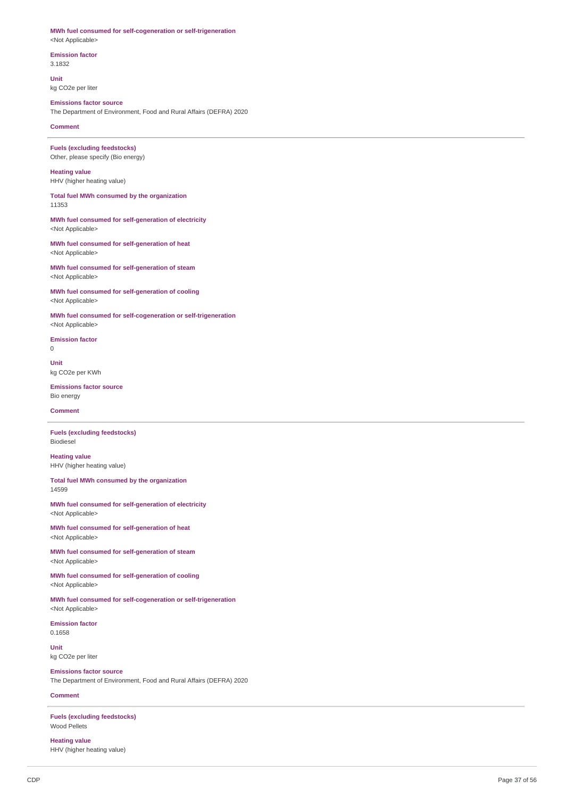#### **MWh fuel consumed for self-cogeneration or self-trigeneration** <Not Applicable>

**Emission factor** 3.1832

**Unit** kg CO2e per liter

## **Emissions factor source**

The Department of Environment, Food and Rural Affairs (DEFRA) 2020

**Comment**

**Fuels (excluding feedstocks)** Other, please specify (Bio energy)

**Heating value** HHV (higher heating value)

**Total fuel MWh consumed by the organization** 11353

**MWh fuel consumed for self-generation of electricity** <Not Applicable>

**MWh fuel consumed for self-generation of heat** <Not Applicable>

**MWh fuel consumed for self-generation of steam** <Not Applicable>

**MWh fuel consumed for self-generation of cooling** <Not Applicable>

**MWh fuel consumed for self-cogeneration or self-trigeneration** <Not Applicable>

**Emission factor** 0

**Unit** kg CO2e per KWh

**Emissions factor source** Bio energy

**Comment**

**Fuels (excluding feedstocks)** Biodiesel

**Heating value** HHV (higher heating value)

**Total fuel MWh consumed by the organization** 14599

**MWh fuel consumed for self-generation of electricity** <Not Applicable>

**MWh fuel consumed for self-generation of heat** <Not Applicable>

**MWh fuel consumed for self-generation of steam** <Not Applicable>

**MWh fuel consumed for self-generation of cooling** <Not Applicable>

**MWh fuel consumed for self-cogeneration or self-trigeneration** <Not Applicable>

**Emission factor** 0.1658

**Unit** kg CO2e per liter

**Emissions factor source** The Department of Environment, Food and Rural Affairs (DEFRA) 2020

**Comment**

**Fuels (excluding feedstocks)** Wood Pellets

**Heating value** HHV (higher heating value)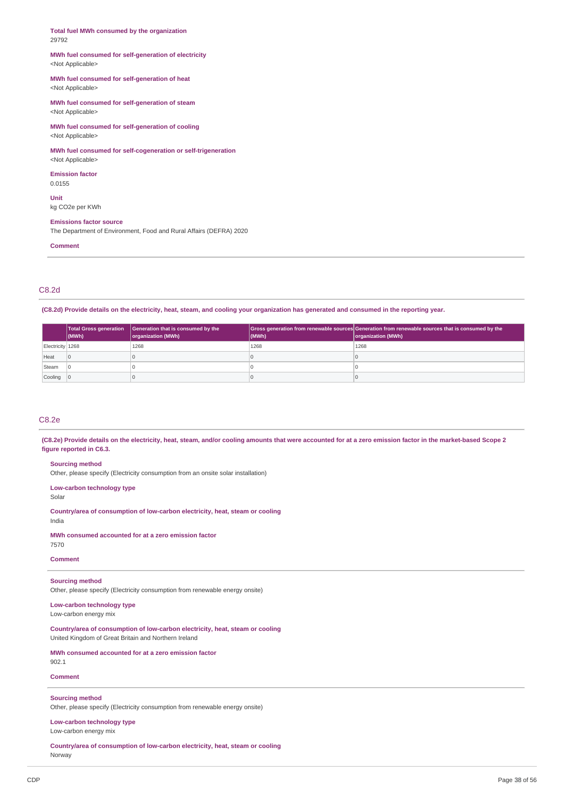#### **Total fuel MWh consumed by the organization** 29792

#### **MWh fuel consumed for self-generation of electricity** <Not Applicable>

### **MWh fuel consumed for self-generation of heat** <Not Applicable>

**MWh fuel consumed for self-generation of steam** <Not Applicable>

**MWh fuel consumed for self-generation of cooling** <Not Applicable>

## **MWh fuel consumed for self-cogeneration or self-trigeneration**

<Not Applicable> **Emission factor**

0.0155

**Unit** kg CO2e per KWh

#### **Emissions factor source**

The Department of Environment, Food and Rural Affairs (DEFRA) 2020

**Comment**

## C8.2d

(C8.2d) Provide details on the electricity, heat, steam, and cooling your organization has generated and consumed in the reporting year.

|                           | $ $ (MWh)      | <b>Total Gross generation</b> Generation that is consumed by the<br>organization (MWh) | (MWh) | Gross generation from renewable sources Generation from renewable sources that is consumed by the<br>organization (MWh) |
|---------------------------|----------------|----------------------------------------------------------------------------------------|-------|-------------------------------------------------------------------------------------------------------------------------|
| Electricity 1268          |                | 1268                                                                                   | 1268  | 1268                                                                                                                    |
| Heat                      | $\overline{0}$ |                                                                                        |       |                                                                                                                         |
| Steam                     |                |                                                                                        |       |                                                                                                                         |
| $\vert$ Cooling $\vert$ 0 |                |                                                                                        |       |                                                                                                                         |

## C8.2e

(C8.2e) Provide details on the electricity, heat, steam, and/or cooling amounts that were accounted for at a zero emission factor in the market-based Scope 2 **figure reported in C6.3.**

**Sourcing method**

Other, please specify (Electricity consumption from an onsite solar installation)

**Low-carbon technology type** Solar

**Country/area of consumption of low-carbon electricity, heat, steam or cooling** India

## **MWh consumed accounted for at a zero emission factor**

7570

**Comment**

## **Sourcing method**

Other, please specify (Electricity consumption from renewable energy onsite)

## **Low-carbon technology type**

Low-carbon energy mix

**Country/area of consumption of low-carbon electricity, heat, steam or cooling** United Kingdom of Great Britain and Northern Ireland

**MWh consumed accounted for at a zero emission factor**

### 902.1

**Comment**

## **Sourcing method**

Other, please specify (Electricity consumption from renewable energy onsite)

## **Low-carbon technology type**

Low-carbon energy mix

**Country/area of consumption of low-carbon electricity, heat, steam or cooling** Norway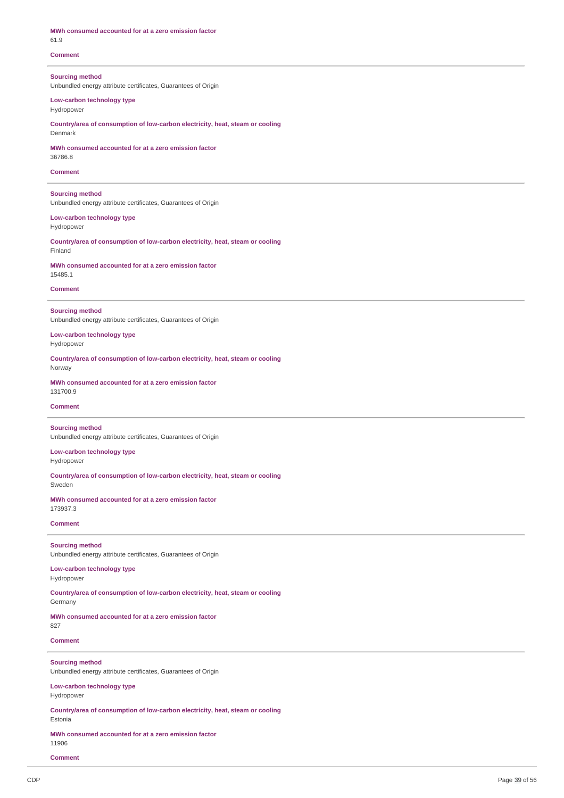| MWh consumed accounted for at a zero emission factor<br>61.9                             |
|------------------------------------------------------------------------------------------|
| <b>Comment</b>                                                                           |
| <b>Sourcing method</b><br>Unbundled energy attribute certificates, Guarantees of Origin  |
| Low-carbon technology type<br>Hydropower                                                 |
| Country/area of consumption of low-carbon electricity, heat, steam or cooling<br>Denmark |
| MWh consumed accounted for at a zero emission factor<br>36786.8                          |
| <b>Comment</b>                                                                           |
| <b>Sourcing method</b><br>Unbundled energy attribute certificates, Guarantees of Origin  |
| Low-carbon technology type<br>Hydropower                                                 |
| Countrylarea of consumption of low-carbon electricity, heat, steam or cooling<br>Finland |
| MWh consumed accounted for at a zero emission factor<br>15485.1                          |
| <b>Comment</b>                                                                           |
| <b>Sourcing method</b><br>Unbundled energy attribute certificates, Guarantees of Origin  |
| Low-carbon technology type<br>Hydropower                                                 |
| Country/area of consumption of low-carbon electricity, heat, steam or cooling<br>Norway  |
| MWh consumed accounted for at a zero emission factor<br>131700.9                         |
| <b>Comment</b>                                                                           |
| <b>Sourcing method</b><br>Unbundled energy attribute certificates, Guarantees of Origin  |
| Low-carbon technology type<br>Hydropower                                                 |
| Country/area of consumption of low-carbon electricity, heat, steam or cooling<br>Sweden  |
| MWh consumed accounted for at a zero emission factor<br>173937.3                         |
| <b>Comment</b>                                                                           |
| <b>Sourcing method</b><br>Unbundled energy attribute certificates, Guarantees of Origin  |
| Low-carbon technology type<br>Hydropower                                                 |
| Country/area of consumption of low-carbon electricity, heat, steam or cooling<br>Germany |
| MWh consumed accounted for at a zero emission factor<br>827                              |
| <b>Comment</b>                                                                           |
| <b>Sourcing method</b>                                                                   |

Unbundled energy attribute certificates, Guarantees of Origin

**Low-carbon technology type** Hydropower

**Country/area of consumption of low-carbon electricity, heat, steam or cooling** Estonia

**MWh consumed accounted for at a zero emission factor** 11906

**Comment**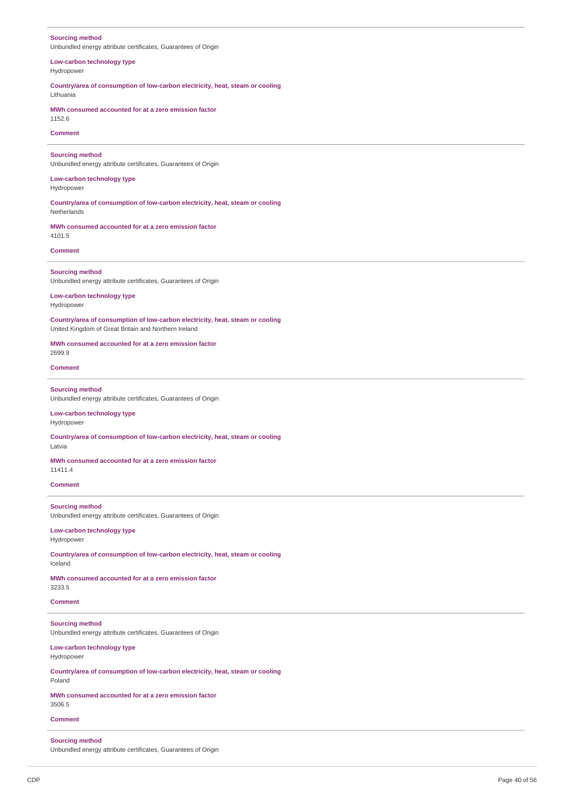| <b>Sourcing method</b><br>Unbundled energy attribute certificates, Guarantees of Origin                                               |
|---------------------------------------------------------------------------------------------------------------------------------------|
| Low-carbon technology type<br>Hydropower                                                                                              |
| Countrylarea of consumption of low-carbon electricity, heat, steam or cooling<br>Lithuania                                            |
| MWh consumed accounted for at a zero emission factor<br>1152.6                                                                        |
| <b>Comment</b>                                                                                                                        |
| <b>Sourcing method</b><br>Unbundled energy attribute certificates, Guarantees of Origin                                               |
| Low-carbon technology type<br>Hydropower                                                                                              |
| Countrylarea of consumption of low-carbon electricity, heat, steam or cooling<br>Netherlands                                          |
| MWh consumed accounted for at a zero emission factor<br>4101.5                                                                        |
| <b>Comment</b>                                                                                                                        |
| <b>Sourcing method</b><br>Unbundled energy attribute certificates, Guarantees of Origin                                               |
| Low-carbon technology type<br>Hydropower                                                                                              |
| Country/area of consumption of low-carbon electricity, heat, steam or cooling<br>United Kingdom of Great Britain and Northern Ireland |
| MWh consumed accounted for at a zero emission factor<br>2699.9                                                                        |
| <b>Comment</b>                                                                                                                        |
| <b>Sourcing method</b><br>Unbundled energy attribute certificates, Guarantees of Origin                                               |
| Low-carbon technology type<br>Hydropower                                                                                              |
| Countrylarea of consumption of low-carbon electricity, heat, steam or cooling<br>Latvia                                               |
| MWh consumed accounted for at a zero emission factor<br>11411.4                                                                       |
| <b>Comment</b>                                                                                                                        |
| <b>Sourcing method</b><br>Unbundled energy attribute certificates, Guarantees of Origin                                               |
| Low-carbon technology type<br>Hydropower                                                                                              |
| Country/area of consumption of low-carbon electricity, heat, steam or cooling<br>Iceland                                              |
| MWh consumed accounted for at a zero emission factor<br>3233.5                                                                        |
| <b>Comment</b>                                                                                                                        |
| <b>Sourcing method</b><br>Unbundled energy attribute certificates, Guarantees of Origin                                               |
| Low-carbon technology type<br>Hydropower                                                                                              |
| Countrylarea of consumption of low-carbon electricity, heat, steam or cooling<br>Poland                                               |
| MWh consumed accounted for at a zero emission factor<br>3506.5                                                                        |
| <b>Comment</b>                                                                                                                        |
| <b>Sourcing method</b>                                                                                                                |

Unbundled energy attribute certificates, Guarantees of Origin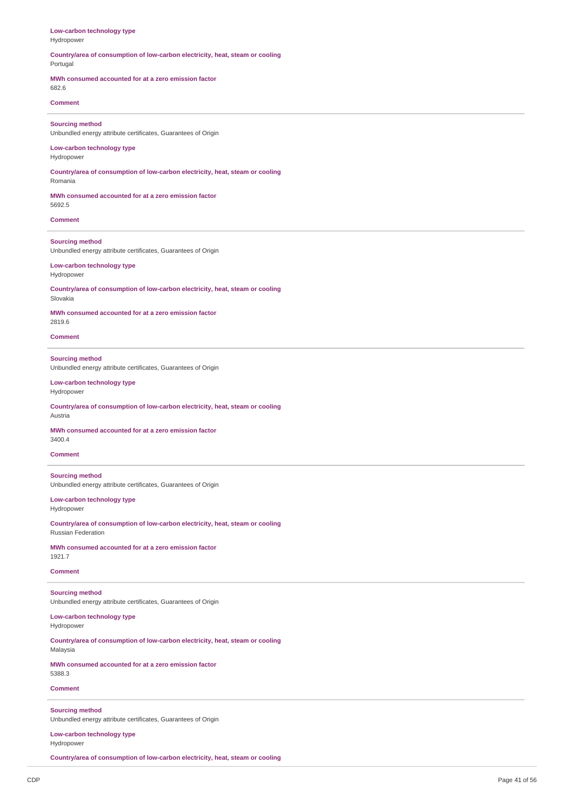| Low-carbon technology type<br>Hydropower                                                                   |
|------------------------------------------------------------------------------------------------------------|
| Country/area of consumption of low-carbon electricity, heat, steam or cooling<br>Portugal                  |
| MWh consumed accounted for at a zero emission factor<br>682.6                                              |
| <b>Comment</b>                                                                                             |
| <b>Sourcing method</b><br>Unbundled energy attribute certificates, Guarantees of Origin                    |
| Low-carbon technology type<br>Hydropower                                                                   |
| Country/area of consumption of low-carbon electricity, heat, steam or cooling<br>Romania                   |
| MWh consumed accounted for at a zero emission factor<br>5692.5                                             |
| <b>Comment</b>                                                                                             |
| <b>Sourcing method</b><br>Unbundled energy attribute certificates, Guarantees of Origin                    |
| Low-carbon technology type<br>Hydropower                                                                   |
| Country/area of consumption of low-carbon electricity, heat, steam or cooling<br>Slovakia                  |
| MWh consumed accounted for at a zero emission factor<br>2819.6                                             |
| <b>Comment</b>                                                                                             |
| <b>Sourcing method</b><br>Unbundled energy attribute certificates, Guarantees of Origin                    |
| Low-carbon technology type<br>Hydropower                                                                   |
| Countrylarea of consumption of low-carbon electricity, heat, steam or cooling<br>Austria                   |
| MWh consumed accounted for at a zero emission factor<br>3400.4                                             |
| <b>Comment</b>                                                                                             |
| <b>Sourcing method</b><br>Unbundled energy attribute certificates, Guarantees of Origin                    |
| Low-carbon technology type<br>Hydropower                                                                   |
| Countrylarea of consumption of low-carbon electricity, heat, steam or cooling<br><b>Russian Federation</b> |
| MWh consumed accounted for at a zero emission factor<br>1921.7                                             |
| <b>Comment</b>                                                                                             |
| <b>Sourcing method</b><br>Unbundled energy attribute certificates, Guarantees of Origin                    |
| Low-carbon technology type<br>Hydropower                                                                   |
| Countrylarea of consumption of low-carbon electricity, heat, steam or cooling<br>Malaysia                  |
| MWh consumed accounted for at a zero emission factor<br>5388.3                                             |
| <b>Comment</b>                                                                                             |
| <b>Sourcing method</b><br>Unbundled energy attribute certificates, Guarantees of Origin                    |

**Low-carbon technology type** Hydropower

**Country/area of consumption of low-carbon electricity, heat, steam or cooling**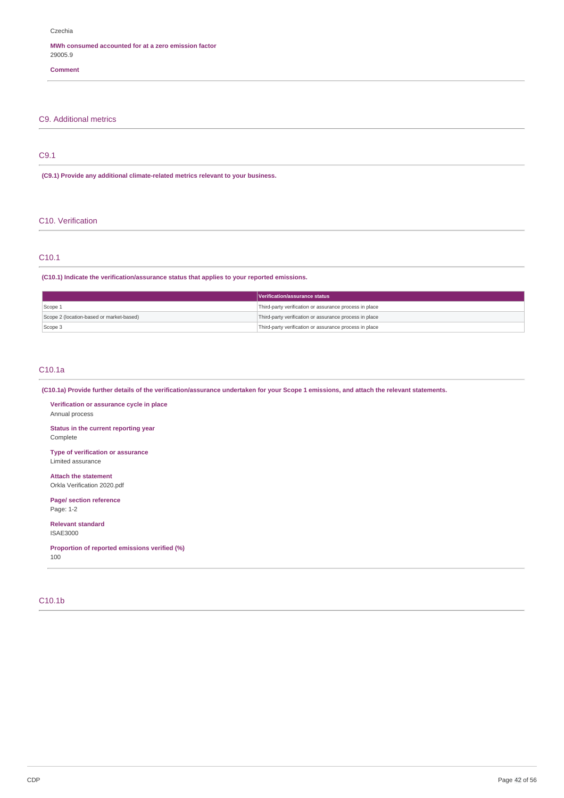### **MWh consumed accounted for at a zero emission factor** 29005.9

## **Comment**

## C9. Additional metrics

## C9.1

#### **(C9.1) Provide any additional climate-related metrics relevant to your business.**

### C10. Verification

## C10.1

## **(C10.1) Indicate the verification/assurance status that applies to your reported emissions.**

|                                          | Verification/assurance status                          |
|------------------------------------------|--------------------------------------------------------|
| Scope 1                                  | Third-party verification or assurance process in place |
| Scope 2 (location-based or market-based) | Third-party verification or assurance process in place |
| Scope 3                                  | Third-party verification or assurance process in place |

## C10.1a

(C10.1a) Provide further details of the verification/assurance undertaken for your Scope 1 emissions, and attach the relevant statements.

**Verification or assurance cycle in place** Annual process

**Status in the current reporting year** Complete

**Type of verification or assurance** Limited assurance

**Attach the statement** Orkla Verification 2020.pdf

**Page/ section reference** Page: 1-2

**Relevant standard** ISAE3000

**Proportion of reported emissions verified (%)** 100

## C10.1b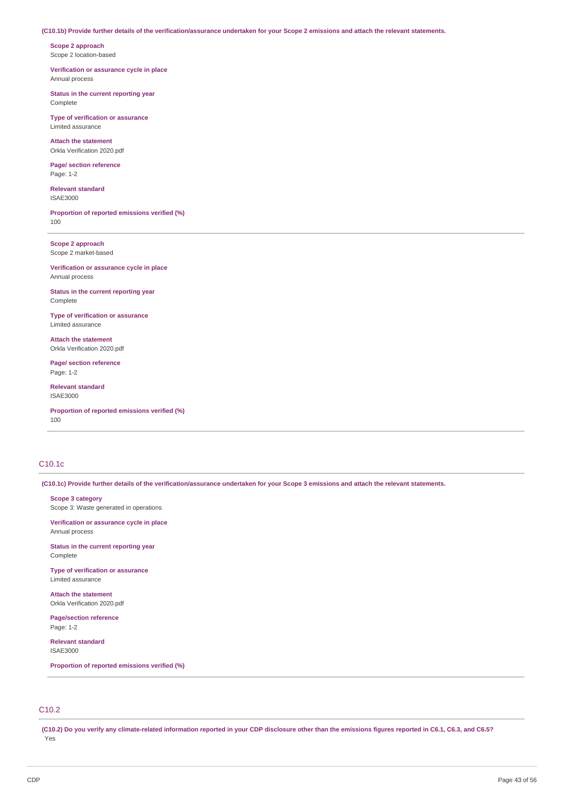#### (C10.1b) Provide further details of the verification/assurance undertaken for your Scope 2 emissions and attach the relevant statements.

**Scope 2 approach** Scope 2 location-based

**Verification or assurance cycle in place** Annual process

**Status in the current reporting year** Complete

**Type of verification or assurance** Limited assurance

**Attach the statement** Orkla Verification 2020.pdf

**Page/ section reference** Page: 1-2

**Relevant standard** ISAE3000

**Proportion of reported emissions verified (%)** 100

**Scope 2 approach** Scope 2 market-based

**Verification or assurance cycle in place** Annual process

**Status in the current reporting year** Complete

**Type of verification or assurance** Limited assurance

**Attach the statement** Orkla Verification 2020.pdf

**Page/ section reference** Page: 1-2

**Relevant standard** ISAE3000

**Proportion of reported emissions verified (%)** 100

## C10.1c

(C10.1c) Provide further details of the verification/assurance undertaken for your Scope 3 emissions and attach the relevant statements.

**Scope 3 category** Scope 3: Waste generated in operations

**Verification or assurance cycle in place**

Annual process

**Status in the current reporting year** Complete

**Type of verification or assurance** Limited assurance

**Attach the statement** Orkla Verification 2020.pdf

**Page/section reference** Page: 1-2

**Relevant standard** ISAE3000

**Proportion of reported emissions verified (%)**

## C10.2

(C10.2) Do you verify any climate-related information reported in your CDP disclosure other than the emissions figures reported in C6.1, C6.3, and C6.5? Yes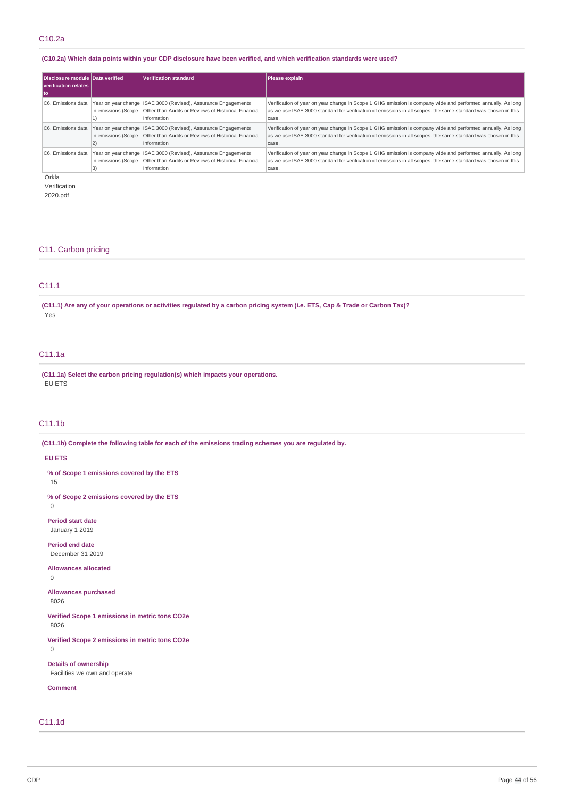## (C10.2a) Which data points within your CDP disclosure have been verified, and which verification standards were used?

| Disclosure module Data verified<br>verification relates |                     | <b>Verification standard</b>                                                                                                                                                       | Please explain                                                                                                                                                                                                                         |
|---------------------------------------------------------|---------------------|------------------------------------------------------------------------------------------------------------------------------------------------------------------------------------|----------------------------------------------------------------------------------------------------------------------------------------------------------------------------------------------------------------------------------------|
| l to                                                    |                     |                                                                                                                                                                                    |                                                                                                                                                                                                                                        |
|                                                         |                     | C6. Emissions data   Year on year change   ISAE 3000 (Revised), Assurance Engagements<br>in emissions (Scope   Other than Audits or Reviews of Historical Financial<br>Information | Verification of year on year change in Scope 1 GHG emission is company wide and performed annually. As long<br>as we use ISAE 3000 standard for verification of emissions in all scopes. the same standard was chosen in this<br>case. |
| C6. Emissions data                                      | in emissions (Scope | Year on year change ISAE 3000 (Revised), Assurance Engagements<br>Other than Audits or Reviews of Historical Financial<br>Information                                              | Verification of year on year change in Scope 1 GHG emission is company wide and performed annually. As long<br>as we use ISAE 3000 standard for verification of emissions in all scopes, the same standard was chosen in this<br>case. |
| C6. Emissions data                                      |                     | Year on year change ISAE 3000 (Revised), Assurance Engagements<br>in emissions (Scope   Other than Audits or Reviews of Historical Financial<br>Information                        | Verification of year on year change in Scope 1 GHG emission is company wide and performed annually. As long<br>as we use ISAE 3000 standard for verification of emissions in all scopes. the same standard was chosen in this<br>case. |

Orkla

Verification

2020.pdf

## C11. Carbon pricing

## C11.1

(C11.1) Are any of your operations or activities regulated by a carbon pricing system (i.e. ETS, Cap & Trade or Carbon Tax)? Yes

## C11.1a

**(C11.1a) Select the carbon pricing regulation(s) which impacts your operations.** EU ETS

## C11.1b

**(C11.1b) Complete the following table for each of the emissions trading schemes you are regulated by.**

## **EU ETS**

**% of Scope 1 emissions covered by the ETS**

15

**% of Scope 2 emissions covered by the ETS**

0

**Period start date** January 1 2019

**Period end date** December 31 2019

**Allowances allocated**

0

**Allowances purchased**

8026

**Verified Scope 1 emissions in metric tons CO2e** 8026

**Verified Scope 2 emissions in metric tons CO2e** 0

**Details of ownership**

Facilities we own and operate

**Comment**

## C11.1d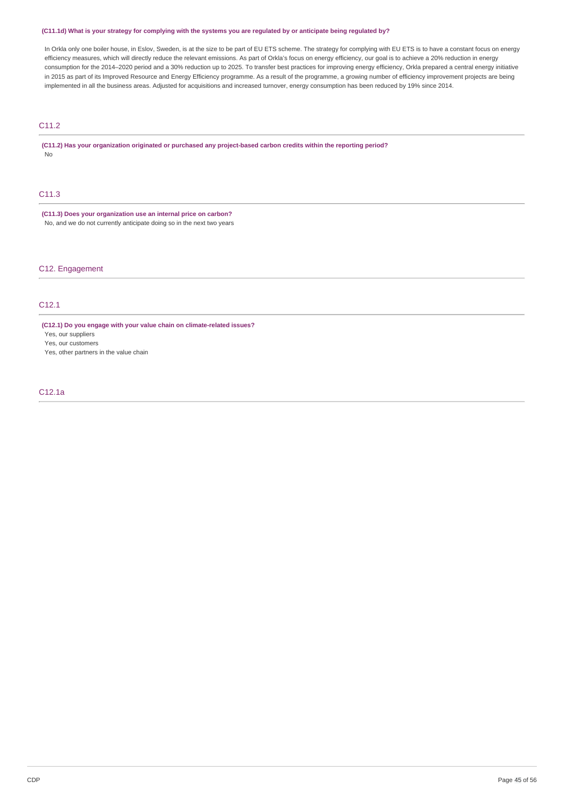## (C11.1d) What is your strategy for complying with the systems you are regulated by or anticipate being regulated by?

In Orkla only one boiler house, in Eslov, Sweden, is at the size to be part of EU ETS scheme. The strategy for complying with EU ETS is to have a constant focus on energy efficiency measures, which will directly reduce the relevant emissions. As part of Orkla's focus on energy efficiency, our goal is to achieve a 20% reduction in energy consumption for the 2014–2020 period and a 30% reduction up to 2025. To transfer best practices for improving energy efficiency, Orkla prepared a central energy initiative in 2015 as part of its Improved Resource and Energy Efficiency programme. As a result of the programme, a growing number of efficiency improvement projects are being implemented in all the business areas. Adjusted for acquisitions and increased turnover, energy consumption has been reduced by 19% since 2014.

## C11.2

**(C11.2) Has your organization originated or purchased any project-based carbon credits within the reporting period?** No

## C11.3

**(C11.3) Does your organization use an internal price on carbon?** No, and we do not currently anticipate doing so in the next two years

C12. Engagement

## C12.1

**(C12.1) Do you engage with your value chain on climate-related issues?**

Yes, our suppliers

Yes, our customers

Yes, other partners in the value chain

## C12.1a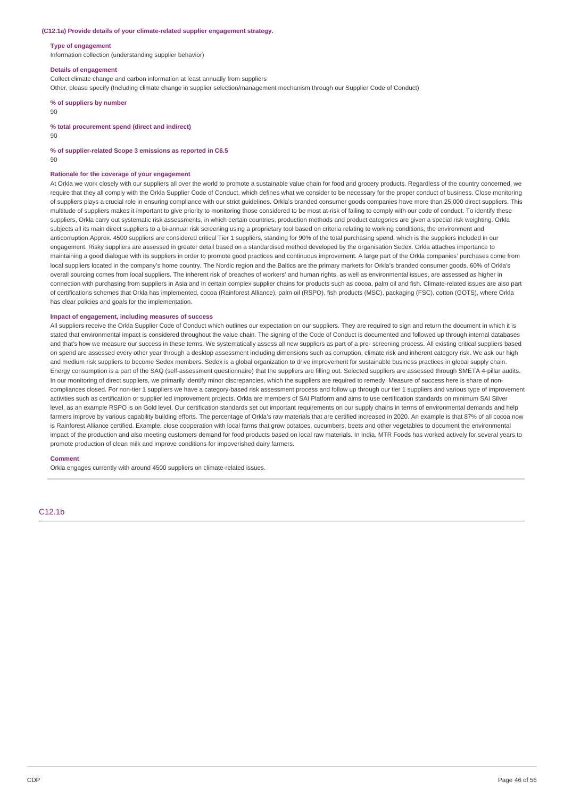#### **(C12.1a) Provide details of your climate-related supplier engagement strategy.**

#### **Type of engagement**

Information collection (understanding supplier behavior)

#### **Details of engagement**

Collect climate change and carbon information at least annually from suppliers

Other, please specify (Including climate change in supplier selection/management mechanism through our Supplier Code of Conduct)

**% of suppliers by number**

90

**% total procurement spend (direct and indirect)**

90

#### **% of supplier-related Scope 3 emissions as reported in C6.5**

90

#### **Rationale for the coverage of your engagement**

At Orkla we work closely with our suppliers all over the world to promote a sustainable value chain for food and grocery products. Regardless of the country concerned, we require that they all comply with the Orkla Supplier Code of Conduct, which defines what we consider to be necessary for the proper conduct of business. Close monitoring of suppliers plays a crucial role in ensuring compliance with our strict guidelines. Orkla's branded consumer goods companies have more than 25,000 direct suppliers. This multitude of suppliers makes it important to give priority to monitoring those considered to be most at-risk of failing to comply with our code of conduct. To identify these suppliers, Orkla carry out systematic risk assessments, in which certain countries, production methods and product categories are given a special risk weighting. Orkla subjects all its main direct suppliers to a bi-annual risk screening using a proprietary tool based on criteria relating to working conditions, the environment and anticorruption.Approx. 4500 suppliers are considered critical Tier 1 suppliers, standing for 90% of the total purchasing spend, which is the suppliers included in our engagement. Risky suppliers are assessed in greater detail based on a standardised method developed by the organisation Sedex. Orkla attaches importance to maintaining a good dialogue with its suppliers in order to promote good practices and continuous improvement. A large part of the Orkla companies' purchases come from local suppliers located in the company's home country. The Nordic region and the Baltics are the primary markets for Orkla's branded consumer goods. 60% of Orkla's overall sourcing comes from local suppliers. The inherent risk of breaches of workers' and human rights, as well as environmental issues, are assessed as higher in connection with purchasing from suppliers in Asia and in certain complex supplier chains for products such as cocoa, palm oil and fish. Climate-related issues are also part of certifications schemes that Orkla has implemented, cocoa (Rainforest Alliance), palm oil (RSPO), fish products (MSC), packaging (FSC), cotton (GOTS), where Orkla has clear policies and goals for the implementation.

### **Impact of engagement, including measures of success**

All suppliers receive the Orkla Supplier Code of Conduct which outlines our expectation on our suppliers. They are required to sign and return the document in which it is stated that environmental impact is considered throughout the value chain. The signing of the Code of Conduct is documented and followed up through internal databases and that's how we measure our success in these terms. We systematically assess all new suppliers as part of a pre- screening process. All existing critical suppliers based on spend are assessed every other year through a desktop assessment including dimensions such as corruption, climate risk and inherent category risk. We ask our high and medium risk suppliers to become Sedex members. Sedex is a global organization to drive improvement for sustainable business practices in global supply chain. Energy consumption is a part of the SAQ (self-assessment questionnaire) that the suppliers are filling out. Selected suppliers are assessed through SMETA 4-pillar audits. In our monitoring of direct suppliers, we primarily identify minor discrepancies, which the suppliers are required to remedy. Measure of success here is share of noncompliances closed. For non-tier 1 suppliers we have a category-based risk assessment process and follow up through our tier 1 suppliers and various type of improvement activities such as certification or supplier led improvement projects. Orkla are members of SAI Platform and aims to use certification standards on minimum SAI Silver level, as an example RSPO is on Gold level. Our certification standards set out important requirements on our supply chains in terms of environmental demands and help farmers improve by various capability building efforts. The percentage of Orkla's raw materials that are certified increased in 2020. An example is that 87% of all cocoa now is Rainforest Alliance certified. Example: close cooperation with local farms that grow potatoes, cucumbers, beets and other vegetables to document the environmental impact of the production and also meeting customers demand for food products based on local raw materials. In India, MTR Foods has worked actively for several years to promote production of clean milk and improve conditions for impoverished dairy farmers.

#### **Comment**

Orkla engages currently with around 4500 suppliers on climate-related issues.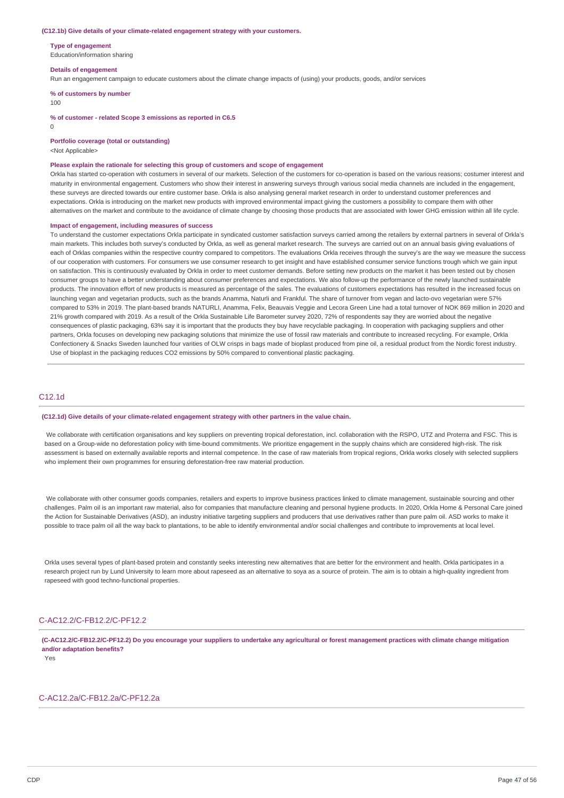#### **(C12.1b) Give details of your climate-related engagement strategy with your customers.**

**Type of engagement**

Education/information sharing

#### **Details of engagement**

Run an engagement campaign to educate customers about the climate change impacts of (using) your products, goods, and/or services

**% of customers by number**

#### 100

**% of customer - related Scope 3 emissions as reported in C6.5**

 $\Omega$ 

**Portfolio coverage (total or outstanding)**

<Not Applicable>

#### **Please explain the rationale for selecting this group of customers and scope of engagement**

Orkla has started co-operation with costumers in several of our markets. Selection of the customers for co-operation is based on the various reasons; costumer interest and maturity in environmental engagement. Customers who show their interest in answering surveys through various social media channels are included in the engagement, these surveys are directed towards our entire customer base. Orkla is also analysing general market research in order to understand customer preferences and expectations. Orkla is introducing on the market new products with improved environmental impact giving the customers a possibility to compare them with other alternatives on the market and contribute to the avoidance of climate change by choosing those products that are associated with lower GHG emission within all life cycle.

#### **Impact of engagement, including measures of success**

To understand the customer expectations Orkla participate in syndicated customer satisfaction surveys carried among the retailers by external partners in several of Orkla's main markets. This includes both survey's conducted by Orkla, as well as general market research. The surveys are carried out on an annual basis giving evaluations of each of Orklas companies within the respective country compared to competitors. The evaluations Orkla receives through the survey's are the way we measure the success of our cooperation with customers. For consumers we use consumer research to get insight and have established consumer service functions trough which we gain input on satisfaction. This is continuously evaluated by Orkla in order to meet customer demands. Before setting new products on the market it has been tested out by chosen consumer groups to have a better understanding about consumer preferences and expectations. We also follow-up the performance of the newly launched sustainable products. The innovation effort of new products is measured as percentage of the sales. The evaluations of customers expectations has resulted in the increased focus on launching vegan and vegetarian products, such as the brands Anamma, Naturli and Frankful. The share of turnover from vegan and lacto-ovo vegetarian were 57% compared to 53% in 2019. The plant-based brands NATURLI, Anamma, Felix, Beauvais Veggie and Lecora Green Line had a total turnover of NOK 869 million in 2020 and 21% growth compared with 2019. As a result of the Orkla Sustainable Life Barometer survey 2020, 72% of respondents say they are worried about the negative consequences of plastic packaging, 63% say it is important that the products they buy have recyclable packaging. In cooperation with packaging suppliers and other partners, Orkla focuses on developing new packaging solutions that minimize the use of fossil raw materials and contribute to increased recycling. For example, Orkla Confectionery & Snacks Sweden launched four varities of OLW crisps in bags made of bioplast produced from pine oil, a residual product from the Nordic forest industry. Use of bioplast in the packaging reduces CO2 emissions by 50% compared to conventional plastic packaging.

#### C12.1d

#### **(C12.1d) Give details of your climate-related engagement strategy with other partners in the value chain.**

We collaborate with certification organisations and key suppliers on preventing tropical deforestation, incl. collaboration with the RSPO, UTZ and Proterra and FSC. This is based on a Group-wide no deforestation policy with time-bound commitments. We prioritize engagement in the supply chains which are considered high-risk. The risk assessment is based on externally available reports and internal competence. In the case of raw materials from tropical regions, Orkla works closely with selected suppliers who implement their own programmes for ensuring deforestation-free raw material production.

We collaborate with other consumer goods companies, retailers and experts to improve business practices linked to climate management, sustainable sourcing and other challenges. Palm oil is an important raw material, also for companies that manufacture cleaning and personal hygiene products. In 2020, Orkla Home & Personal Care joined the Action for Sustainable Derivatives (ASD), an industry initiative targeting suppliers and producers that use derivatives rather than pure palm oil. ASD works to make it possible to trace palm oil all the way back to plantations, to be able to identify environmental and/or social challenges and contribute to improvements at local level.

Orkla uses several types of plant-based protein and constantly seeks interesting new alternatives that are better for the environment and health. Orkla participates in a research project run by Lund University to learn more about rapeseed as an alternative to soya as a source of protein. The aim is to obtain a high-quality ingredient from rapeseed with good techno-functional properties.

## C-AC12.2/C-FB12.2/C-PF12.2

(C-AC12.2/C-FB12.2/C-PF12.2) Do you encourage your suppliers to undertake any agricultural or forest management practices with climate change mitigation **and/or adaptation benefits?**

Yes

### C-AC12.2a/C-FB12.2a/C-PF12.2a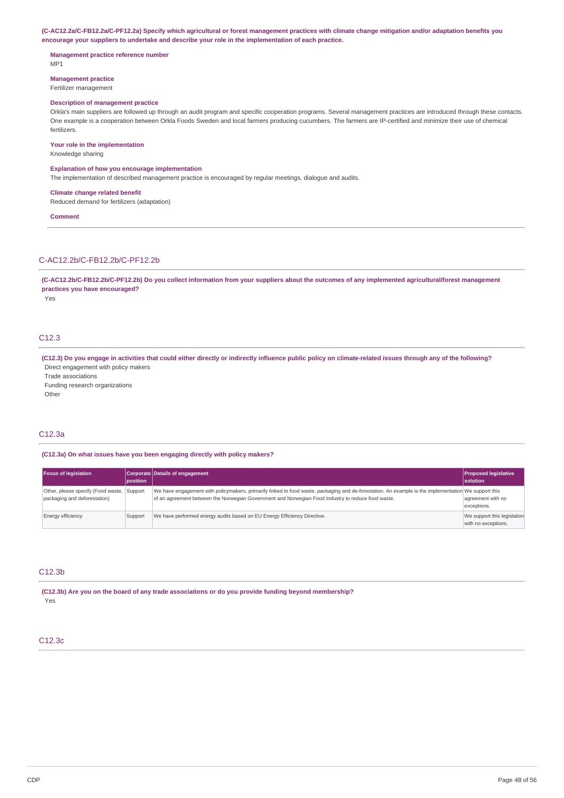(C-AC12.2a/C-FB12.2a/C-PF12.2a) Specify which agricultural or forest management practices with climate change mitigation and/or adaptation benefits you **encourage your suppliers to undertake and describe your role in the implementation of each practice.**

**Management practice reference number** MP1

**Management practice** Fertilizer management

#### **Description of management practice**

Orkla's main suppliers are followed up through an audit program and specific cooperation programs. Several management practices are introduced through these contacts. One example is a cooperation between Orkla Foods Sweden and local farmers producing cucumbers. The farmers are IP-certified and minimize their use of chemical fertilizers.

**Your role in the implementation**

Knowledge sharing

**Explanation of how you encourage implementation**

The implementation of described management practice is encouraged by regular meetings, dialogue and audits.

### **Climate change related benefit**

Reduced demand for fertilizers (adaptation)

**Comment**

#### C-AC12.2b/C-FB12.2b/C-PF12.2b

(C-AC12.2b/C-FB12.2b/C-PF12.2b) Do you collect information from your suppliers about the outcomes of any implemented agricultural/forest management **practices you have encouraged?**

Yes

## C12.3

(C12.3) Do you engage in activities that could either directly or indirectly influence public policy on climate-related issues through any of the following? Direct engagement with policy makers Trade associations

Funding research organizations **Other** 

## C12.3a

#### **(C12.3a) On what issues have you been engaging directly with policy makers?**

| <b>Focus of legislation</b>                                                | <b>position</b> | Corporate Details of engagement                                                                                                                                                                                                                            | <b>Proposed legislative</b><br><b>solution</b>     |
|----------------------------------------------------------------------------|-----------------|------------------------------------------------------------------------------------------------------------------------------------------------------------------------------------------------------------------------------------------------------------|----------------------------------------------------|
| Other, please specify (Food waste, Support<br>packaging and deforestation) |                 | We have engagement with policymakers, primarily linked to food waste, packaging and de-forestation. An example is the implementation We support this<br>of an agreement between the Norwegian Government and Norwegian Food Industry to reduce food waste. | agreement with no<br>exceptions.                   |
| <b>Energy efficiency</b>                                                   | Support         | We have performed energy audits based on EU Energy Efficiency Directive.                                                                                                                                                                                   | We support this legislation<br>with no exceptions. |

## C12.3b

**(C12.3b) Are you on the board of any trade associations or do you provide funding beyond membership?** Yes

### C12.3c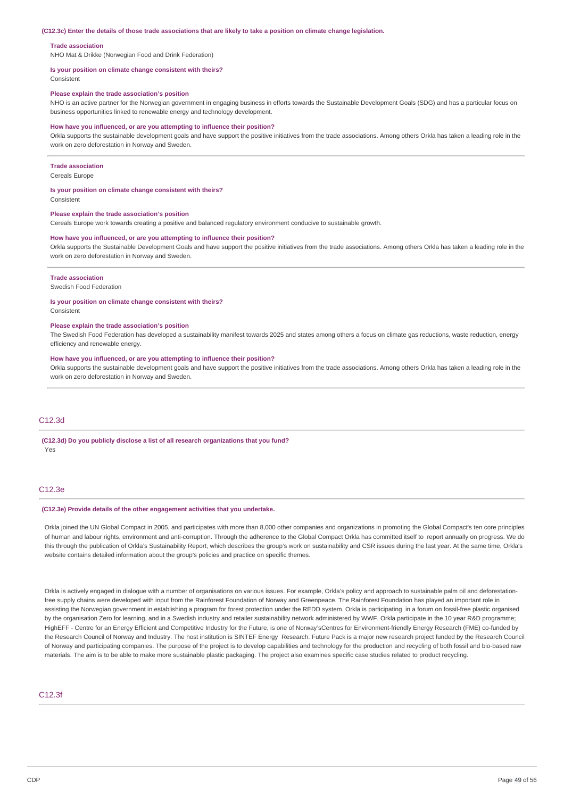#### (C12.3c) Enter the details of those trade associations that are likely to take a position on climate change legislation.

#### **Trade association**

NHO Mat & Drikke (Norwegian Food and Drink Federation)

#### **Is your position on climate change consistent with theirs?**

Consistent

#### **Please explain the trade association's position**

NHO is an active partner for the Norwegian government in engaging business in efforts towards the Sustainable Development Goals (SDG) and has a particular focus on business opportunities linked to renewable energy and technology development.

#### **How have you influenced, or are you attempting to influence their position?**

Orkla supports the sustainable development goals and have support the positive initiatives from the trade associations. Among others Orkla has taken a leading role in the work on zero deforestation in Norway and Sweden.

#### **Trade association**

Cereals Europe

#### **Is your position on climate change consistent with theirs?**

Consistent

#### **Please explain the trade association's position**

Cereals Europe work towards creating a positive and balanced regulatory environment conducive to sustainable growth.

#### **How have you influenced, or are you attempting to influence their position?**

Orkla supports the Sustainable Development Goals and have support the positive initiatives from the trade associations. Among others Orkla has taken a leading role in the work on zero deforestation in Norway and Sweden.

#### **Trade association**

Swedish Food Federation

#### **Is your position on climate change consistent with theirs?**

Consistent

#### **Please explain the trade association's position**

The Swedish Food Federation has developed a sustainability manifest towards 2025 and states among others a focus on climate gas reductions, waste reduction, energy efficiency and renewable energy.

#### **How have you influenced, or are you attempting to influence their position?**

Orkla supports the sustainable development goals and have support the positive initiatives from the trade associations. Among others Orkla has taken a leading role in the work on zero deforestation in Norway and Sweden.

## C12.3d

#### **(C12.3d) Do you publicly disclose a list of all research organizations that you fund?** Yes

#### C12.3e

#### **(C12.3e) Provide details of the other engagement activities that you undertake.**

Orkla joined the UN Global Compact in 2005, and participates with more than 8,000 other companies and organizations in promoting the Global Compact's ten core principles of human and labour rights, environment and anti-corruption. Through the adherence to the Global Compact Orkla has committed itself to report annually on progress. We do this through the publication of Orkla's Sustainability Report, which describes the group's work on sustainability and CSR issues during the last year. At the same time, Orkla's website contains detailed information about the group's policies and practice on specific themes.

Orkla is actively engaged in dialogue with a number of organisations on various issues. For example, Orkla's policy and approach to sustainable palm oil and deforestationfree supply chains were developed with input from the Rainforest Foundation of Norway and Greenpeace. The Rainforest Foundation has played an important role in assisting the Norwegian government in establishing a program for forest protection under the REDD system. Orkla is participating in a forum on fossil-free plastic organised by the organisation Zero for learning, and in a Swedish industry and retailer sustainability network administered by WWF. Orkla participate in the 10 year R&D programme; HighEFF - Centre for an Energy Efficient and Competitive Industry for the Future, is one of Norway'sCentres for Environment-friendly Energy Research (FME) co-funded by the Research Council of Norway and Industry. The host institution is SINTEF Energy Research. Future Pack is a major new research project funded by the Research Council of Norway and participating companies. The purpose of the project is to develop capabilities and technology for the production and recycling of both fossil and bio-based raw materials. The aim is to be able to make more sustainable plastic packaging. The project also examines specific case studies related to product recycling.

## C12.3f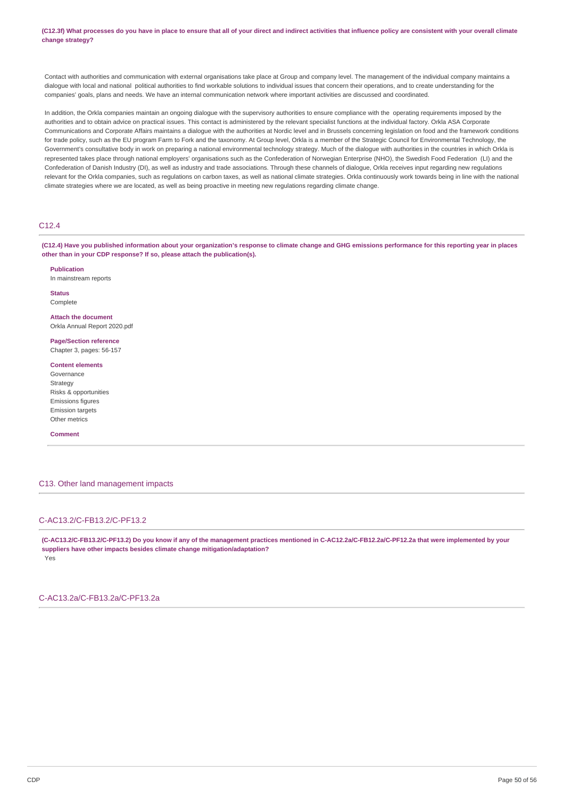(C12.3f) What processes do you have in place to ensure that all of your direct and indirect activities that influence policy are consistent with your overall climate **change strategy?**

Contact with authorities and communication with external organisations take place at Group and company level. The management of the individual company maintains a dialogue with local and national political authorities to find workable solutions to individual issues that concern their operations, and to create understanding for the companies' goals, plans and needs. We have an internal communication network where important activities are discussed and coordinated.

In addition, the Orkla companies maintain an ongoing dialogue with the supervisory authorities to ensure compliance with the operating requirements imposed by the authorities and to obtain advice on practical issues. This contact is administered by the relevant specialist functions at the individual factory. Orkla ASA Corporate Communications and Corporate Affairs maintains a dialogue with the authorities at Nordic level and in Brussels concerning legislation on food and the framework conditions for trade policy, such as the EU program Farm to Fork and the taxonomy. At Group level, Orkla is a member of the Strategic Council for Environmental Technology, the Government's consultative body in work on preparing a national environmental technology strategy. Much of the dialogue with authorities in the countries in which Orkla is represented takes place through national employers' organisations such as the Confederation of Norwegian Enterprise (NHO), the Swedish Food Federation (LI) and the Confederation of Danish Industry (DI), as well as industry and trade associations. Through these channels of dialogue, Orkla receives input regarding new regulations relevant for the Orkla companies, such as regulations on carbon taxes, as well as national climate strategies. Orkla continuously work towards being in line with the national climate strategies where we are located, as well as being proactive in meeting new regulations regarding climate change.

## $C12A$

(C12.4) Have you published information about your organization's response to climate change and GHG emissions performance for this reporting year in places **other than in your CDP response? If so, please attach the publication(s).**

**Publication**

In mainstream reports

**Status** Complete

**Attach the document** Orkla Annual Report 2020 ndf

**Page/Section reference** Chapter 3, pages: 56-157

**Content elements** Governance Strategy Risks & opportunities Emissions figures Emission targets Other metrics

**Comment**

## C13. Other land management impacts

## C-AC13.2/C-FB13.2/C-PF13.2

(C-AC13.2/C-FB13.2/C-PF13.2) Do you know if any of the management practices mentioned in C-AC12.2a/C-FB12.2a/C-PF12.2a that were implemented by your **suppliers have other impacts besides climate change mitigation/adaptation?** Yes

C-AC13.2a/C-FB13.2a/C-PF13.2a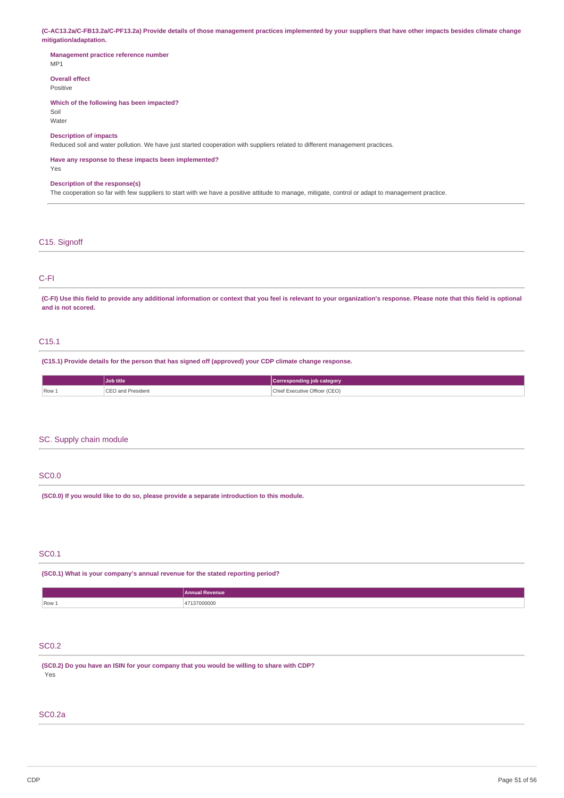(C-AC13.2a/C-FB13.2a/C-PF13.2a) Provide details of those management practices implemented by your suppliers that have other impacts besides climate change **mitigation/adaptation.**

## **Management practice reference number** MP1

**Overall effect**

Positive

## **Which of the following has been impacted?**

Soil Water

## **Description of impacts**

Reduced soil and water pollution. We have just started cooperation with suppliers related to different management practices.

#### **Have any response to these impacts been implemented?** Yes

#### **Description of the response(s)**

The cooperation so far with few suppliers to start with we have a positive attitude to manage, mitigate, control or adapt to management practice.

## C15. Signoff

## C-FI

(C-FI) Use this field to provide any additional information or context that you feel is relevant to your organization's response. Please note that this field is optional **and is not scored.**

## C15.1

**(C15.1) Provide details for the person that has signed off (approved) your CDP climate change response.**

|       | <b>Job title</b>       | Corresponding job category    |
|-------|------------------------|-------------------------------|
| Row 1 | CEO and President<br>. | Chief Executive Officer (CEO) |

## SC. Supply chain module

## SC0.0

**(SC0.0) If you would like to do so, please provide a separate introduction to this module.**

## SC0.1

**(SC0.1) What is your company's annual revenue for the stated reporting period?**

|       | Annual<br><b>Revenue</b> |
|-------|--------------------------|
| Row 1 | 137000000<br>.           |

## SC0.2

**(SC0.2) Do you have an ISIN for your company that you would be willing to share with CDP?** Yes

## SC0.2a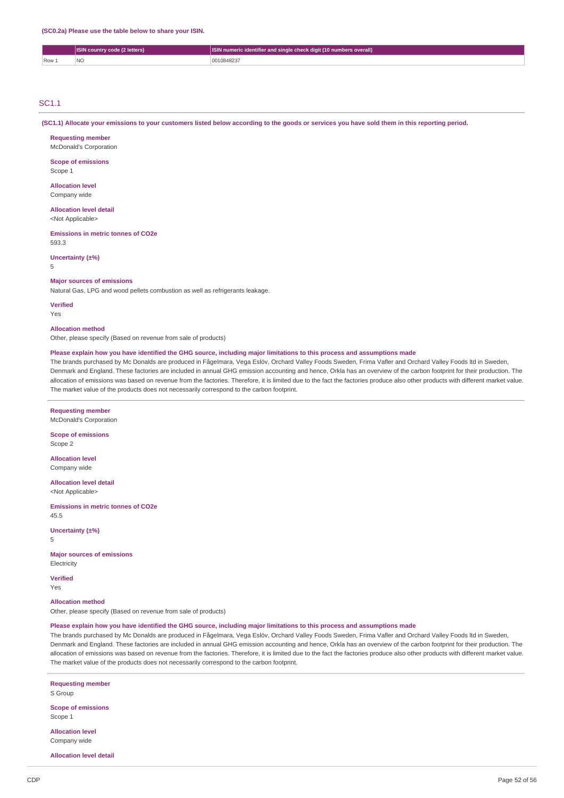|     | <b>ISIN</b> country code (2 letters) | SIN numeric identifier and single check digit (10 numbers overall) |
|-----|--------------------------------------|--------------------------------------------------------------------|
| Row |                                      | 1084823                                                            |

## SC1.1

(SC1.1) Allocate vour emissions to your customers listed below according to the goods or services you have sold them in this reporting period.

### **Requesting member**

McDonald's Corporation

## **Scope of emissions**

Scope 1

#### **Allocation level** Company wide

#### **Allocation level detail** <Not Applicable>

**Emissions in metric tonnes of CO2e**

593.3

## **Uncertainty (±%)**

5

#### **Major sources of emissions**

Natural Gas, LPG and wood pellets combustion as well as refrigerants leakage.

**Verified** Yes

#### **Allocation method**

Other, please specify (Based on revenue from sale of products)

#### Please explain how you have identified the GHG source, including major limitations to this process and assumptions made

The brands purchased by Mc Donalds are produced in Fågelmara, Vega Eslöv, Orchard Valley Foods Sweden, Frima Vafler and Orchard Valley Foods ltd in Sweden, Denmark and England. These factories are included in annual GHG emission accounting and hence, Orkla has an overview of the carbon footprint for their production. The allocation of emissions was based on revenue from the factories. Therefore, it is limited due to the fact the factories produce also other products with different market value. The market value of the products does not necessarily correspond to the carbon footprint.

### **Requesting member**

McDonald's Corporation

**Scope of emissions** Scope 2

**Allocation level** Company wide

**Allocation level detail** <Not Applicable>

**Emissions in metric tonnes of CO2e** 45.5

**Uncertainty (±%)** 5

**Major sources of emissions Electricity** 

**Verified**

Yes

**Allocation method** Other, please specify (Based on revenue from sale of products)

## Please explain how you have identified the GHG source, including major limitations to this process and assumptions made

The brands purchased by Mc Donalds are produced in Fågelmara, Vega Eslöv, Orchard Valley Foods Sweden, Frima Vafler and Orchard Valley Foods ltd in Sweden, Denmark and England. These factories are included in annual GHG emission accounting and hence, Orkla has an overview of the carbon footprint for their production. The allocation of emissions was based on revenue from the factories. Therefore, it is limited due to the fact the factories produce also other products with different market value. The market value of the products does not necessarily correspond to the carbon footprint.

**Requesting member** S Group **Scope of emissions** Scope 1

**Allocation level** Company wide

**Allocation level detail**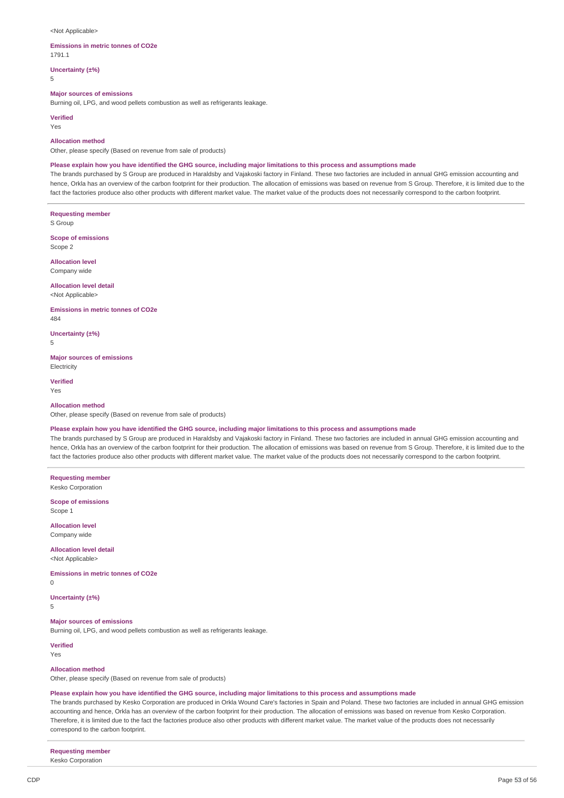#### <Not Applicable>

### **Emissions in metric tonnes of CO2e**

1791.1

**Uncertainty (±%)**

5

## **Major sources of emissions**

Burning oil, LPG, and wood pellets combustion as well as refrigerants leakage.

**Verified** Yes

#### **Allocation method**

Other, please specify (Based on revenue from sale of products)

#### Please explain how you have identified the GHG source, including major limitations to this process and assumptions made

The brands purchased by S Group are produced in Haraldsby and Vajakoski factory in Finland. These two factories are included in annual GHG emission accounting and hence, Orkla has an overview of the carbon footprint for their production. The allocation of emissions was based on revenue from S Group. Therefore, it is limited due to the fact the factories produce also other products with different market value. The market value of the products does not necessarily correspond to the carbon footprint.

**Requesting member** S Group

**Scope of emissions** Scope 2

**Allocation level** Company wide

**Allocation level detail** <Not Applicable>

**Emissions in metric tonnes of CO2e** 484

**Uncertainty (±%)**

5

**Major sources of emissions Electricity** 

**Verified** Yes

#### **Allocation method**

Other, please specify (Based on revenue from sale of products)

## Please explain how you have identified the GHG source, including major limitations to this process and assumptions made

The brands purchased by S Group are produced in Haraldsby and Vajakoski factory in Finland. These two factories are included in annual GHG emission accounting and hence. Orkla has an overview of the carbon footprint for their production. The allocation of emissions was based on revenue from S Group. Therefore, it is limited due to the fact the factories produce also other products with different market value. The market value of the products does not necessarily correspond to the carbon footprint.

**Requesting member** Kesko Corporation

**Scope of emissions** Scope 1

**Allocation level** Company wide

**Allocation level detail** <Not Applicable>

**Emissions in metric tonnes of CO2e**  $\Omega$ 

**Uncertainty (±%)** 5

**Major sources of emissions** Burning oil, LPG, and wood pellets combustion as well as refrigerants leakage.

**Verified** Yes

#### **Allocation method**

Other, please specify (Based on revenue from sale of products)

#### Please explain how you have identified the GHG source, including major limitations to this process and assumptions made

The brands purchased by Kesko Corporation are produced in Orkla Wound Care's factories in Spain and Poland. These two factories are included in annual GHG emission accounting and hence, Orkla has an overview of the carbon footprint for their production. The allocation of emissions was based on revenue from Kesko Corporation. Therefore, it is limited due to the fact the factories produce also other products with different market value. The market value of the products does not necessarily correspond to the carbon footprint.

**Requesting member**

Kesko Corporation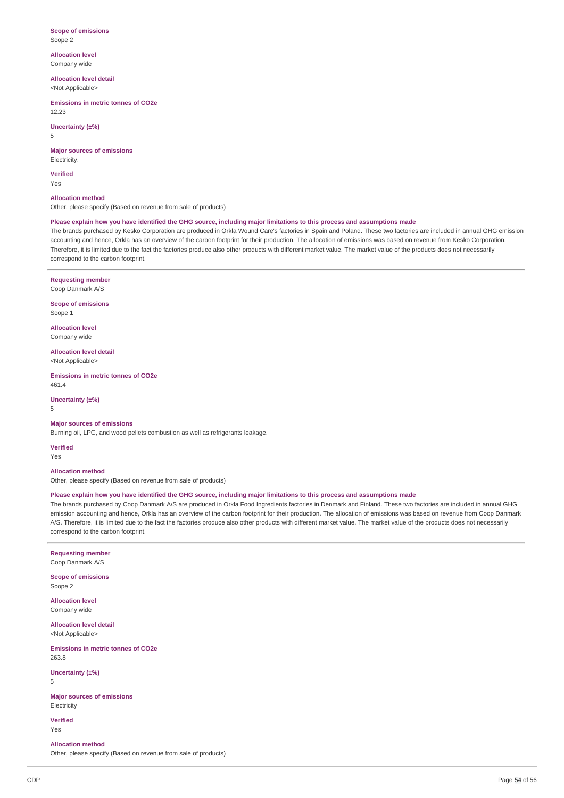#### **Scope of emissions** Scope 2

**Allocation level** Company wide

**Allocation level detail** <Not Applicable>

**Emissions in metric tonnes of CO2e** 12.23

## **Uncertainty (±%)**

5

**Major sources of emissions** Electricity.

**Verified** Yes

**Allocation method** Other, please specify (Based on revenue from sale of products)

Please explain how you have identified the GHG source, including major limitations to this process and assumptions made

The brands purchased by Kesko Corporation are produced in Orkla Wound Care's factories in Spain and Poland. These two factories are included in annual GHG emission accounting and hence, Orkla has an overview of the carbon footprint for their production. The allocation of emissions was based on revenue from Kesko Corporation. Therefore, it is limited due to the fact the factories produce also other products with different market value. The market value of the products does not necessarily correspond to the carbon footprint.

**Requesting member** Coop Danmark A/S

**Scope of emissions** Scope 1

**Allocation level** Company wide

**Allocation level detail** <Not Applicable>

**Emissions in metric tonnes of CO2e** 461.4

**Uncertainty (±%)** 5

**Major sources of emissions**

Burning oil, LPG, and wood pellets combustion as well as refrigerants leakage.

**Verified** Yes

**Allocation method** Other, please specify (Based on revenue from sale of products)

### Please explain how you have identified the GHG source, including major limitations to this process and assumptions made

The brands purchased by Coop Danmark A/S are produced in Orkla Food Ingredients factories in Denmark and Finland. These two factories are included in annual GHG emission accounting and hence, Orkla has an overview of the carbon footprint for their production. The allocation of emissions was based on revenue from Coop Danmark A/S. Therefore, it is limited due to the fact the factories produce also other products with different market value. The market value of the products does not necessarily correspond to the carbon footprint.

**Requesting member** Coop Danmark A/S

**Scope of emissions** Scope 2

**Allocation level** Company wide

**Allocation level detail** <Not Applicable>

**Emissions in metric tonnes of CO2e** 263.8

**Uncertainty (±%)** 5

**Major sources of emissions** Electricity

**Verified** Yes

**Allocation method**

Other, please specify (Based on revenue from sale of products)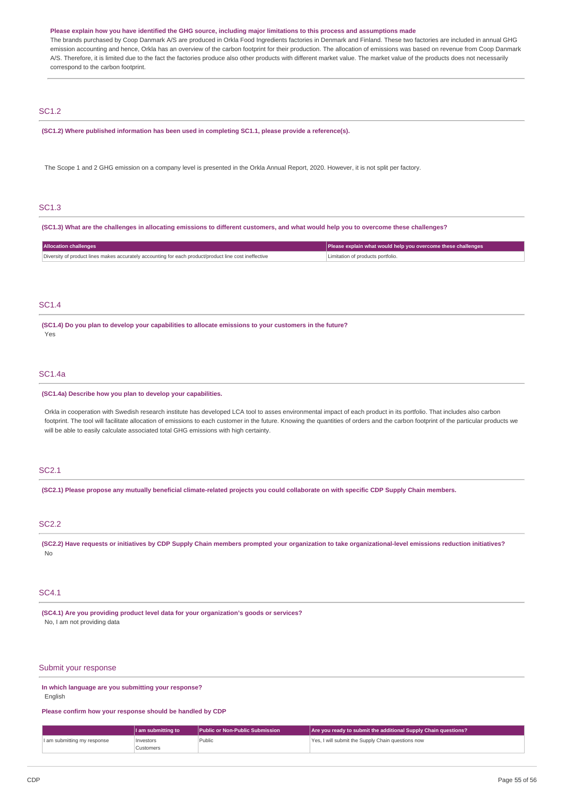#### Please explain how you have identified the GHG source, including major limitations to this process and assumptions made

The brands purchased by Coop Danmark A/S are produced in Orkla Food Ingredients factories in Denmark and Finland. These two factories are included in annual GHG emission accounting and hence. Orkla has an overview of the carbon footprint for their production. The allocation of emissions was based on revenue from Coop Danmark A/S. Therefore, it is limited due to the fact the factories produce also other products with different market value. The market value of the products does not necessarily correspond to the carbon footprint.

## SC1.2

**(SC1.2) Where published information has been used in completing SC1.1, please provide a reference(s).**

The Scope 1 and 2 GHG emission on a company level is presented in the Orkla Annual Report, 2020. However, it is not split per factory.

## SC1.3

(SC1.3) What are the challenges in allocating emissions to different customers, and what would help you to overcome these challenges?

| Allocation challenges                                                                                 | Please explain what would help you overcome these challenges |
|-------------------------------------------------------------------------------------------------------|--------------------------------------------------------------|
| Diversity of product lines makes accurately accounting for each product/product line cost ineffective | Limitation of products portfolio.                            |

## SC1.4

**(SC1.4) Do you plan to develop your capabilities to allocate emissions to your customers in the future?** Yes

## SC1.4a

#### **(SC1.4a) Describe how you plan to develop your capabilities.**

Orkla in cooperation with Swedish research institute has developed LCA tool to asses environmental impact of each product in its portfolio. That includes also carbon footprint. The tool will facilitate allocation of emissions to each customer in the future. Knowing the quantities of orders and the carbon footprint of the particular products we will be able to easily calculate associated total GHG emissions with high certainty.

### SC2.1

(SC2.1) Please propose any mutually beneficial climate-related projects you could collaborate on with specific CDP Supply Chain members.

## SC2.2

(SC2.2) Have requests or initiatives by CDP Supply Chain members prompted your organization to take organizational-level emissions reduction initiatives? No

#### SC4.1

**(SC4.1) Are you providing product level data for your organization's goods or services?** No, I am not providing data

## Submit your response

**In which language are you submitting your response? English** 

#### **Please confirm how your response should be handled by CDP**

|                             | I am submitting to | <b>Public or Non-Public Submission</b> | Are you ready to submit the additional Supply Chain questions? |
|-----------------------------|--------------------|----------------------------------------|----------------------------------------------------------------|
| I am submitting my response | Investors          | Public                                 | Yes, I will submit the Supply Chain questions now              |
|                             | Customers          |                                        |                                                                |